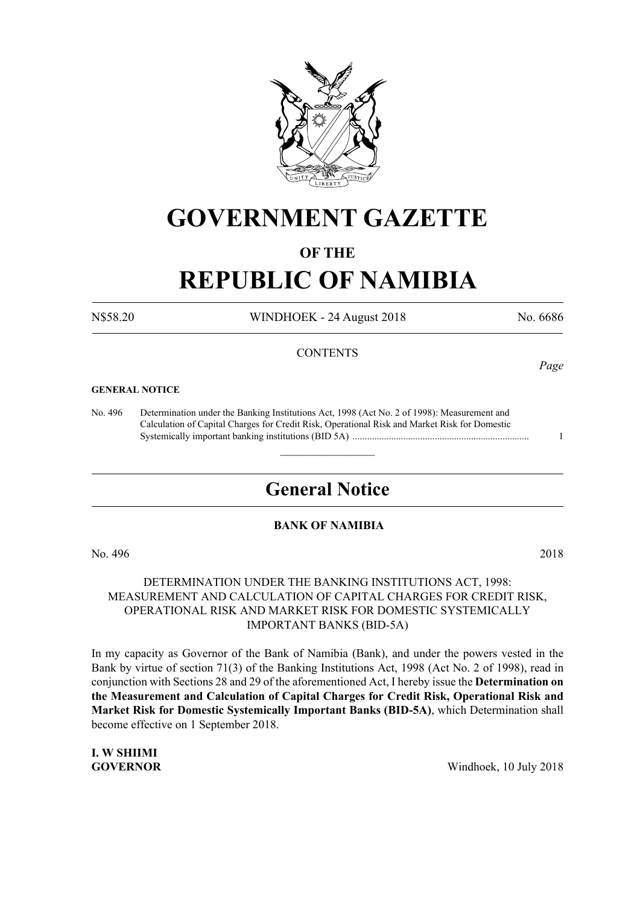

# **GOVERNMENT GAZETTE**

# **OF THE**

# **REPUBLIC OF NAMIBIA**

N\$58.20 WINDHOEK - 24 August 2018 No. 6686

#### **CONTENTS**

#### **GENERAL NOTICE**

No. 496 Determination under the Banking Institutions Act, 1998 (Act No. 2 of 1998): Measurement and Calculation of Capital Charges for Credit Risk, Operational Risk and Market Risk for Domestic Systemically important banking institutions (Bid 5a) ......................................................................... 1

# **General Notice**

 $\overline{\phantom{a}}$  , where  $\overline{\phantom{a}}$ 

#### **BANK OF NAMIBIA**

No. 496 2018

# DETERMINATION UNDER THE BANKING INSTITUTIONS ACT, 1998: Measurement and Calculation of Capital Charges for Credit Risk, Operational Risk and Market Risk for Domestic Systemically Important Banks (BID-5A)

In my capacity as Governor of the Bank of Namibia (Bank), and under the powers vested in the Bank by virtue of section 71(3) of the Banking Institutions Act, 1998 (Act No. 2 of 1998), read in conjunction with Sections 28 and 29 of the aforementioned Act, I hereby issue the **Determination on the Measurement and Calculation of Capital Charges for Credit Risk, Operational Risk and Market Risk for Domestic Systemically Important Banks (BID-5A)**, which Determination shall become effective on 1 September 2018.

**I. W SHIIMI**

**GOVERNOR** Windhoek, 10 July 2018

*Page*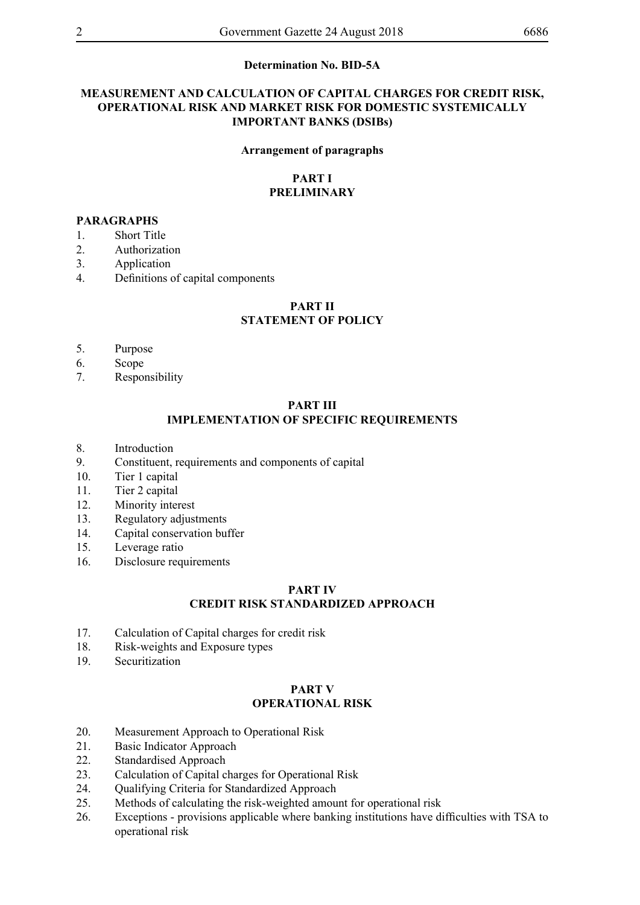#### **Determination No. BID-5A**

# **Measurement and Calculation of Capital Charges for Credit Risk, Operational Risk and Market Risk for Domestic Systemically Important Banks (DSIBs)**

#### **Arrangement of paragraphs**

#### **PART I PRELIMINARY**

#### **PARAGRAPHS**

- 1. Short Title
- 2. Authorization
- 3. Application
- 4. Definitions of capital components

#### **PART II**

#### **STATEMENT OF POLICY**

- 5. Purpose
- 6. Scope
- 7. Responsibility

# **PART III IMPLEMENTATION OF SPECIFIC REQUIREMENTS**

- 8. Introduction
- 9. Constituent, requirements and components of capital
- 10. Tier 1 capital
- 11. Tier 2 capital
- 12. Minority interest
- 13. Regulatory adjustments
- 14. Capital conservation buffer
- 15. Leverage ratio
- 16. Disclosure requirements

#### **PART IV CREDIT RISK STANDARDIZED APPROACH**

- 17. Calculation of Capital charges for credit risk
- 18. Risk-weights and Exposure types
- 19. Securitization

# **PART V OPERATIONAL RISK**

- 20. Measurement Approach to Operational Risk
- 21. Basic Indicator Approach
- 22. Standardised Approach
- 23. Calculation of Capital charges for Operational Risk
- 24. Qualifying Criteria for Standardized Approach
- 25. Methods of calculating the risk-weighted amount for operational risk
- 26. Exceptions provisions applicable where banking institutions have difficulties with TSA to operational risk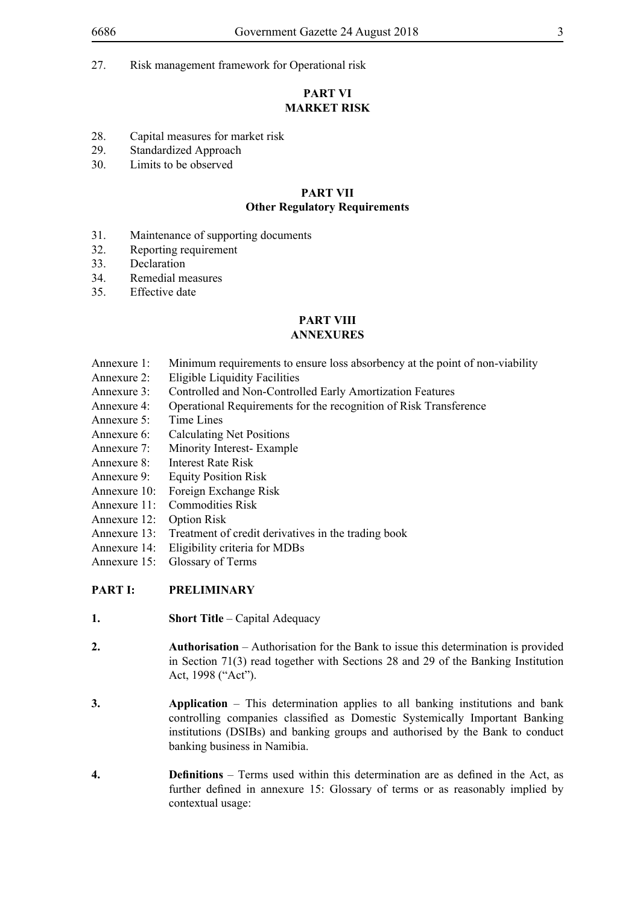27. Risk management framework for Operational risk

# **PART VI MARKET RISK**

- 28. Capital measures for market risk<br>29 Standardized Approach
- Standardized Approach
- 30. Limits to be observed

# **PART VII**

#### **Other Regulatory Requirements**

- 31. Maintenance of supporting documents
- 32. Reporting requirement
- 33. Declaration
- 34. Remedial measures
- 35. Effective date

# **PART VIII**

# **ANNEXURES**

- Annexure 1: Minimum requirements to ensure loss absorbency at the point of non-viability
- Annexure 2: Eligible Liquidity Facilities
- Annexure 3: Controlled and Non-Controlled Early Amortization Features
- Annexure 4: Operational Requirements for the recognition of Risk Transference
- Annexure 5: Time Lines
- Annexure 6: Calculating Net Positions
- Annexure 7: Minority Interest- Example
- Annexure 8: Interest Rate Risk
- Annexure 9: Equity Position Risk
- Annexure 10: Foreign Exchange Risk
- Annexure 11: Commodities Risk
- Annexure 12: Option Risk
- Annexure 13: Treatment of credit derivatives in the trading book
- Annexure 14: Eligibility criteria for MDBs
- Annexure 15: Glossary of Terms

# **PART I: PRELIMINARY**

- **1. Short Title** Capital Adequacy
- **2. Authorisation** Authorisation for the Bank to issue this determination is provided in Section 71(3) read together with Sections 28 and 29 of the Banking Institution Act, 1998 ("Act").
- **3. Application** This determination applies to all banking institutions and bank controlling companies classified as Domestic Systemically Important Banking institutions (DSIBs) and banking groups and authorised by the Bank to conduct banking business in Namibia.
- **4. Definitions** Terms used within this determination are as defined in the Act, as further defined in annexure 15: Glossary of terms or as reasonably implied by contextual usage: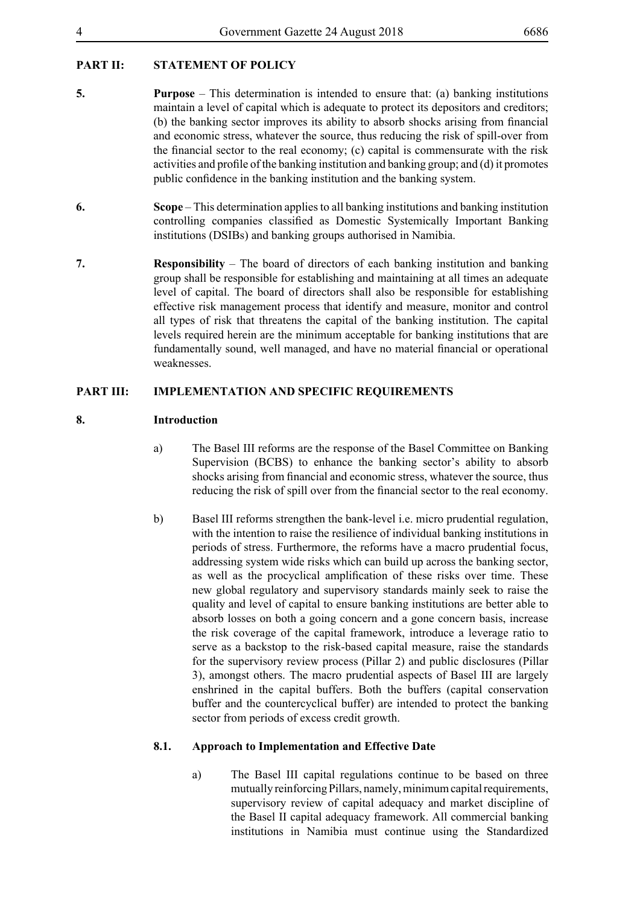# **PART II: STATEMENT OF POLICY**

- **5. Purpose** This determination is intended to ensure that: (a) banking institutions maintain a level of capital which is adequate to protect its depositors and creditors; (b) the banking sector improves its ability to absorb shocks arising from financial and economic stress, whatever the source, thus reducing the risk of spill-over from the financial sector to the real economy; (c) capital is commensurate with the risk activities and profile of the banking institution and banking group; and (d) it promotes public confidence in the banking institution and the banking system.
- **6. Scope** This determination applies to all banking institutions and banking institution controlling companies classified as Domestic Systemically Important Banking institutions (DSIBs) and banking groups authorised in Namibia.
- **7. Responsibility** The board of directors of each banking institution and banking group shall be responsible for establishing and maintaining at all times an adequate level of capital. The board of directors shall also be responsible for establishing effective risk management process that identify and measure, monitor and control all types of risk that threatens the capital of the banking institution. The capital levels required herein are the minimum acceptable for banking institutions that are fundamentally sound, well managed, and have no material financial or operational weaknesses.

# **PART III: IMPLEMENTATION AND SPECIFIC REQUIREMENTS**

# **8. Introduction**

- a) The Basel III reforms are the response of the Basel Committee on Banking Supervision (BCBS) to enhance the banking sector's ability to absorb shocks arising from financial and economic stress, whatever the source, thus reducing the risk of spill over from the financial sector to the real economy.
- b) Basel III reforms strengthen the bank-level i.e. micro prudential regulation, with the intention to raise the resilience of individual banking institutions in periods of stress. Furthermore, the reforms have a macro prudential focus, addressing system wide risks which can build up across the banking sector, as well as the procyclical amplification of these risks over time. These new global regulatory and supervisory standards mainly seek to raise the quality and level of capital to ensure banking institutions are better able to absorb losses on both a going concern and a gone concern basis, increase the risk coverage of the capital framework, introduce a leverage ratio to serve as a backstop to the risk-based capital measure, raise the standards for the supervisory review process (Pillar 2) and public disclosures (Pillar 3), amongst others. The macro prudential aspects of Basel III are largely enshrined in the capital buffers. Both the buffers (capital conservation buffer and the countercyclical buffer) are intended to protect the banking sector from periods of excess credit growth.

# **8.1. Approach to Implementation and Effective Date**

a) The Basel III capital regulations continue to be based on three mutually reinforcing Pillars, namely, minimum capital requirements, supervisory review of capital adequacy and market discipline of the Basel II capital adequacy framework. All commercial banking institutions in Namibia must continue using the Standardized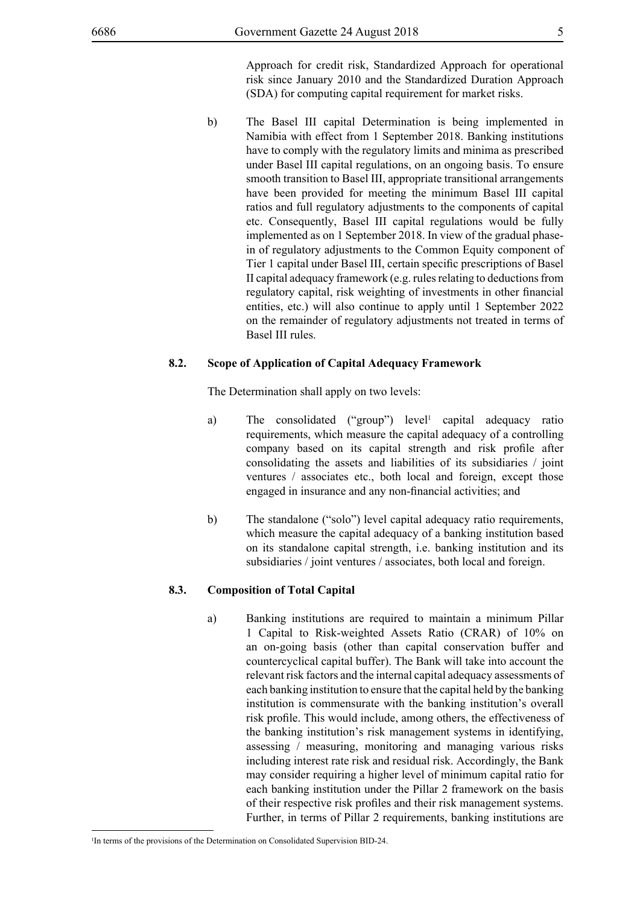Approach for credit risk, Standardized Approach for operational risk since January 2010 and the Standardized Duration Approach (SDA) for computing capital requirement for market risks.

b) The Basel III capital Determination is being implemented in Namibia with effect from 1 September 2018. Banking institutions have to comply with the regulatory limits and minima as prescribed under Basel III capital regulations, on an ongoing basis. To ensure smooth transition to Basel III, appropriate transitional arrangements have been provided for meeting the minimum Basel III capital ratios and full regulatory adjustments to the components of capital etc. Consequently, Basel III capital regulations would be fully implemented as on 1 September 2018. In view of the gradual phasein of regulatory adjustments to the Common Equity component of Tier 1 capital under Basel III, certain specific prescriptions of Basel II capital adequacy framework (e.g. rules relating to deductions from regulatory capital, risk weighting of investments in other financial entities, etc.) will also continue to apply until 1 September 2022 on the remainder of regulatory adjustments not treated in terms of Basel III rules.

#### **8.2. Scope of Application of Capital Adequacy Framework**

The Determination shall apply on two levels:

- a) The consolidated ("group") level<sup>1</sup> capital adequacy ratio requirements, which measure the capital adequacy of a controlling company based on its capital strength and risk profile after consolidating the assets and liabilities of its subsidiaries / joint ventures / associates etc., both local and foreign, except those engaged in insurance and any non-financial activities; and
- b) The standalone ("solo") level capital adequacy ratio requirements, which measure the capital adequacy of a banking institution based on its standalone capital strength, i.e. banking institution and its subsidiaries / joint ventures / associates, both local and foreign.

#### **8.3. Composition of Total Capital**

a) Banking institutions are required to maintain a minimum Pillar 1 Capital to Risk-weighted Assets Ratio (CRAR) of 10% on an on-going basis (other than capital conservation buffer and countercyclical capital buffer). The Bank will take into account the relevant risk factors and the internal capital adequacy assessments of each banking institution to ensure that the capital held by the banking institution is commensurate with the banking institution's overall risk profile. This would include, among others, the effectiveness of the banking institution's risk management systems in identifying, assessing / measuring, monitoring and managing various risks including interest rate risk and residual risk. Accordingly, the Bank may consider requiring a higher level of minimum capital ratio for each banking institution under the Pillar 2 framework on the basis of their respective risk profiles and their risk management systems. Further, in terms of Pillar 2 requirements, banking institutions are

<sup>&</sup>lt;sup>1</sup>In terms of the provisions of the Determination on Consolidated Supervision BID-24.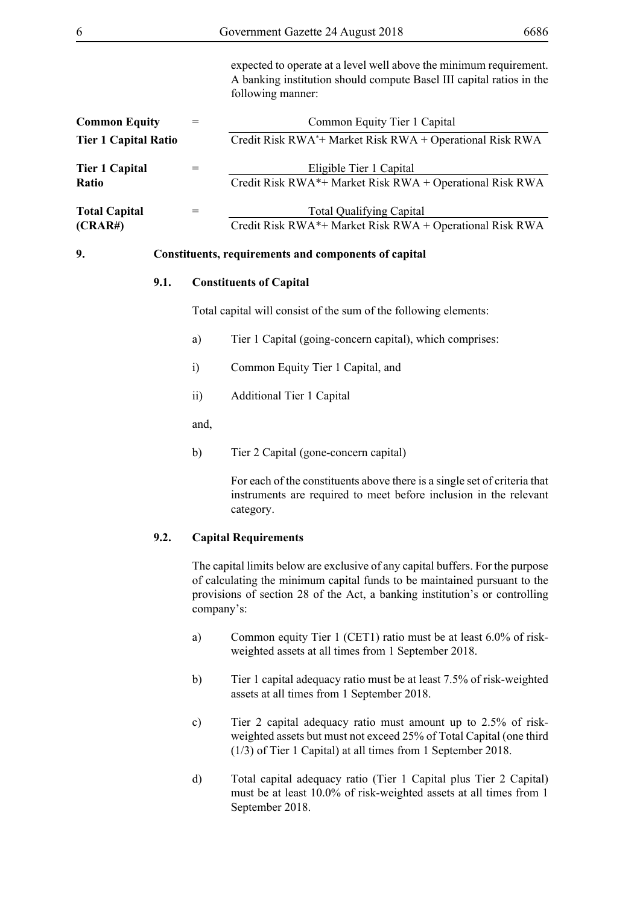| 6                               |                 | Government Gazette 24 August 2018                                                                                                                               | 6686 |
|---------------------------------|-----------------|-----------------------------------------------------------------------------------------------------------------------------------------------------------------|------|
|                                 |                 | expected to operate at a level well above the minimum requirement.<br>A banking institution should compute Basel III capital ratios in the<br>following manner: |      |
| <b>Common Equity</b>            | $=$             | Common Equity Tier 1 Capital                                                                                                                                    |      |
| <b>Tier 1 Capital Ratio</b>     |                 | Credit Risk RWA*+ Market Risk RWA + Operational Risk RWA                                                                                                        |      |
| <b>Tier 1 Capital</b><br>Ratio  | $=$             | Eligible Tier 1 Capital<br>Credit Risk RWA*+ Market Risk RWA + Operational Risk RWA                                                                             |      |
| <b>Total Capital</b><br>(CRAR#) | $=$             | <b>Total Qualifying Capital</b><br>Credit Risk RWA*+ Market Risk RWA + Operational Risk RWA                                                                     |      |
| 9.                              |                 | Constituents, requirements and components of capital                                                                                                            |      |
| 9.1.                            |                 | <b>Constituents of Capital</b>                                                                                                                                  |      |
|                                 |                 | Total capital will consist of the sum of the following elements:                                                                                                |      |
|                                 | a)              | Tier 1 Capital (going-concern capital), which comprises:                                                                                                        |      |
|                                 | i)              | Common Equity Tier 1 Capital, and                                                                                                                               |      |
|                                 | $\overline{ii}$ | <b>Additional Tier 1 Capital</b>                                                                                                                                |      |
|                                 | and,            |                                                                                                                                                                 |      |
|                                 | b)              | Tier 2 Capital (gone-concern capital)                                                                                                                           |      |
|                                 |                 | For each of the constituents above there is a single set of criteria that<br>instruments are required to meet before inclusion in the relevant<br>category.     |      |

# **9.2. Capital Requirements**

The capital limits below are exclusive of any capital buffers. For the purpose of calculating the minimum capital funds to be maintained pursuant to the provisions of section 28 of the Act, a banking institution's or controlling company's:

- a) Common equity Tier 1 (CET1) ratio must be at least 6.0% of riskweighted assets at all times from 1 September 2018.
- b) Tier 1 capital adequacy ratio must be at least 7.5% of risk-weighted assets at all times from 1 September 2018.
- c) Tier 2 capital adequacy ratio must amount up to 2.5% of riskweighted assets but must not exceed 25% of Total Capital (one third (1/3) of Tier 1 Capital) at all times from 1 September 2018.
- d) Total capital adequacy ratio (Tier 1 Capital plus Tier 2 Capital) must be at least 10.0% of risk-weighted assets at all times from 1 September 2018.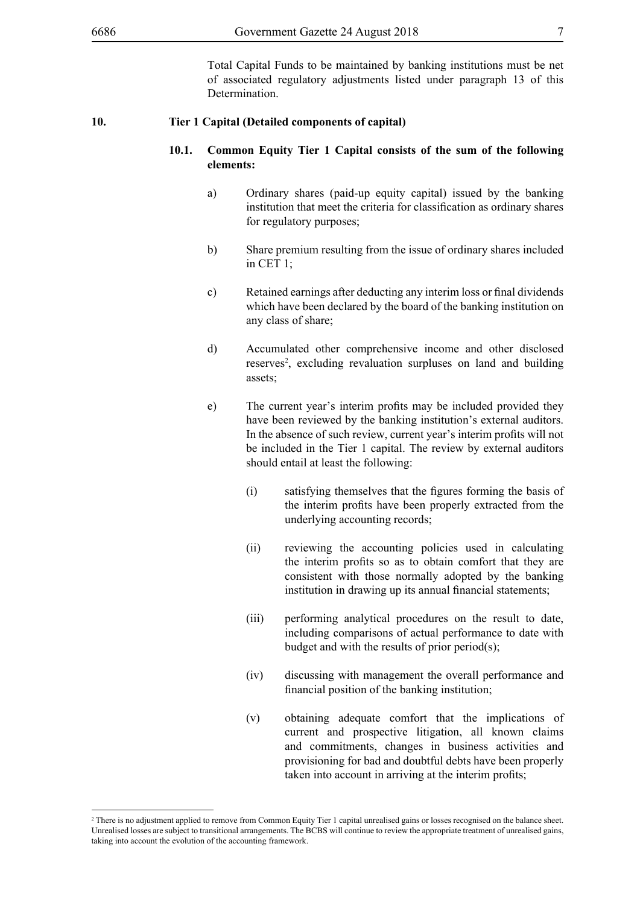Total Capital Funds to be maintained by banking institutions must be net of associated regulatory adjustments listed under paragraph 13 of this Determination.

#### **10. Tier 1 Capital (Detailed components of capital)**

#### **10.1. Common Equity Tier 1 Capital consists of the sum of the following elements:**

- a) Ordinary shares (paid-up equity capital) issued by the banking institution that meet the criteria for classification as ordinary shares for regulatory purposes;
- b) Share premium resulting from the issue of ordinary shares included in CET 1;
- c) Retained earnings after deducting any interim loss or final dividends which have been declared by the board of the banking institution on any class of share;
- d) Accumulated other comprehensive income and other disclosed reserves<sup>2</sup>, excluding revaluation surpluses on land and building assets;
- e) The current year's interim profits may be included provided they have been reviewed by the banking institution's external auditors. In the absence of such review, current year's interim profits will not be included in the Tier 1 capital. The review by external auditors should entail at least the following:
	- (i) satisfying themselves that the figures forming the basis of the interim profits have been properly extracted from the underlying accounting records;
	- (ii) reviewing the accounting policies used in calculating the interim profits so as to obtain comfort that they are consistent with those normally adopted by the banking institution in drawing up its annual financial statements;
	- (iii) performing analytical procedures on the result to date, including comparisons of actual performance to date with budget and with the results of prior period(s);
	- (iv) discussing with management the overall performance and financial position of the banking institution;
	- (v) obtaining adequate comfort that the implications of current and prospective litigation, all known claims and commitments, changes in business activities and provisioning for bad and doubtful debts have been properly taken into account in arriving at the interim profits;

<sup>&</sup>lt;sup>2</sup> There is no adjustment applied to remove from Common Equity Tier 1 capital unrealised gains or losses recognised on the balance sheet. Unrealised losses are subject to transitional arrangements. The BCBS will continue to review the appropriate treatment of unrealised gains, taking into account the evolution of the accounting framework.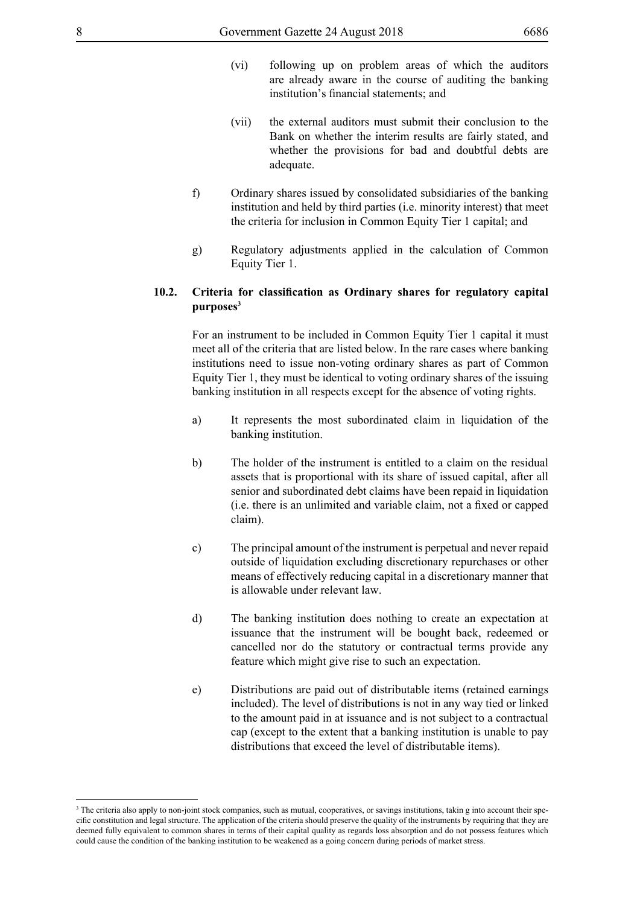- (vi) following up on problem areas of which the auditors are already aware in the course of auditing the banking institution's financial statements; and
- (vii) the external auditors must submit their conclusion to the Bank on whether the interim results are fairly stated, and whether the provisions for bad and doubtful debts are adequate.
- f) Ordinary shares issued by consolidated subsidiaries of the banking institution and held by third parties (i.e. minority interest) that meet the criteria for inclusion in Common Equity Tier 1 capital; and
- g) Regulatory adjustments applied in the calculation of Common Equity Tier 1.

# **10.2. Criteria for classification as Ordinary shares for regulatory capital purposes3**

For an instrument to be included in Common Equity Tier 1 capital it must meet all of the criteria that are listed below. In the rare cases where banking institutions need to issue non-voting ordinary shares as part of Common Equity Tier 1, they must be identical to voting ordinary shares of the issuing banking institution in all respects except for the absence of voting rights.

- a) It represents the most subordinated claim in liquidation of the banking institution.
- b) The holder of the instrument is entitled to a claim on the residual assets that is proportional with its share of issued capital, after all senior and subordinated debt claims have been repaid in liquidation (i.e. there is an unlimited and variable claim, not a fixed or capped claim).
- c) The principal amount of the instrument is perpetual and never repaid outside of liquidation excluding discretionary repurchases or other means of effectively reducing capital in a discretionary manner that is allowable under relevant law.
- d) The banking institution does nothing to create an expectation at issuance that the instrument will be bought back, redeemed or cancelled nor do the statutory or contractual terms provide any feature which might give rise to such an expectation.
- e) Distributions are paid out of distributable items (retained earnings included). The level of distributions is not in any way tied or linked to the amount paid in at issuance and is not subject to a contractual cap (except to the extent that a banking institution is unable to pay distributions that exceed the level of distributable items).

<sup>&</sup>lt;sup>3</sup> The criteria also apply to non-joint stock companies, such as mutual, cooperatives, or savings institutions, takin g into account their specific constitution and legal structure. The application of the criteria should preserve the quality of the instruments by requiring that they are deemed fully equivalent to common shares in terms of their capital quality as regards loss absorption and do not possess features which could cause the condition of the banking institution to be weakened as a going concern during periods of market stress.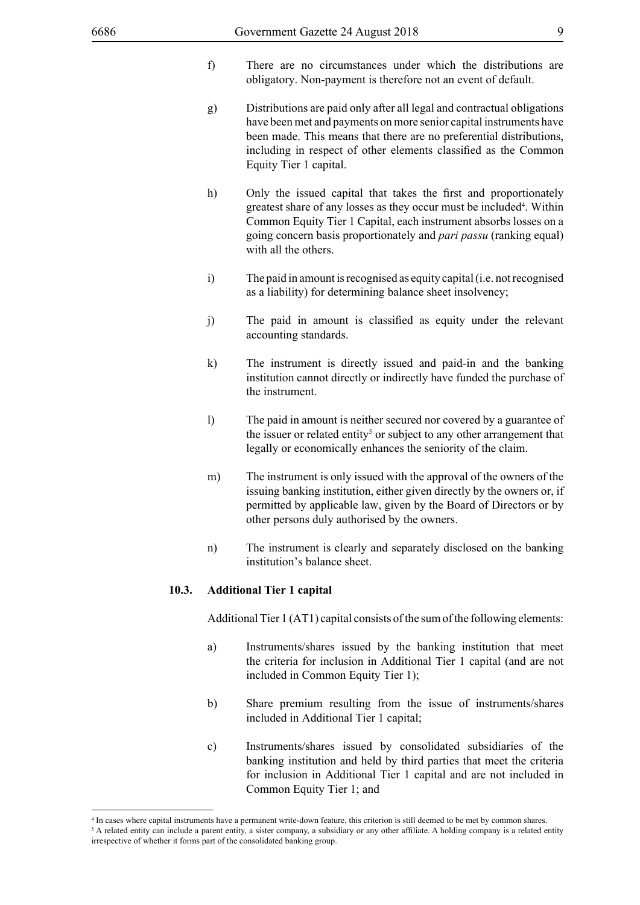- f) There are no circumstances under which the distributions are obligatory. Non-payment is therefore not an event of default.
- g) Distributions are paid only after all legal and contractual obligations have been met and payments on more senior capital instruments have been made. This means that there are no preferential distributions, including in respect of other elements classified as the Common Equity Tier 1 capital.
- h) Only the issued capital that takes the first and proportionately greatest share of any losses as they occur must be included<sup>4</sup>. Within Common Equity Tier 1 Capital, each instrument absorbs losses on a going concern basis proportionately and *pari passu* (ranking equal) with all the others.
- i) The paid in amount is recognised as equity capital (i.e. not recognised as a liability) for determining balance sheet insolvency;
- j) The paid in amount is classified as equity under the relevant accounting standards.
- k) The instrument is directly issued and paid-in and the banking institution cannot directly or indirectly have funded the purchase of the instrument.
- l) The paid in amount is neither secured nor covered by a guarantee of the issuer or related entity<sup>5</sup> or subject to any other arrangement that legally or economically enhances the seniority of the claim.
- m) The instrument is only issued with the approval of the owners of the issuing banking institution, either given directly by the owners or, if permitted by applicable law, given by the Board of Directors or by other persons duly authorised by the owners.
- n) The instrument is clearly and separately disclosed on the banking institution's balance sheet.

#### **10.3. Additional Tier 1 capital**

Additional Tier 1 (AT1) capital consists of the sum of the following elements:

- a) Instruments/shares issued by the banking institution that meet the criteria for inclusion in Additional Tier 1 capital (and are not included in Common Equity Tier 1);
- b) Share premium resulting from the issue of instruments/shares included in Additional Tier 1 capital;
- c) Instruments/shares issued by consolidated subsidiaries of the banking institution and held by third parties that meet the criteria for inclusion in Additional Tier 1 capital and are not included in Common Equity Tier 1; and

<sup>4</sup> In cases where capital instruments have a permanent write-down feature, this criterion is still deemed to be met by common shares.

<sup>&</sup>lt;sup>5</sup> A related entity can include a parent entity, a sister company, a subsidiary or any other affiliate. A holding company is a related entity irrespective of whether it forms part of the consolidated banking group.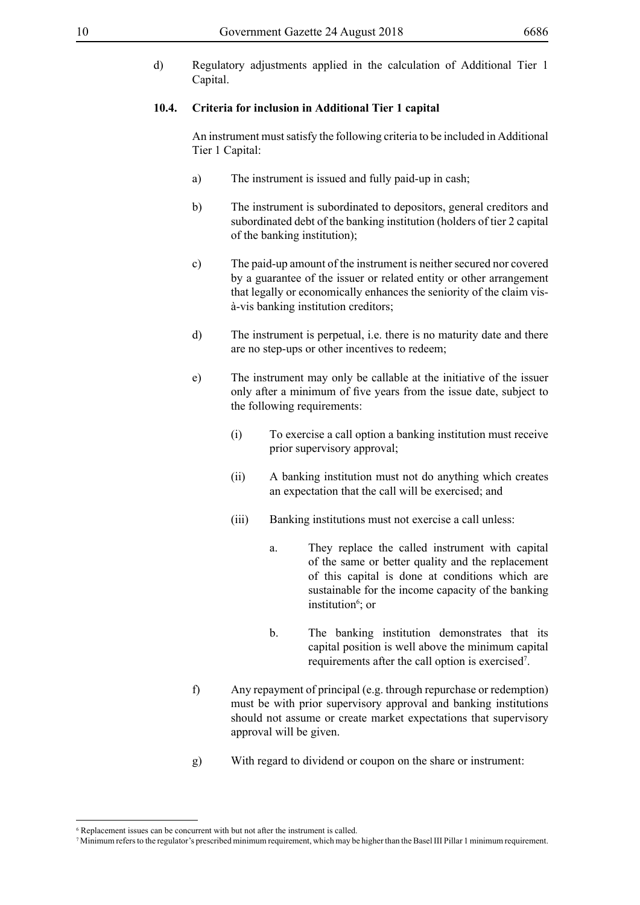d) Regulatory adjustments applied in the calculation of Additional Tier 1 Capital.

#### **10.4. Criteria for inclusion in Additional Tier 1 capital**

An instrument must satisfy the following criteria to be included in Additional Tier 1 Capital:

- a) The instrument is issued and fully paid-up in cash;
- b) The instrument is subordinated to depositors, general creditors and subordinated debt of the banking institution (holders of tier 2 capital of the banking institution);
- c) The paid-up amount of the instrument is neither secured nor covered by a guarantee of the issuer or related entity or other arrangement that legally or economically enhances the seniority of the claim visà-vis banking institution creditors;
- d) The instrument is perpetual, i.e. there is no maturity date and there are no step-ups or other incentives to redeem;
- e) The instrument may only be callable at the initiative of the issuer only after a minimum of five years from the issue date, subject to the following requirements:
	- (i) To exercise a call option a banking institution must receive prior supervisory approval;
	- (ii) A banking institution must not do anything which creates an expectation that the call will be exercised; and
	- (iii) Banking institutions must not exercise a call unless:
		- a. They replace the called instrument with capital of the same or better quality and the replacement of this capital is done at conditions which are sustainable for the income capacity of the banking institution<sup>6</sup>; or
		- b. The banking institution demonstrates that its capital position is well above the minimum capital requirements after the call option is exercised<sup>7</sup>.
- f) Any repayment of principal (e.g. through repurchase or redemption) must be with prior supervisory approval and banking institutions should not assume or create market expectations that supervisory approval will be given.
- g) With regard to dividend or coupon on the share or instrument:

<sup>6</sup> Replacement issues can be concurrent with but not after the instrument is called.

<sup>7</sup> Minimum refers to the regulator's prescribed minimum requirement, which may be higher than the Basel III Pillar 1 minimum requirement.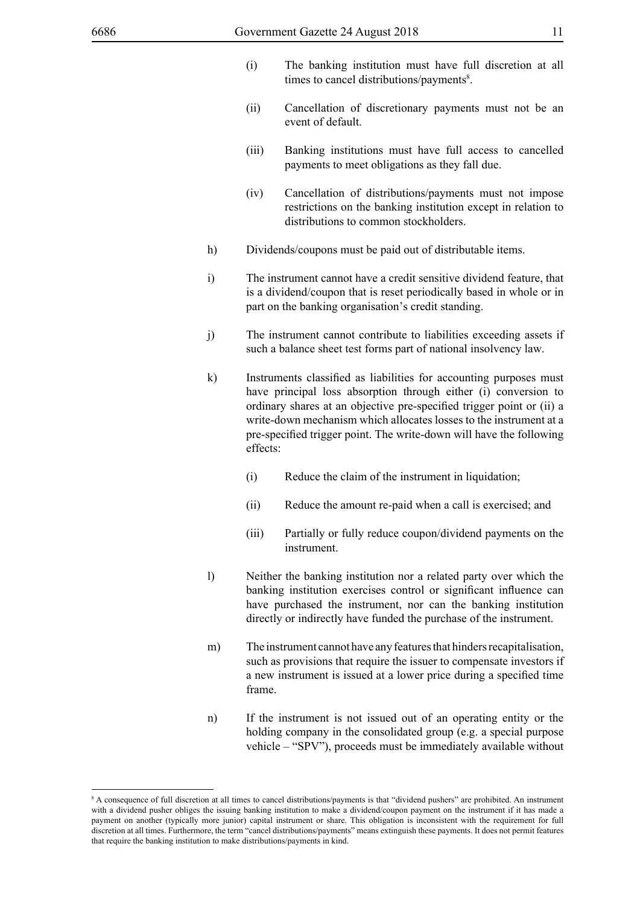- (i) The banking institution must have full discretion at all times to cancel distributions/payments<sup>8</sup>.
- (ii) Cancellation of discretionary payments must not be an event of default.
- (iii) Banking institutions must have full access to cancelled payments to meet obligations as they fall due.
- (iv) Cancellation of distributions/payments must not impose restrictions on the banking institution except in relation to distributions to common stockholders.
- h) Dividends/coupons must be paid out of distributable items.
- i) The instrument cannot have a credit sensitive dividend feature, that is a dividend/coupon that is reset periodically based in whole or in part on the banking organisation's credit standing.
- j) The instrument cannot contribute to liabilities exceeding assets if such a balance sheet test forms part of national insolvency law.
- k) Instruments classified as liabilities for accounting purposes must have principal loss absorption through either (i) conversion to ordinary shares at an objective pre-specified trigger point or (ii) a write-down mechanism which allocates losses to the instrument at a pre-specified trigger point. The write-down will have the following effects:
	- (i) Reduce the claim of the instrument in liquidation;
	- (ii) Reduce the amount re-paid when a call is exercised; and
	- (iii) Partially or fully reduce coupon/dividend payments on the instrument.
- l) Neither the banking institution nor a related party over which the banking institution exercises control or significant influence can have purchased the instrument, nor can the banking institution directly or indirectly have funded the purchase of the instrument.
- m) The instrument cannot have any features that hinders recapitalisation, such as provisions that require the issuer to compensate investors if a new instrument is issued at a lower price during a specified time frame.
- n) If the instrument is not issued out of an operating entity or the holding company in the consolidated group (e.g. a special purpose vehicle – "SPV"), proceeds must be immediately available without

<sup>8</sup> A consequence of full discretion at all times to cancel distributions/payments is that "dividend pushers" are prohibited. An instrument with a dividend pusher obliges the issuing banking institution to make a dividend/coupon payment on the instrument if it has made a payment on another (typically more junior) capital instrument or share. This obligation is inconsistent with the requirement for full discretion at all times. Furthermore, the term "cancel distributions/payments" means extinguish these payments. It does not permit features that require the banking institution to make distributions/payments in kind.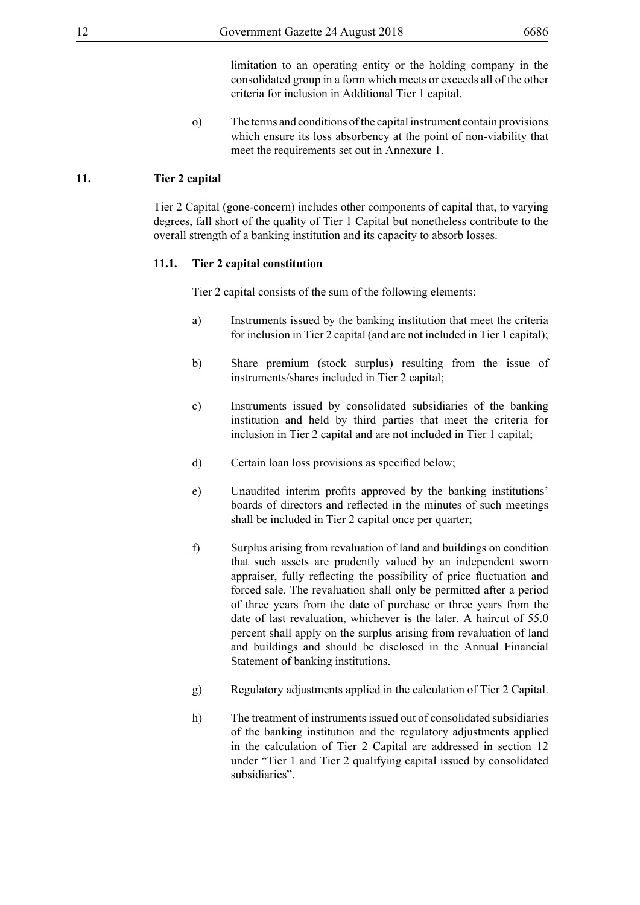limitation to an operating entity or the holding company in the consolidated group in a form which meets or exceeds all of the other criteria for inclusion in Additional Tier 1 capital.

o) The terms and conditions of the capital instrument contain provisions which ensure its loss absorbency at the point of non-viability that meet the requirements set out in Annexure 1.

# **11. Tier 2 capital**

Tier 2 Capital (gone-concern) includes other components of capital that, to varying degrees, fall short of the quality of Tier 1 Capital but nonetheless contribute to the overall strength of a banking institution and its capacity to absorb losses.

# **11.1. Tier 2 capital constitution**

Tier 2 capital consists of the sum of the following elements:

- a) Instruments issued by the banking institution that meet the criteria for inclusion in Tier 2 capital (and are not included in Tier 1 capital);
- b) Share premium (stock surplus) resulting from the issue of instruments/shares included in Tier 2 capital;
- c) Instruments issued by consolidated subsidiaries of the banking institution and held by third parties that meet the criteria for inclusion in Tier 2 capital and are not included in Tier 1 capital;
- d) Certain loan loss provisions as specified below;
- e) Unaudited interim profits approved by the banking institutions' boards of directors and reflected in the minutes of such meetings shall be included in Tier 2 capital once per quarter;
- f) Surplus arising from revaluation of land and buildings on condition that such assets are prudently valued by an independent sworn appraiser, fully reflecting the possibility of price fluctuation and forced sale. The revaluation shall only be permitted after a period of three years from the date of purchase or three years from the date of last revaluation, whichever is the later. A haircut of 55.0 percent shall apply on the surplus arising from revaluation of land and buildings and should be disclosed in the Annual Financial Statement of banking institutions.
- g) Regulatory adjustments applied in the calculation of Tier 2 Capital.
- h) The treatment of instruments issued out of consolidated subsidiaries of the banking institution and the regulatory adjustments applied in the calculation of Tier 2 Capital are addressed in section 12 under "Tier 1 and Tier 2 qualifying capital issued by consolidated subsidiaries".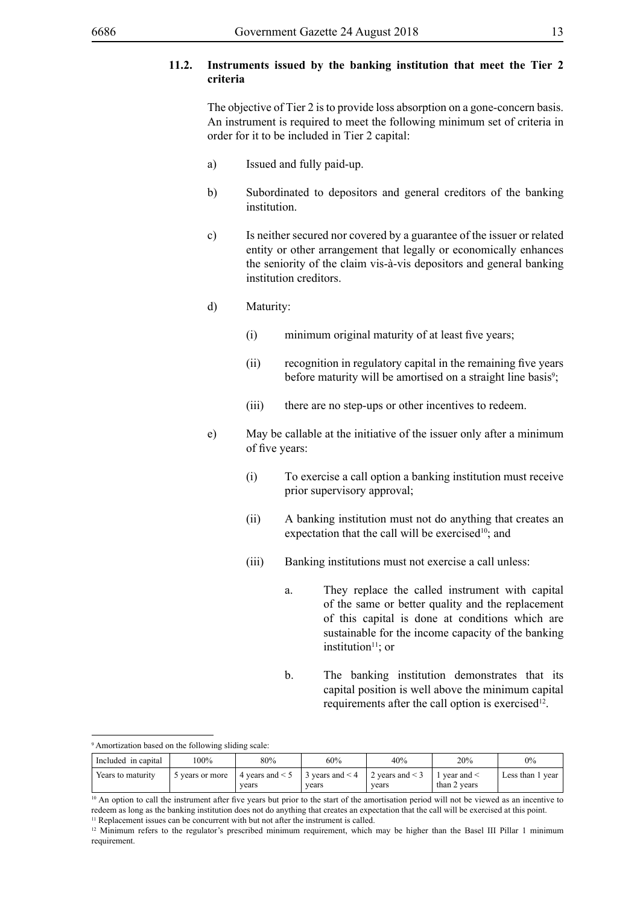# **11.2. Instruments issued by the banking institution that meet the Tier 2 criteria**

The objective of Tier 2 is to provide loss absorption on a gone-concern basis. An instrument is required to meet the following minimum set of criteria in order for it to be included in Tier 2 capital:

- a) Issued and fully paid-up.
- b) Subordinated to depositors and general creditors of the banking institution.
- c) Is neither secured nor covered by a guarantee of the issuer or related entity or other arrangement that legally or economically enhances the seniority of the claim vis-à-vis depositors and general banking institution creditors.
- d) Maturity:
	- (i) minimum original maturity of at least five years;
	- (ii) recognition in regulatory capital in the remaining five years before maturity will be amortised on a straight line basis<sup>9</sup>;
	- (iii) there are no step-ups or other incentives to redeem.
- e) May be callable at the initiative of the issuer only after a minimum of five years:
	- (i) To exercise a call option a banking institution must receive prior supervisory approval;
	- (ii) A banking institution must not do anything that creates an expectation that the call will be exercised $10$ ; and
	- (iii) Banking institutions must not exercise a call unless:
		- a. They replace the called instrument with capital of the same or better quality and the replacement of this capital is done at conditions which are sustainable for the income capacity of the banking institution $11$ ; or
		- b. The banking institution demonstrates that its capital position is well above the minimum capital requirements after the call option is exercised<sup>12</sup>.

9 Amortization based on the following sliding scale:

| Included in capital | 100%          | 80%                           | 60%                           | 40%                           | 20%                            | $0\%$               |
|---------------------|---------------|-------------------------------|-------------------------------|-------------------------------|--------------------------------|---------------------|
| Years to maturity   | vears or more | 4 years and $\leq 5$<br>vears | 3 years and $\leq$ 4<br>vears | 2 vears and $\leq$ 3<br>vears | vear and $\le$<br>than 2 years | Less than 1<br>vear |

<sup>&</sup>lt;sup>10</sup> An option to call the instrument after five years but prior to the start of the amortisation period will not be viewed as an incentive to redeem as long as the banking institution does not do anything that creates an expectation that the call will be exercised at this point. <sup>11</sup> Replacement issues can be concurrent with but not after the instrument is called.

<sup>&</sup>lt;sup>12</sup> Minimum refers to the regulator's prescribed minimum requirement, which may be higher than the Basel III Pillar 1 minimum requirement.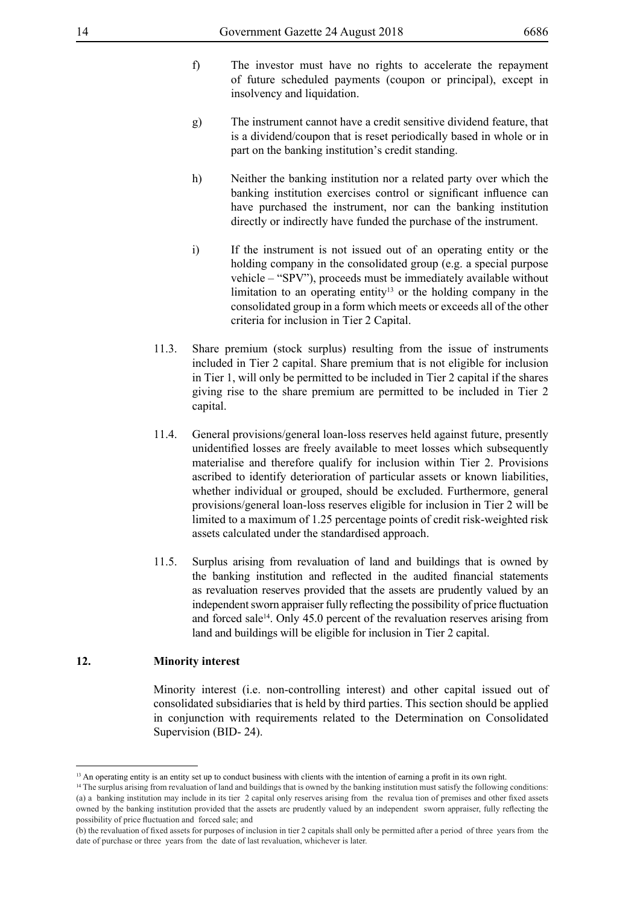- f) The investor must have no rights to accelerate the repayment of future scheduled payments (coupon or principal), except in insolvency and liquidation.
- g) The instrument cannot have a credit sensitive dividend feature, that is a dividend/coupon that is reset periodically based in whole or in part on the banking institution's credit standing.
- h) Neither the banking institution nor a related party over which the banking institution exercises control or significant influence can have purchased the instrument, nor can the banking institution directly or indirectly have funded the purchase of the instrument.
- i) If the instrument is not issued out of an operating entity or the holding company in the consolidated group (e.g. a special purpose vehicle – "SPV"), proceeds must be immediately available without limitation to an operating entity<sup>13</sup> or the holding company in the consolidated group in a form which meets or exceeds all of the other criteria for inclusion in Tier 2 Capital.
- 11.3. Share premium (stock surplus) resulting from the issue of instruments included in Tier 2 capital. Share premium that is not eligible for inclusion in Tier 1, will only be permitted to be included in Tier 2 capital if the shares giving rise to the share premium are permitted to be included in Tier 2 capital.
- 11.4. General provisions/general loan-loss reserves held against future, presently unidentified losses are freely available to meet losses which subsequently materialise and therefore qualify for inclusion within Tier 2. Provisions ascribed to identify deterioration of particular assets or known liabilities, whether individual or grouped, should be excluded. Furthermore, general provisions/general loan-loss reserves eligible for inclusion in Tier 2 will be limited to a maximum of 1.25 percentage points of credit risk-weighted risk assets calculated under the standardised approach.
- 11.5. Surplus arising from revaluation of land and buildings that is owned by the banking institution and reflected in the audited financial statements as revaluation reserves provided that the assets are prudently valued by an independent sworn appraiser fully reflecting the possibility of price fluctuation and forced sale<sup>14</sup>. Only 45.0 percent of the revaluation reserves arising from land and buildings will be eligible for inclusion in Tier 2 capital.

# **12. Minority interest**

Minority interest (i.e. non-controlling interest) and other capital issued out of consolidated subsidiaries that is held by third parties. This section should be applied in conjunction with requirements related to the Determination on Consolidated Supervision (BID- 24).

<sup>&</sup>lt;sup>13</sup> An operating entity is an entity set up to conduct business with clients with the intention of earning a profit in its own right.

<sup>&</sup>lt;sup>14</sup> The surplus arising from revaluation of land and buildings that is owned by the banking institution must satisfy the following conditions: (a) a banking institution may include in its tier 2 capital only reserves arising from the revalua tion of premises and other fixed assets owned by the banking institution provided that the assets are prudently valued by an independent sworn appraiser, fully reflecting the possibility of price fluctuation and forced sale; and

<sup>(</sup>b) the revaluation of fixed assets for purposes of inclusion in tier 2 capitals shall only be permitted after a period of three years from the date of purchase or three years from the date of last revaluation, whichever is later.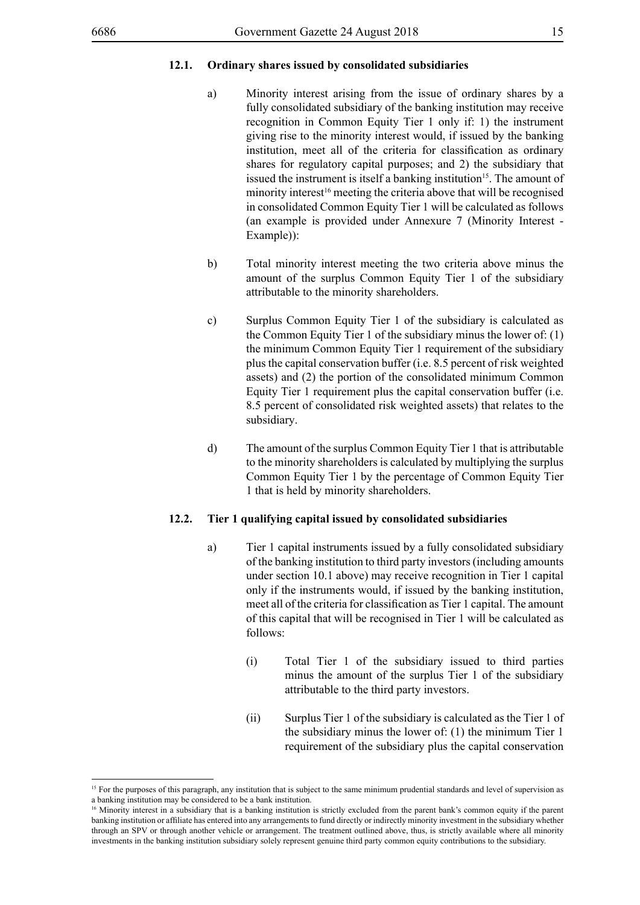#### **12.1. Ordinary shares issued by consolidated subsidiaries**

- a) Minority interest arising from the issue of ordinary shares by a fully consolidated subsidiary of the banking institution may receive recognition in Common Equity Tier 1 only if: 1) the instrument giving rise to the minority interest would, if issued by the banking institution, meet all of the criteria for classification as ordinary shares for regulatory capital purposes; and 2) the subsidiary that issued the instrument is itself a banking institution<sup>15</sup>. The amount of minority interest<sup>16</sup> meeting the criteria above that will be recognised in consolidated Common Equity Tier 1 will be calculated as follows (an example is provided under Annexure 7 (Minority Interest - Example)):
- b) Total minority interest meeting the two criteria above minus the amount of the surplus Common Equity Tier 1 of the subsidiary attributable to the minority shareholders.
- c) Surplus Common Equity Tier 1 of the subsidiary is calculated as the Common Equity Tier 1 of the subsidiary minus the lower of: (1) the minimum Common Equity Tier 1 requirement of the subsidiary plus the capital conservation buffer (i.e. 8.5 percent of risk weighted assets) and (2) the portion of the consolidated minimum Common Equity Tier 1 requirement plus the capital conservation buffer (i.e. 8.5 percent of consolidated risk weighted assets) that relates to the subsidiary.
- d) The amount of the surplus Common Equity Tier 1 that is attributable to the minority shareholders is calculated by multiplying the surplus Common Equity Tier 1 by the percentage of Common Equity Tier 1 that is held by minority shareholders.

#### **12.2. Tier 1 qualifying capital issued by consolidated subsidiaries**

- a) Tier 1 capital instruments issued by a fully consolidated subsidiary of the banking institution to third party investors (including amounts under section 10.1 above) may receive recognition in Tier 1 capital only if the instruments would, if issued by the banking institution, meet all of the criteria for classification as Tier 1 capital. The amount of this capital that will be recognised in Tier 1 will be calculated as follows:
	- (i) Total Tier 1 of the subsidiary issued to third parties minus the amount of the surplus Tier 1 of the subsidiary attributable to the third party investors.
	- (ii) Surplus Tier 1 of the subsidiary is calculated as the Tier 1 of the subsidiary minus the lower of: (1) the minimum Tier 1 requirement of the subsidiary plus the capital conservation

<sup>&</sup>lt;sup>15</sup> For the purposes of this paragraph, any institution that is subject to the same minimum prudential standards and level of supervision as a banking institution may be considered to be a bank institution.

<sup>&</sup>lt;sup>16</sup> Minority interest in a subsidiary that is a banking institution is strictly excluded from the parent bank's common equity if the parent banking institution or affiliate has entered into any arrangementsto fund directly or indirectly minority investment in the subsidiary whether through an SPV or through another vehicle or arrangement. The treatment outlined above, thus, is strictly available where all minority investments in the banking institution subsidiary solely represent genuine third party common equity contributions to the subsidiary.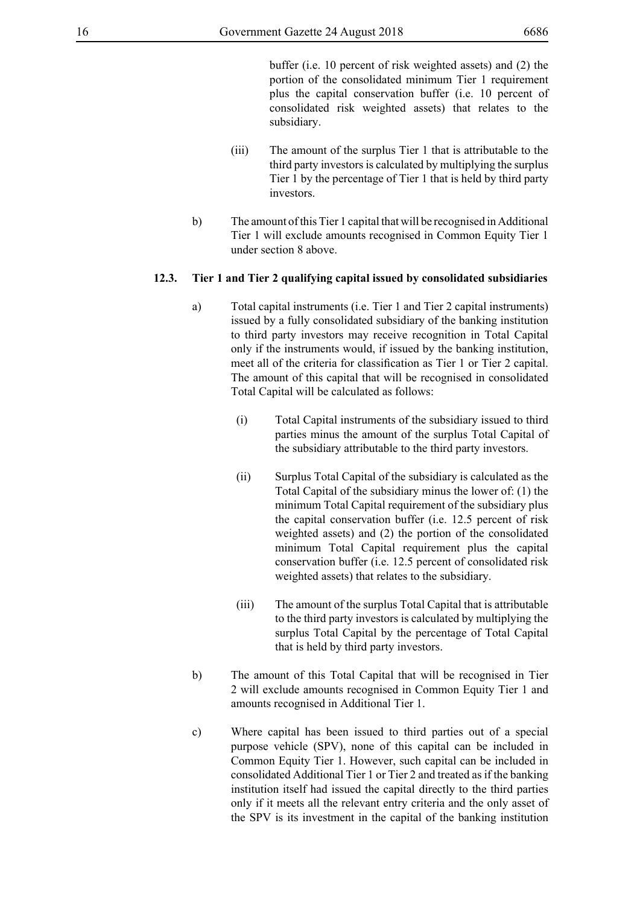buffer (i.e. 10 percent of risk weighted assets) and (2) the portion of the consolidated minimum Tier 1 requirement plus the capital conservation buffer (i.e. 10 percent of consolidated risk weighted assets) that relates to the subsidiary.

- (iii) The amount of the surplus Tier 1 that is attributable to the third party investors is calculated by multiplying the surplus Tier 1 by the percentage of Tier 1 that is held by third party investors.
- b) The amount of this Tier 1 capital that will be recognised in Additional Tier 1 will exclude amounts recognised in Common Equity Tier 1 under section 8 above.

# **12.3. Tier 1 and Tier 2 qualifying capital issued by consolidated subsidiaries**

- a) Total capital instruments (i.e. Tier 1 and Tier 2 capital instruments) issued by a fully consolidated subsidiary of the banking institution to third party investors may receive recognition in Total Capital only if the instruments would, if issued by the banking institution, meet all of the criteria for classification as Tier 1 or Tier 2 capital. The amount of this capital that will be recognised in consolidated Total Capital will be calculated as follows:
	- (i) Total Capital instruments of the subsidiary issued to third parties minus the amount of the surplus Total Capital of the subsidiary attributable to the third party investors.
	- (ii) Surplus Total Capital of the subsidiary is calculated as the Total Capital of the subsidiary minus the lower of: (1) the minimum Total Capital requirement of the subsidiary plus the capital conservation buffer (i.e. 12.5 percent of risk weighted assets) and (2) the portion of the consolidated minimum Total Capital requirement plus the capital conservation buffer (i.e. 12.5 percent of consolidated risk weighted assets) that relates to the subsidiary.
	- (iii) The amount of the surplus Total Capital that is attributable to the third party investors is calculated by multiplying the surplus Total Capital by the percentage of Total Capital that is held by third party investors.
- b) The amount of this Total Capital that will be recognised in Tier 2 will exclude amounts recognised in Common Equity Tier 1 and amounts recognised in Additional Tier 1.
- c) Where capital has been issued to third parties out of a special purpose vehicle (SPV), none of this capital can be included in Common Equity Tier 1. However, such capital can be included in consolidated Additional Tier 1 or Tier 2 and treated as if the banking institution itself had issued the capital directly to the third parties only if it meets all the relevant entry criteria and the only asset of the SPV is its investment in the capital of the banking institution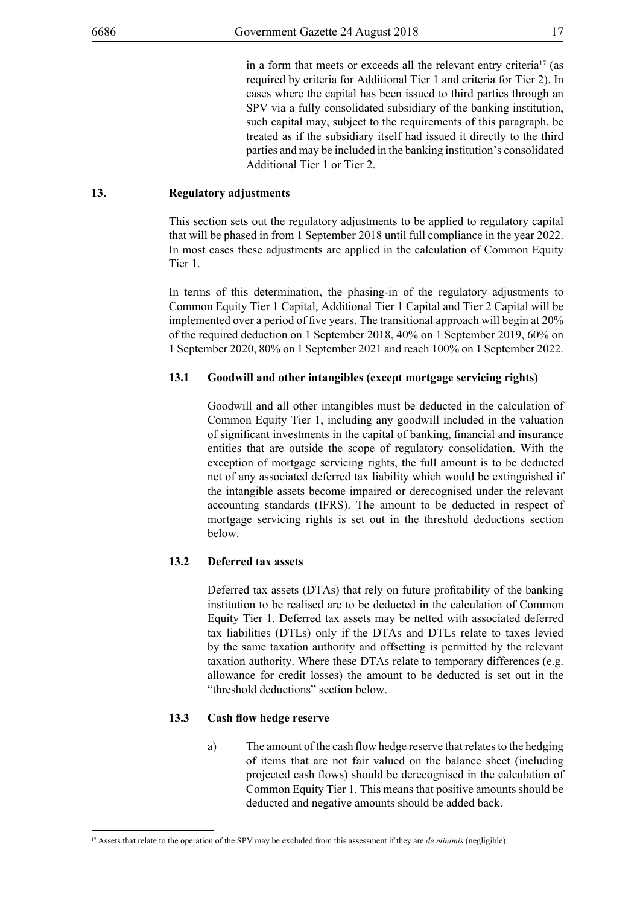in a form that meets or exceeds all the relevant entry criteria<sup>17</sup> (as required by criteria for Additional Tier 1 and criteria for Tier 2). In cases where the capital has been issued to third parties through an SPV via a fully consolidated subsidiary of the banking institution, such capital may, subject to the requirements of this paragraph, be treated as if the subsidiary itself had issued it directly to the third parties and may be included in the banking institution's consolidated Additional Tier 1 or Tier 2.

# **13. Regulatory adjustments**

This section sets out the regulatory adjustments to be applied to regulatory capital that will be phased in from 1 September 2018 until full compliance in the year 2022. In most cases these adjustments are applied in the calculation of Common Equity Tier 1.

In terms of this determination, the phasing-in of the regulatory adjustments to Common Equity Tier 1 Capital, Additional Tier 1 Capital and Tier 2 Capital will be implemented over a period of five years. The transitional approach will begin at 20% of the required deduction on 1 September 2018, 40% on 1 September 2019, 60% on 1 September 2020, 80% on 1 September 2021 and reach 100% on 1 September 2022.

# **13.1 Goodwill and other intangibles (except mortgage servicing rights)**

Goodwill and all other intangibles must be deducted in the calculation of Common Equity Tier 1, including any goodwill included in the valuation of significant investments in the capital of banking, financial and insurance entities that are outside the scope of regulatory consolidation. With the exception of mortgage servicing rights, the full amount is to be deducted net of any associated deferred tax liability which would be extinguished if the intangible assets become impaired or derecognised under the relevant accounting standards (IFRS). The amount to be deducted in respect of mortgage servicing rights is set out in the threshold deductions section below.

# **13.2 Deferred tax assets**

Deferred tax assets (DTAs) that rely on future profitability of the banking institution to be realised are to be deducted in the calculation of Common Equity Tier 1. Deferred tax assets may be netted with associated deferred tax liabilities (DTLs) only if the DTAs and DTLs relate to taxes levied by the same taxation authority and offsetting is permitted by the relevant taxation authority. Where these DTAs relate to temporary differences (e.g. allowance for credit losses) the amount to be deducted is set out in the "threshold deductions" section below.

# **13.3 Cash flow hedge reserve**

a) The amount of the cash flow hedge reserve that relates to the hedging of items that are not fair valued on the balance sheet (including projected cash flows) should be derecognised in the calculation of Common Equity Tier 1. This means that positive amounts should be deducted and negative amounts should be added back.

<sup>17</sup> Assets that relate to the operation of the SPV may be excluded from this assessment if they are *de minimis* (negligible).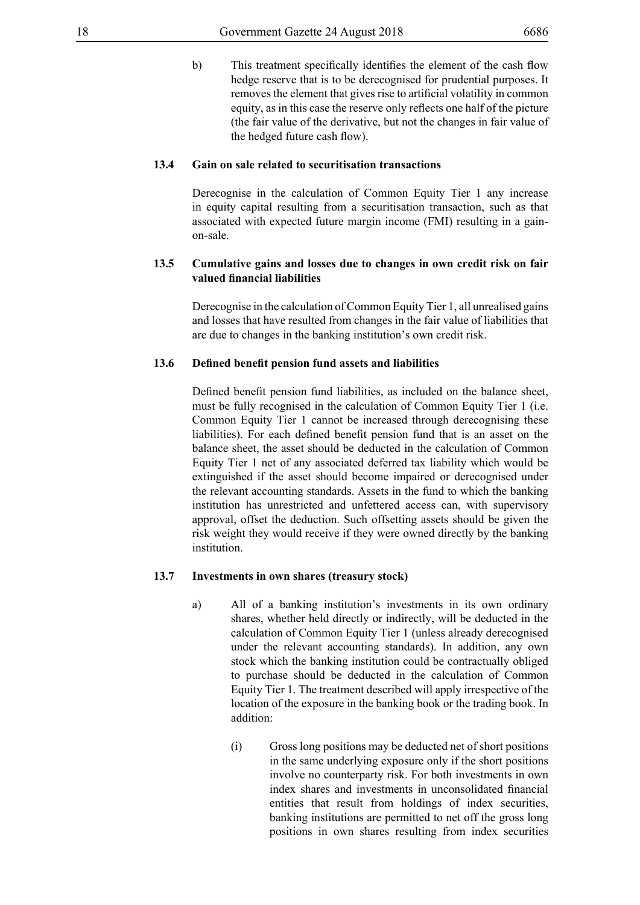b) This treatment specifically identifies the element of the cash flow hedge reserve that is to be derecognised for prudential purposes. It removes the element that gives rise to artificial volatility in common equity, as in this case the reserve only reflects one half of the picture (the fair value of the derivative, but not the changes in fair value of the hedged future cash flow).

#### **13.4 Gain on sale related to securitisation transactions**

Derecognise in the calculation of Common Equity Tier 1 any increase in equity capital resulting from a securitisation transaction, such as that associated with expected future margin income (FMI) resulting in a gainon-sale.

# **13.5 Cumulative gains and losses due to changes in own credit risk on fair valued financial liabilities**

Derecognise in the calculation of Common Equity Tier 1, all unrealised gains and losses that have resulted from changes in the fair value of liabilities that are due to changes in the banking institution's own credit risk.

# **13.6 Defined benefit pension fund assets and liabilities**

Defined benefit pension fund liabilities, as included on the balance sheet, must be fully recognised in the calculation of Common Equity Tier 1 (i.e. Common Equity Tier 1 cannot be increased through derecognising these liabilities). For each defined benefit pension fund that is an asset on the balance sheet, the asset should be deducted in the calculation of Common Equity Tier 1 net of any associated deferred tax liability which would be extinguished if the asset should become impaired or derecognised under the relevant accounting standards. Assets in the fund to which the banking institution has unrestricted and unfettered access can, with supervisory approval, offset the deduction. Such offsetting assets should be given the risk weight they would receive if they were owned directly by the banking institution.

#### **13.7 Investments in own shares (treasury stock)**

- a) All of a banking institution's investments in its own ordinary shares, whether held directly or indirectly, will be deducted in the calculation of Common Equity Tier 1 (unless already derecognised under the relevant accounting standards). In addition, any own stock which the banking institution could be contractually obliged to purchase should be deducted in the calculation of Common Equity Tier 1. The treatment described will apply irrespective of the location of the exposure in the banking book or the trading book. In addition:
	- (i) Gross long positions may be deducted net of short positions in the same underlying exposure only if the short positions involve no counterparty risk. For both investments in own index shares and investments in unconsolidated financial entities that result from holdings of index securities, banking institutions are permitted to net off the gross long positions in own shares resulting from index securities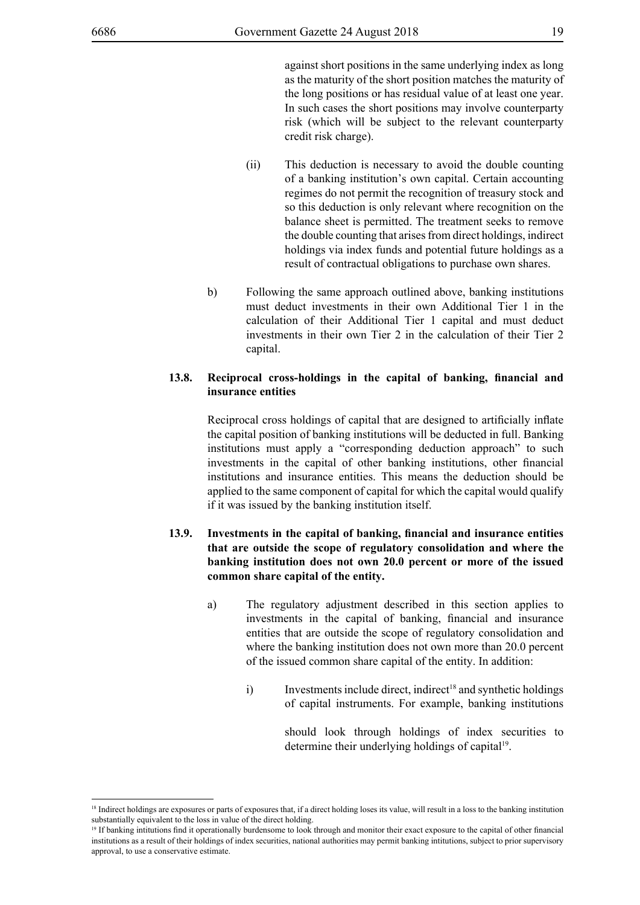against short positions in the same underlying index as long as the maturity of the short position matches the maturity of the long positions or has residual value of at least one year. In such cases the short positions may involve counterparty risk (which will be subject to the relevant counterparty credit risk charge).

- (ii) This deduction is necessary to avoid the double counting of a banking institution's own capital. Certain accounting regimes do not permit the recognition of treasury stock and so this deduction is only relevant where recognition on the balance sheet is permitted. The treatment seeks to remove the double counting that arises from direct holdings, indirect holdings via index funds and potential future holdings as a result of contractual obligations to purchase own shares.
- b) Following the same approach outlined above, banking institutions must deduct investments in their own Additional Tier 1 in the calculation of their Additional Tier 1 capital and must deduct investments in their own Tier 2 in the calculation of their Tier 2 capital.

# **13.8. Reciprocal cross-holdings in the capital of banking, financial and insurance entities**

Reciprocal cross holdings of capital that are designed to artificially inflate the capital position of banking institutions will be deducted in full. Banking institutions must apply a "corresponding deduction approach" to such investments in the capital of other banking institutions, other financial institutions and insurance entities. This means the deduction should be applied to the same component of capital for which the capital would qualify if it was issued by the banking institution itself.

# **13.9. Investments in the capital of banking, financial and insurance entities that are outside the scope of regulatory consolidation and where the banking institution does not own 20.0 percent or more of the issued common share capital of the entity.**

- a) The regulatory adjustment described in this section applies to investments in the capital of banking, financial and insurance entities that are outside the scope of regulatory consolidation and where the banking institution does not own more than 20.0 percent of the issued common share capital of the entity. In addition:
	- i) Investments include direct, indirect<sup>18</sup> and synthetic holdings of capital instruments. For example, banking institutions

should look through holdings of index securities to determine their underlying holdings of capital<sup>19</sup>.

<sup>&</sup>lt;sup>18</sup> Indirect holdings are exposures or parts of exposures that, if a direct holding loses its value, will result in a loss to the banking institution substantially equivalent to the loss in value of the direct holding.

<sup>19</sup> If banking intitutions find it operationally burdensome to look through and monitor their exact exposure to the capital of other financial institutions as a result of their holdings of index securities, national authorities may permit banking intitutions, subject to prior supervisory approval, to use a conservative estimate.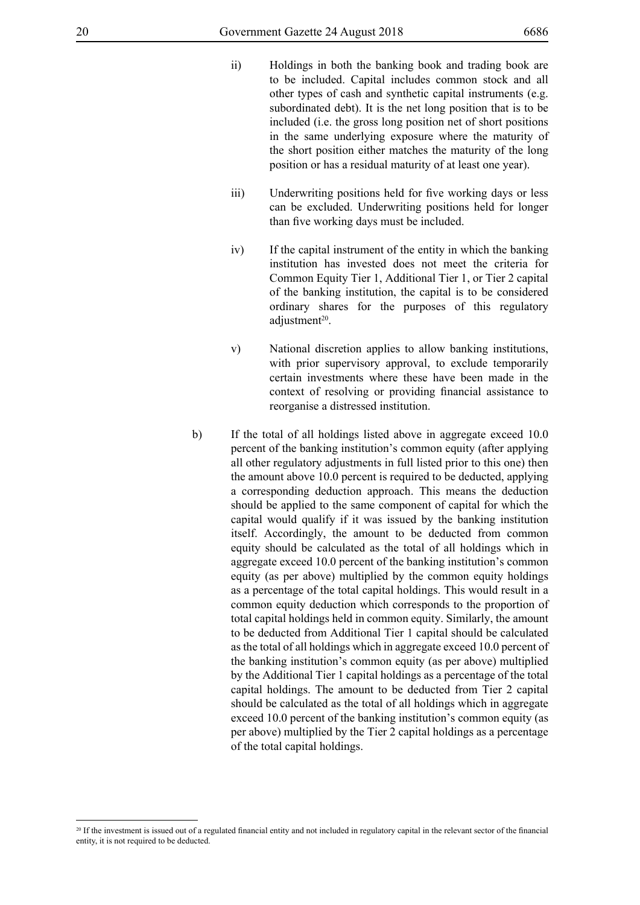- ii) Holdings in both the banking book and trading book are to be included. Capital includes common stock and all other types of cash and synthetic capital instruments (e.g. subordinated debt). It is the net long position that is to be included (i.e. the gross long position net of short positions in the same underlying exposure where the maturity of the short position either matches the maturity of the long position or has a residual maturity of at least one year).
- iii) Underwriting positions held for five working days or less can be excluded. Underwriting positions held for longer than five working days must be included.
- iv) If the capital instrument of the entity in which the banking institution has invested does not meet the criteria for Common Equity Tier 1, Additional Tier 1, or Tier 2 capital of the banking institution, the capital is to be considered ordinary shares for the purposes of this regulatory adjustment<sup>20</sup>.
- v) National discretion applies to allow banking institutions, with prior supervisory approval, to exclude temporarily certain investments where these have been made in the context of resolving or providing financial assistance to reorganise a distressed institution.
- b) If the total of all holdings listed above in aggregate exceed 10.0 percent of the banking institution's common equity (after applying all other regulatory adjustments in full listed prior to this one) then the amount above 10.0 percent is required to be deducted, applying a corresponding deduction approach. This means the deduction should be applied to the same component of capital for which the capital would qualify if it was issued by the banking institution itself. Accordingly, the amount to be deducted from common equity should be calculated as the total of all holdings which in aggregate exceed 10.0 percent of the banking institution's common equity (as per above) multiplied by the common equity holdings as a percentage of the total capital holdings. This would result in a common equity deduction which corresponds to the proportion of total capital holdings held in common equity. Similarly, the amount to be deducted from Additional Tier 1 capital should be calculated as the total of all holdings which in aggregate exceed 10.0 percent of the banking institution's common equity (as per above) multiplied by the Additional Tier 1 capital holdings as a percentage of the total capital holdings. The amount to be deducted from Tier 2 capital should be calculated as the total of all holdings which in aggregate exceed 10.0 percent of the banking institution's common equity (as per above) multiplied by the Tier 2 capital holdings as a percentage of the total capital holdings.

<sup>&</sup>lt;sup>20</sup> If the investment is issued out of a regulated financial entity and not included in regulatory capital in the relevant sector of the financial entity, it is not required to be deducted.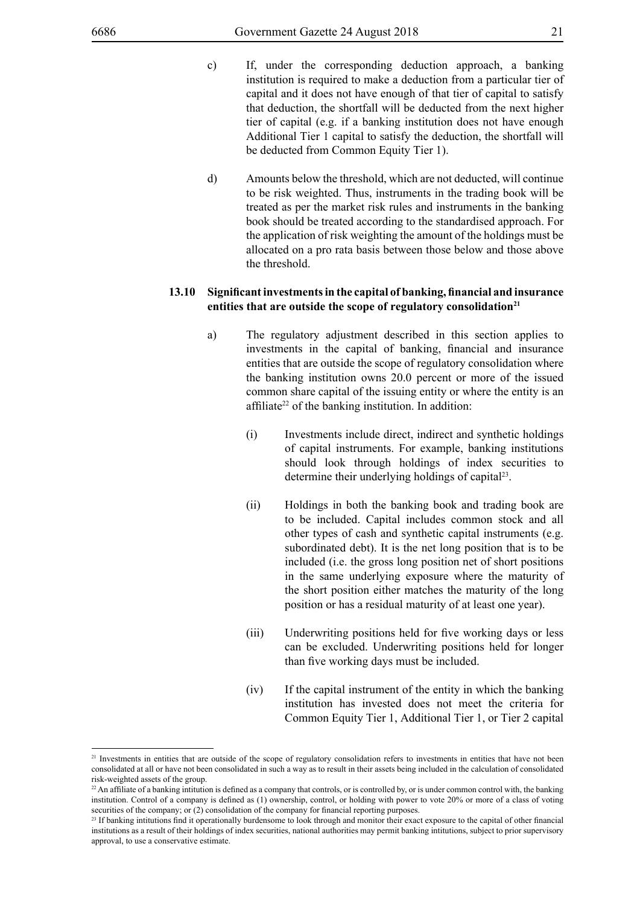- c) If, under the corresponding deduction approach, a banking institution is required to make a deduction from a particular tier of capital and it does not have enough of that tier of capital to satisfy that deduction, the shortfall will be deducted from the next higher tier of capital (e.g. if a banking institution does not have enough Additional Tier 1 capital to satisfy the deduction, the shortfall will be deducted from Common Equity Tier 1).
- d) Amounts below the threshold, which are not deducted, will continue to be risk weighted. Thus, instruments in the trading book will be treated as per the market risk rules and instruments in the banking book should be treated according to the standardised approach. For the application of risk weighting the amount of the holdings must be allocated on a pro rata basis between those below and those above the threshold.

#### **13.10 Significantinvestmentsin the capital of banking, financial and insurance** entities that are outside the scope of regulatory consolidation<sup>21</sup>

- a) The regulatory adjustment described in this section applies to investments in the capital of banking, financial and insurance entities that are outside the scope of regulatory consolidation where the banking institution owns 20.0 percent or more of the issued common share capital of the issuing entity or where the entity is an affiliate<sup>22</sup> of the banking institution. In addition:
	- (i) Investments include direct, indirect and synthetic holdings of capital instruments. For example, banking institutions should look through holdings of index securities to determine their underlying holdings of capital<sup>23</sup>.
	- (ii) Holdings in both the banking book and trading book are to be included. Capital includes common stock and all other types of cash and synthetic capital instruments (e.g. subordinated debt). It is the net long position that is to be included (i.e. the gross long position net of short positions in the same underlying exposure where the maturity of the short position either matches the maturity of the long position or has a residual maturity of at least one year).
	- (iii) Underwriting positions held for five working days or less can be excluded. Underwriting positions held for longer than five working days must be included.
	- (iv) If the capital instrument of the entity in which the banking institution has invested does not meet the criteria for Common Equity Tier 1, Additional Tier 1, or Tier 2 capital

<sup>&</sup>lt;sup>21</sup> Investments in entities that are outside of the scope of regulatory consolidation refers to investments in entities that have not been consolidated at all or have not been consolidated in such a way as to result in their assets being included in the calculation of consolidated risk-weighted assets of the group.

 $^{22}$  An affiliate of a banking intitution is defined as a company that controls, or is controlled by, or is under common control with, the banking institution. Control of a company is defined as (1) ownership, control, or holding with power to vote 20% or more of a class of voting securities of the company; or (2) consolidation of the company for financial reporting purposes.

<sup>&</sup>lt;sup>23</sup> If banking intitutions find it operationally burdensome to look through and monitor their exact exposure to the capital of other financial institutions as a result of their holdings of index securities, national authorities may permit banking intitutions, subject to prior supervisory approval, to use a conservative estimate.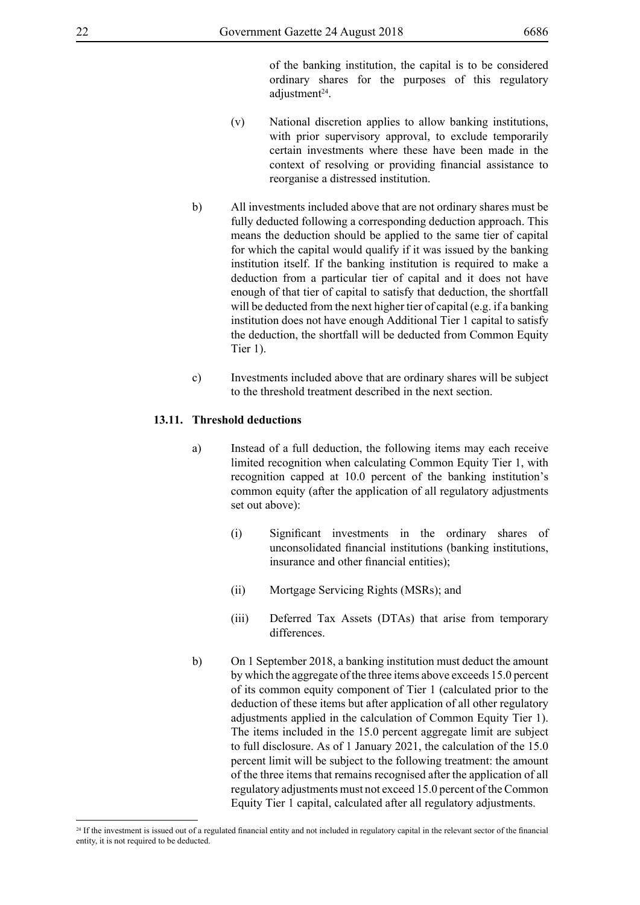of the banking institution, the capital is to be considered ordinary shares for the purposes of this regulatory adjustment<sup>24</sup>.

- (v) National discretion applies to allow banking institutions, with prior supervisory approval, to exclude temporarily certain investments where these have been made in the context of resolving or providing financial assistance to reorganise a distressed institution.
- b) All investments included above that are not ordinary shares must be fully deducted following a corresponding deduction approach. This means the deduction should be applied to the same tier of capital for which the capital would qualify if it was issued by the banking institution itself. If the banking institution is required to make a deduction from a particular tier of capital and it does not have enough of that tier of capital to satisfy that deduction, the shortfall will be deducted from the next higher tier of capital (e.g. if a banking institution does not have enough Additional Tier 1 capital to satisfy the deduction, the shortfall will be deducted from Common Equity Tier 1).
- c) Investments included above that are ordinary shares will be subject to the threshold treatment described in the next section.

# **13.11. Threshold deductions**

- a) Instead of a full deduction, the following items may each receive limited recognition when calculating Common Equity Tier 1, with recognition capped at 10.0 percent of the banking institution's common equity (after the application of all regulatory adjustments set out above):
	- (i) Significant investments in the ordinary shares of unconsolidated financial institutions (banking institutions, insurance and other financial entities);
	- (ii) Mortgage Servicing Rights (MSRs); and
	- (iii) Deferred Tax Assets (DTAs) that arise from temporary differences.
- b) On 1 September 2018, a banking institution must deduct the amount by which the aggregate of the three items above exceeds 15.0 percent of its common equity component of Tier 1 (calculated prior to the deduction of these items but after application of all other regulatory adjustments applied in the calculation of Common Equity Tier 1). The items included in the 15.0 percent aggregate limit are subject to full disclosure. As of 1 January 2021, the calculation of the 15.0 percent limit will be subject to the following treatment: the amount of the three items that remains recognised after the application of all regulatory adjustments must not exceed 15.0 percent of the Common Equity Tier 1 capital, calculated after all regulatory adjustments.

<sup>&</sup>lt;sup>24</sup> If the investment is issued out of a regulated financial entity and not included in regulatory capital in the relevant sector of the financial entity, it is not required to be deducted.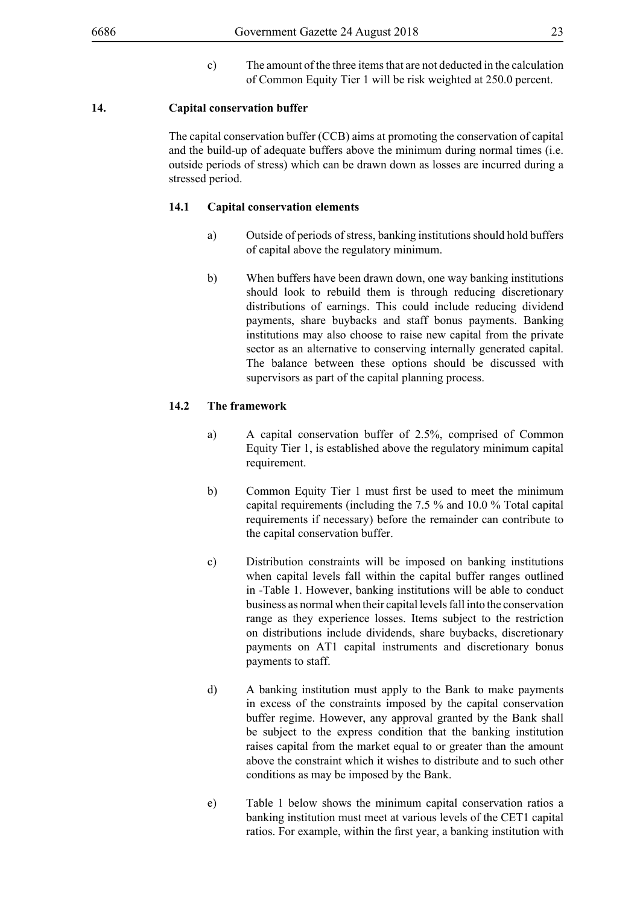c) The amount of the three items that are not deducted in the calculation of Common Equity Tier 1 will be risk weighted at 250.0 percent.

#### **14. Capital conservation buffer**

The capital conservation buffer (CCB) aims at promoting the conservation of capital and the build-up of adequate buffers above the minimum during normal times (i.e. outside periods of stress) which can be drawn down as losses are incurred during a stressed period.

#### **14.1 Capital conservation elements**

- a) Outside of periods of stress, banking institutions should hold buffers of capital above the regulatory minimum.
- b) When buffers have been drawn down, one way banking institutions should look to rebuild them is through reducing discretionary distributions of earnings. This could include reducing dividend payments, share buybacks and staff bonus payments. Banking institutions may also choose to raise new capital from the private sector as an alternative to conserving internally generated capital. The balance between these options should be discussed with supervisors as part of the capital planning process.

# **14.2 The framework**

- a) A capital conservation buffer of 2.5%, comprised of Common Equity Tier 1, is established above the regulatory minimum capital requirement.
- b) Common Equity Tier 1 must first be used to meet the minimum capital requirements (including the 7.5 % and 10.0 % Total capital requirements if necessary) before the remainder can contribute to the capital conservation buffer.
- c) Distribution constraints will be imposed on banking institutions when capital levels fall within the capital buffer ranges outlined in -Table 1. However, banking institutions will be able to conduct business as normal when their capital levels fall into the conservation range as they experience losses. Items subject to the restriction on distributions include dividends, share buybacks, discretionary payments on AT1 capital instruments and discretionary bonus payments to staff.
- d) A banking institution must apply to the Bank to make payments in excess of the constraints imposed by the capital conservation buffer regime. However, any approval granted by the Bank shall be subject to the express condition that the banking institution raises capital from the market equal to or greater than the amount above the constraint which it wishes to distribute and to such other conditions as may be imposed by the Bank.
- e) Table 1 below shows the minimum capital conservation ratios a banking institution must meet at various levels of the CET1 capital ratios. For example, within the first year, a banking institution with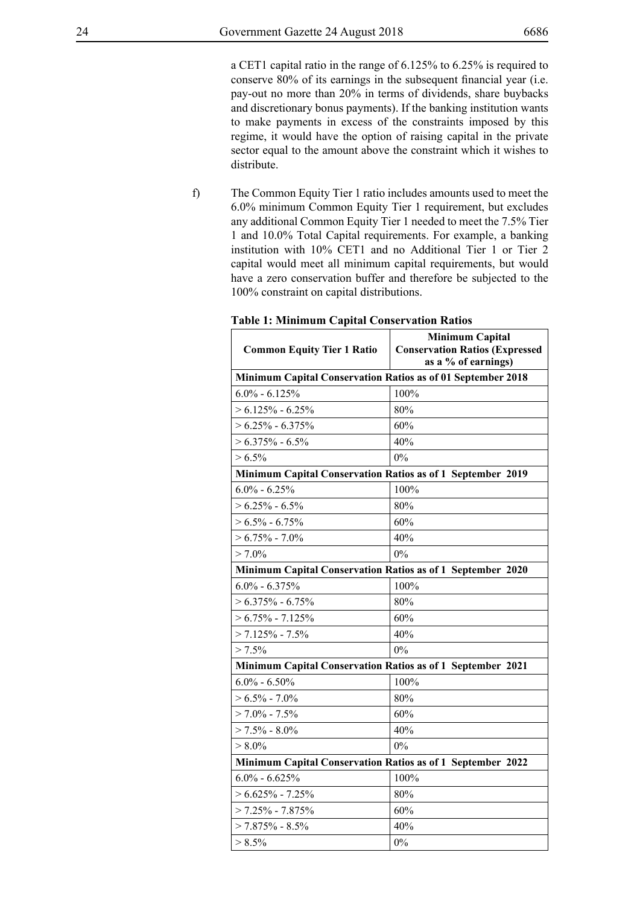a CET1 capital ratio in the range of 6.125% to 6.25% is required to conserve 80% of its earnings in the subsequent financial year (i.e. pay-out no more than 20% in terms of dividends, share buybacks and discretionary bonus payments). If the banking institution wants to make payments in excess of the constraints imposed by this regime, it would have the option of raising capital in the private sector equal to the amount above the constraint which it wishes to distribute.

f) The Common Equity Tier 1 ratio includes amounts used to meet the 6.0% minimum Common Equity Tier 1 requirement, but excludes any additional Common Equity Tier 1 needed to meet the 7.5% Tier 1 and 10.0% Total Capital requirements. For example, a banking institution with 10% CET1 and no Additional Tier 1 or Tier 2 capital would meet all minimum capital requirements, but would have a zero conservation buffer and therefore be subjected to the 100% constraint on capital distributions.

| <i>Han</i> Conservation Ratios<br><b>Common Equity Tier 1 Ratio</b> | <b>Minimum Capital</b><br><b>Conservation Ratios (Expressed)</b><br>as a % of earnings) |  |  |  |  |  |  |
|---------------------------------------------------------------------|-----------------------------------------------------------------------------------------|--|--|--|--|--|--|
| Minimum Capital Conservation Ratios as of 01 September 2018         |                                                                                         |  |  |  |  |  |  |
| $6.0\% - 6.125\%$                                                   | 100%                                                                                    |  |  |  |  |  |  |
| $> 6.125\% - 6.25\%$                                                | 80%                                                                                     |  |  |  |  |  |  |
| $> 6.25\% - 6.375\%$                                                | 60%                                                                                     |  |  |  |  |  |  |
| $> 6.375\% - 6.5\%$                                                 | 40%                                                                                     |  |  |  |  |  |  |
| $> 6.5\%$                                                           | 0%                                                                                      |  |  |  |  |  |  |
| Minimum Capital Conservation Ratios as of 1 September 2019          |                                                                                         |  |  |  |  |  |  |
| $6.0\% - 6.25\%$                                                    | 100%                                                                                    |  |  |  |  |  |  |
| $> 6.25\% - 6.5\%$                                                  | 80%                                                                                     |  |  |  |  |  |  |
| $> 6.5\% - 6.75\%$                                                  | 60%                                                                                     |  |  |  |  |  |  |
| $> 6.75\% - 7.0\%$                                                  | 40%                                                                                     |  |  |  |  |  |  |
| $> 7.0\%$                                                           | 0%                                                                                      |  |  |  |  |  |  |
| Minimum Capital Conservation Ratios as of 1 September 2020          |                                                                                         |  |  |  |  |  |  |
| $6.0\% - 6.375\%$                                                   | 100%                                                                                    |  |  |  |  |  |  |
| $> 6.375\% - 6.75\%$                                                | 80%                                                                                     |  |  |  |  |  |  |
| $> 6.75\% - 7.125\%$                                                | 60%                                                                                     |  |  |  |  |  |  |
| $> 7.125\% - 7.5\%$                                                 | 40%                                                                                     |  |  |  |  |  |  |
| $> 7.5\%$                                                           | 0%                                                                                      |  |  |  |  |  |  |
| Minimum Capital Conservation Ratios as of 1 September 2021          |                                                                                         |  |  |  |  |  |  |
| $6.0\% - 6.50\%$                                                    | 100%                                                                                    |  |  |  |  |  |  |
| $> 6.5\% - 7.0\%$                                                   | 80%                                                                                     |  |  |  |  |  |  |
| $> 7.0\%$ - 7.5%                                                    | 60%                                                                                     |  |  |  |  |  |  |
| $> 7.5\% - 8.0\%$                                                   | 40%                                                                                     |  |  |  |  |  |  |
| $> 8.0\%$                                                           | 0%                                                                                      |  |  |  |  |  |  |
| Minimum Capital Conservation Ratios as of 1 September 2022          |                                                                                         |  |  |  |  |  |  |
| $6.0\% - 6.625\%$                                                   | 100%                                                                                    |  |  |  |  |  |  |
| $> 6.625\% - 7.25\%$                                                | 80%                                                                                     |  |  |  |  |  |  |
| $> 7.25\%$ - 7.875%                                                 | 60%                                                                                     |  |  |  |  |  |  |
| $> 7.875\%$ - 8.5%                                                  | 40%                                                                                     |  |  |  |  |  |  |
| $> 8.5\%$                                                           | 0%                                                                                      |  |  |  |  |  |  |

# **Table 1: Minimum Capital Conservation Ratios**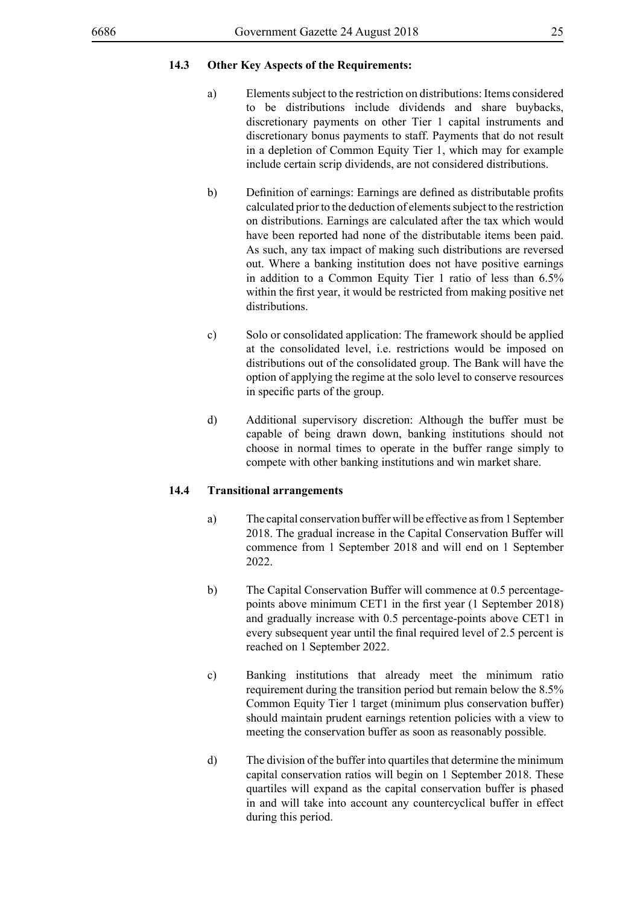# **14.3 Other Key Aspects of the Requirements:**

- a) Elements subject to the restriction on distributions: Items considered to be distributions include dividends and share buybacks, discretionary payments on other Tier 1 capital instruments and discretionary bonus payments to staff. Payments that do not result in a depletion of Common Equity Tier 1, which may for example include certain scrip dividends, are not considered distributions.
- b) Definition of earnings: Earnings are defined as distributable profits calculated prior to the deduction of elements subject to the restriction on distributions. Earnings are calculated after the tax which would have been reported had none of the distributable items been paid. As such, any tax impact of making such distributions are reversed out. Where a banking institution does not have positive earnings in addition to a Common Equity Tier 1 ratio of less than 6.5% within the first year, it would be restricted from making positive net distributions.
- c) Solo or consolidated application: The framework should be applied at the consolidated level, i.e. restrictions would be imposed on distributions out of the consolidated group. The Bank will have the option of applying the regime at the solo level to conserve resources in specific parts of the group.
- d) Additional supervisory discretion: Although the buffer must be capable of being drawn down, banking institutions should not choose in normal times to operate in the buffer range simply to compete with other banking institutions and win market share.

#### **14.4 Transitional arrangements**

- a) The capital conservation buffer will be effective as from 1 September 2018. The gradual increase in the Capital Conservation Buffer will commence from 1 September 2018 and will end on 1 September 2022.
- b) The Capital Conservation Buffer will commence at 0.5 percentagepoints above minimum CET1 in the first year (1 September 2018) and gradually increase with 0.5 percentage-points above CET1 in every subsequent year until the final required level of 2.5 percent is reached on 1 September 2022.
- c) Banking institutions that already meet the minimum ratio requirement during the transition period but remain below the 8.5% Common Equity Tier 1 target (minimum plus conservation buffer) should maintain prudent earnings retention policies with a view to meeting the conservation buffer as soon as reasonably possible.
- d) The division of the buffer into quartiles that determine the minimum capital conservation ratios will begin on 1 September 2018. These quartiles will expand as the capital conservation buffer is phased in and will take into account any countercyclical buffer in effect during this period.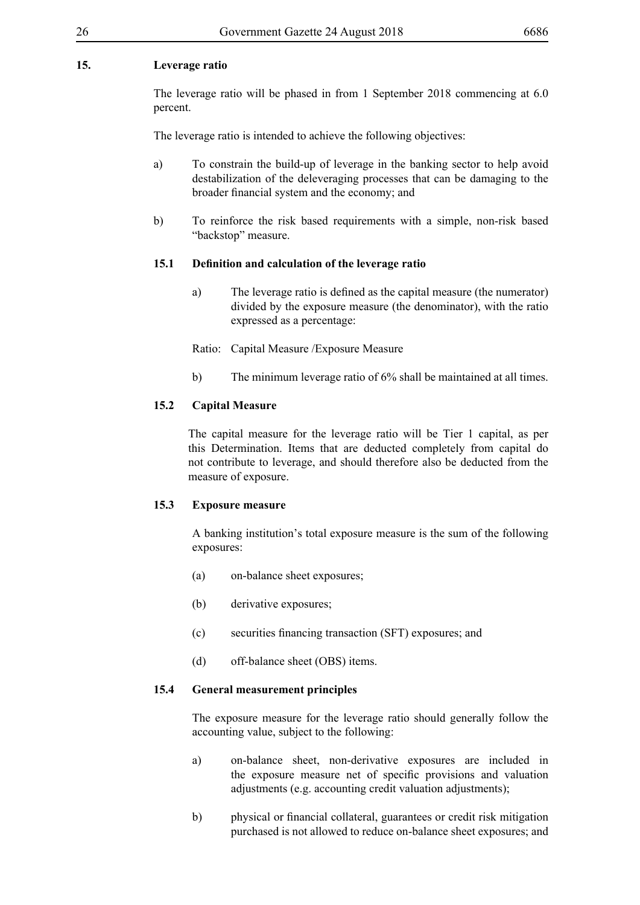# **15. Leverage ratio**

The leverage ratio will be phased in from 1 September 2018 commencing at 6.0 percent.

The leverage ratio is intended to achieve the following objectives:

- a) To constrain the build-up of leverage in the banking sector to help avoid destabilization of the deleveraging processes that can be damaging to the broader financial system and the economy; and
- b) To reinforce the risk based requirements with a simple, non-risk based "backstop" measure.

#### **15.1 Definition and calculation of the leverage ratio**

a) The leverage ratio is defined as the capital measure (the numerator) divided by the exposure measure (the denominator), with the ratio expressed as a percentage:

Ratio: Capital Measure /Exposure Measure

b) The minimum leverage ratio of 6% shall be maintained at all times.

#### **15.2 Capital Measure**

The capital measure for the leverage ratio will be Tier 1 capital, as per this Determination. Items that are deducted completely from capital do not contribute to leverage, and should therefore also be deducted from the measure of exposure.

#### **15.3 Exposure measure**

A banking institution's total exposure measure is the sum of the following exposures:

- (a) on-balance sheet exposures;
- (b) derivative exposures;
- (c) securities financing transaction (SFT) exposures; and
- (d) off-balance sheet (OBS) items.

## **15.4 General measurement principles**

The exposure measure for the leverage ratio should generally follow the accounting value, subject to the following:

- a) on-balance sheet, non-derivative exposures are included in the exposure measure net of specific provisions and valuation adjustments (e.g. accounting credit valuation adjustments);
- b) physical or financial collateral, guarantees or credit risk mitigation purchased is not allowed to reduce on-balance sheet exposures; and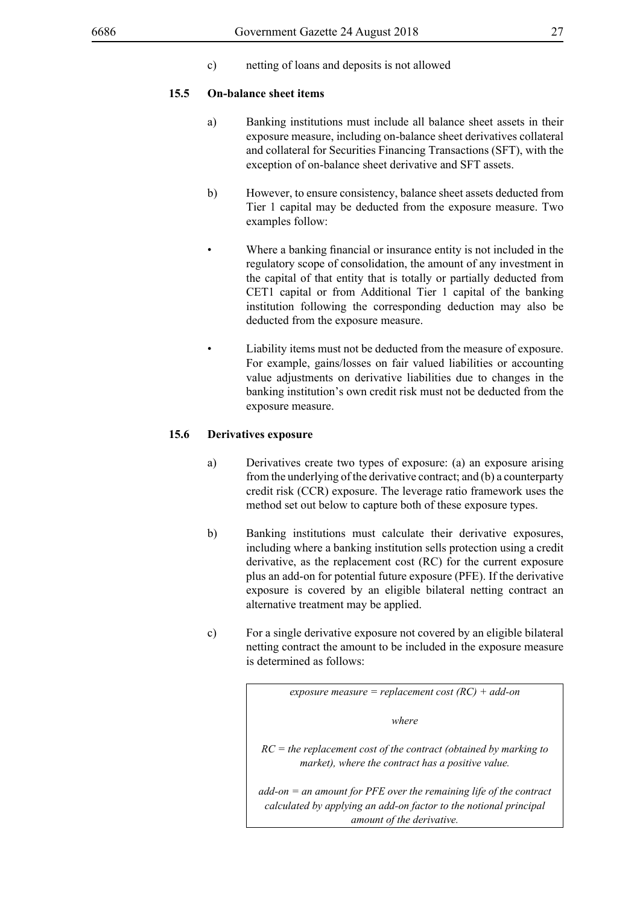c) netting of loans and deposits is not allowed

#### **15.5 On-balance sheet items**

- a) Banking institutions must include all balance sheet assets in their exposure measure, including on-balance sheet derivatives collateral and collateral for Securities Financing Transactions (SFT), with the exception of on-balance sheet derivative and SFT assets.
- b) However, to ensure consistency, balance sheet assets deducted from Tier 1 capital may be deducted from the exposure measure. Two examples follow:
- Where a banking financial or insurance entity is not included in the regulatory scope of consolidation, the amount of any investment in the capital of that entity that is totally or partially deducted from CET1 capital or from Additional Tier 1 capital of the banking institution following the corresponding deduction may also be deducted from the exposure measure.
- Liability items must not be deducted from the measure of exposure. For example, gains/losses on fair valued liabilities or accounting value adjustments on derivative liabilities due to changes in the banking institution's own credit risk must not be deducted from the exposure measure.

#### **15.6 Derivatives exposure**

- a) Derivatives create two types of exposure: (a) an exposure arising from the underlying of the derivative contract; and (b) a counterparty credit risk (CCR) exposure. The leverage ratio framework uses the method set out below to capture both of these exposure types.
- b) Banking institutions must calculate their derivative exposures, including where a banking institution sells protection using a credit derivative, as the replacement cost (RC) for the current exposure plus an add-on for potential future exposure (PFE). If the derivative exposure is covered by an eligible bilateral netting contract an alternative treatment may be applied.
- c) For a single derivative exposure not covered by an eligible bilateral netting contract the amount to be included in the exposure measure is determined as follows:

| exposure measure = replacement cost $(RC)$ + add-on                                                                                                                    |  |  |  |  |  |
|------------------------------------------------------------------------------------------------------------------------------------------------------------------------|--|--|--|--|--|
| where                                                                                                                                                                  |  |  |  |  |  |
| $RC =$ the replacement cost of the contract (obtained by marking to<br>market), where the contract has a positive value.                                               |  |  |  |  |  |
| $add-on = an$ amount for PFE over the remaining life of the contract<br>calculated by applying an add-on factor to the notional principal<br>amount of the derivative. |  |  |  |  |  |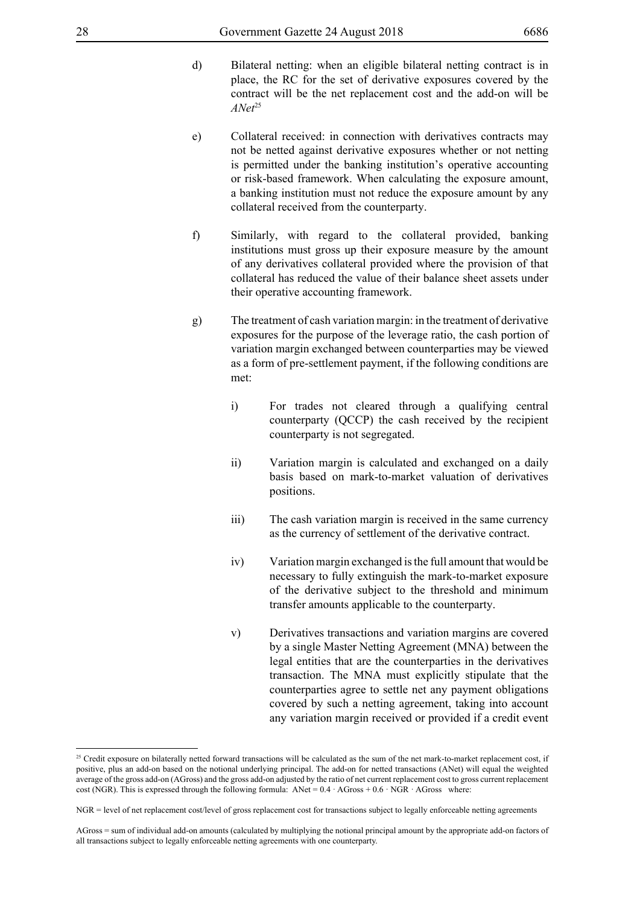- d) Bilateral netting: when an eligible bilateral netting contract is in place, the RC for the set of derivative exposures covered by the contract will be the net replacement cost and the add-on will be *ANet*25
- e) Collateral received: in connection with derivatives contracts may not be netted against derivative exposures whether or not netting is permitted under the banking institution's operative accounting or risk-based framework. When calculating the exposure amount, a banking institution must not reduce the exposure amount by any collateral received from the counterparty.
- f) Similarly, with regard to the collateral provided, banking institutions must gross up their exposure measure by the amount of any derivatives collateral provided where the provision of that collateral has reduced the value of their balance sheet assets under their operative accounting framework.
- g) The treatment of cash variation margin: in the treatment of derivative exposures for the purpose of the leverage ratio, the cash portion of variation margin exchanged between counterparties may be viewed as a form of pre-settlement payment, if the following conditions are met:
	- i) For trades not cleared through a qualifying central counterparty (QCCP) the cash received by the recipient counterparty is not segregated.
	- ii) Variation margin is calculated and exchanged on a daily basis based on mark-to-market valuation of derivatives positions.
	- iii) The cash variation margin is received in the same currency as the currency of settlement of the derivative contract.
	- iv) Variation margin exchanged is the full amount that would be necessary to fully extinguish the mark-to-market exposure of the derivative subject to the threshold and minimum transfer amounts applicable to the counterparty.
	- v) Derivatives transactions and variation margins are covered by a single Master Netting Agreement (MNA) between the legal entities that are the counterparties in the derivatives transaction. The MNA must explicitly stipulate that the counterparties agree to settle net any payment obligations covered by such a netting agreement, taking into account any variation margin received or provided if a credit event

<sup>&</sup>lt;sup>25</sup> Credit exposure on bilaterally netted forward transactions will be calculated as the sum of the net mark-to-market replacement cost, if positive, plus an add-on based on the notional underlying principal. The add-on for netted transactions (ANet) will equal the weighted average of the gross add-on (AGross) and the gross add-on adjusted by the ratio of net current replacement cost to gross current replacement cost (NGR). This is expressed through the following formula: ANet =  $0.4 \cdot$  AGross +  $0.6 \cdot$  NGR  $\cdot$  AGross where:

NGR = level of net replacement cost/level of gross replacement cost for transactions subject to legally enforceable netting agreements

AGross = sum of individual add-on amounts (calculated by multiplying the notional principal amount by the appropriate add-on factors of all transactions subject to legally enforceable netting agreements with one counterparty.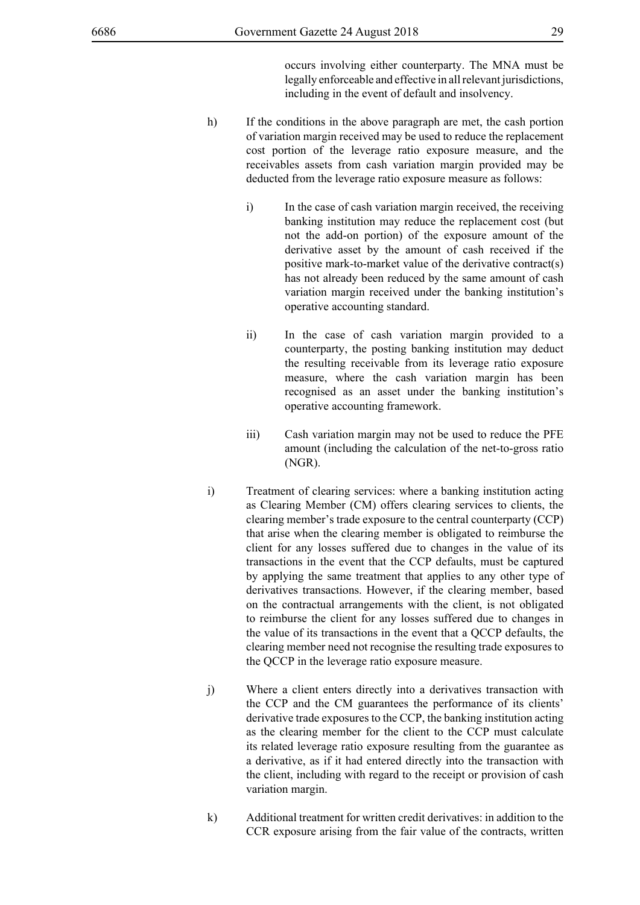occurs involving either counterparty. The MNA must be legally enforceable and effective in all relevant jurisdictions, including in the event of default and insolvency.

- h) If the conditions in the above paragraph are met, the cash portion of variation margin received may be used to reduce the replacement cost portion of the leverage ratio exposure measure, and the receivables assets from cash variation margin provided may be deducted from the leverage ratio exposure measure as follows:
	- i) In the case of cash variation margin received, the receiving banking institution may reduce the replacement cost (but not the add-on portion) of the exposure amount of the derivative asset by the amount of cash received if the positive mark-to-market value of the derivative contract(s) has not already been reduced by the same amount of cash variation margin received under the banking institution's operative accounting standard.
	- ii) In the case of cash variation margin provided to a counterparty, the posting banking institution may deduct the resulting receivable from its leverage ratio exposure measure, where the cash variation margin has been recognised as an asset under the banking institution's operative accounting framework.
	- iii) Cash variation margin may not be used to reduce the PFE amount (including the calculation of the net-to-gross ratio (NGR).
- i) Treatment of clearing services: where a banking institution acting as Clearing Member (CM) offers clearing services to clients, the clearing member's trade exposure to the central counterparty (CCP) that arise when the clearing member is obligated to reimburse the client for any losses suffered due to changes in the value of its transactions in the event that the CCP defaults, must be captured by applying the same treatment that applies to any other type of derivatives transactions. However, if the clearing member, based on the contractual arrangements with the client, is not obligated to reimburse the client for any losses suffered due to changes in the value of its transactions in the event that a QCCP defaults, the clearing member need not recognise the resulting trade exposures to the QCCP in the leverage ratio exposure measure.
- j) Where a client enters directly into a derivatives transaction with the CCP and the CM guarantees the performance of its clients' derivative trade exposures to the CCP, the banking institution acting as the clearing member for the client to the CCP must calculate its related leverage ratio exposure resulting from the guarantee as a derivative, as if it had entered directly into the transaction with the client, including with regard to the receipt or provision of cash variation margin.
- k) Additional treatment for written credit derivatives: in addition to the CCR exposure arising from the fair value of the contracts, written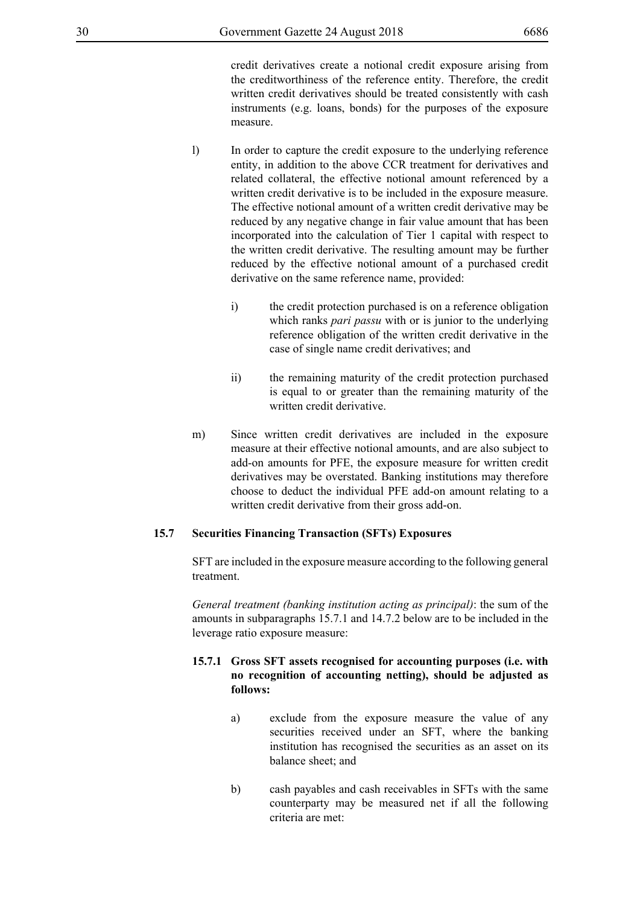credit derivatives create a notional credit exposure arising from the creditworthiness of the reference entity. Therefore, the credit written credit derivatives should be treated consistently with cash instruments (e.g. loans, bonds) for the purposes of the exposure measure.

- l) In order to capture the credit exposure to the underlying reference entity, in addition to the above CCR treatment for derivatives and related collateral, the effective notional amount referenced by a written credit derivative is to be included in the exposure measure. The effective notional amount of a written credit derivative may be reduced by any negative change in fair value amount that has been incorporated into the calculation of Tier 1 capital with respect to the written credit derivative. The resulting amount may be further reduced by the effective notional amount of a purchased credit derivative on the same reference name, provided:
	- i) the credit protection purchased is on a reference obligation which ranks *pari passu* with or is junior to the underlying reference obligation of the written credit derivative in the case of single name credit derivatives; and
	- ii) the remaining maturity of the credit protection purchased is equal to or greater than the remaining maturity of the written credit derivative.
- m) Since written credit derivatives are included in the exposure measure at their effective notional amounts, and are also subject to add-on amounts for PFE, the exposure measure for written credit derivatives may be overstated. Banking institutions may therefore choose to deduct the individual PFE add-on amount relating to a written credit derivative from their gross add-on.

#### **15.7 Securities Financing Transaction (SFTs) Exposures**

SFT are included in the exposure measure according to the following general treatment.

*General treatment (banking institution acting as principal)*: the sum of the amounts in subparagraphs 15.7.1 and 14.7.2 below are to be included in the leverage ratio exposure measure:

# **15.7.1 Gross SFT assets recognised for accounting purposes (i.e. with no recognition of accounting netting), should be adjusted as follows:**

- a) exclude from the exposure measure the value of any securities received under an SFT, where the banking institution has recognised the securities as an asset on its balance sheet; and
- b) cash payables and cash receivables in SFTs with the same counterparty may be measured net if all the following criteria are met: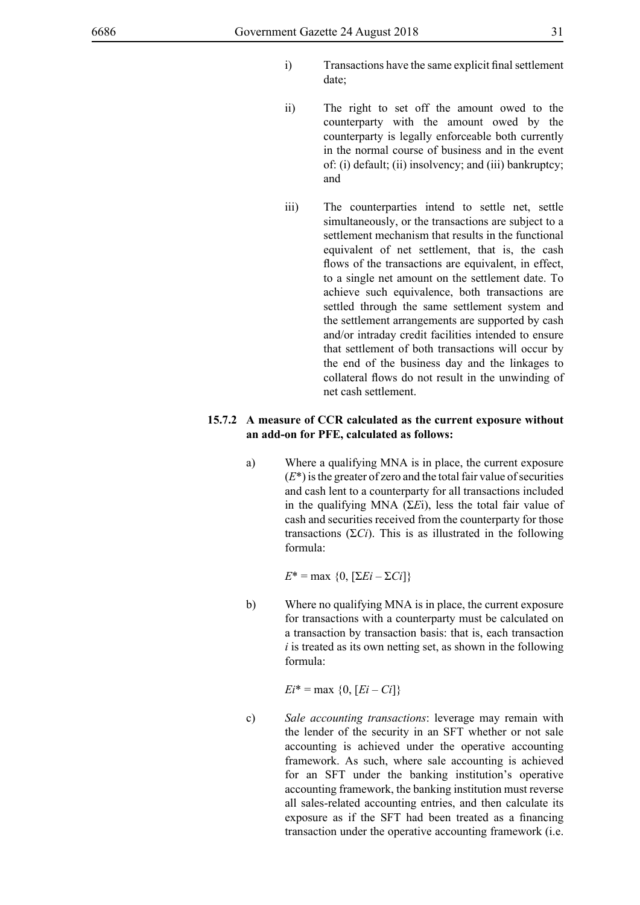- i) Transactions have the same explicit final settlement date;
- ii) The right to set off the amount owed to the counterparty with the amount owed by the counterparty is legally enforceable both currently in the normal course of business and in the event of: (i) default; (ii) insolvency; and (iii) bankruptcy; and
- iii) The counterparties intend to settle net, settle simultaneously, or the transactions are subject to a settlement mechanism that results in the functional equivalent of net settlement, that is, the cash flows of the transactions are equivalent, in effect, to a single net amount on the settlement date. To achieve such equivalence, both transactions are settled through the same settlement system and the settlement arrangements are supported by cash and/or intraday credit facilities intended to ensure that settlement of both transactions will occur by the end of the business day and the linkages to collateral flows do not result in the unwinding of net cash settlement.

### **15.7.2 A measure of CCR calculated as the current exposure without an add-on for PFE, calculated as follows:**

a) Where a qualifying MNA is in place, the current exposure  $(E^*)$  is the greater of zero and the total fair value of securities and cash lent to a counterparty for all transactions included in the qualifying MNA (Σ*E*i), less the total fair value of cash and securities received from the counterparty for those transactions  $(2C_i)$ . This is as illustrated in the following formula:

*E*\* = max {0,  $[\Sigma E i - \Sigma C i]$ }

b) Where no qualifying MNA is in place, the current exposure for transactions with a counterparty must be calculated on a transaction by transaction basis: that is, each transaction *i* is treated as its own netting set, as shown in the following formula:

 $E_i^* = \max \{0, [E_i - Ci]\}$ 

c) *Sale accounting transactions*: leverage may remain with the lender of the security in an SFT whether or not sale accounting is achieved under the operative accounting framework. As such, where sale accounting is achieved for an SFT under the banking institution's operative accounting framework, the banking institution must reverse all sales-related accounting entries, and then calculate its exposure as if the SFT had been treated as a financing transaction under the operative accounting framework (i.e.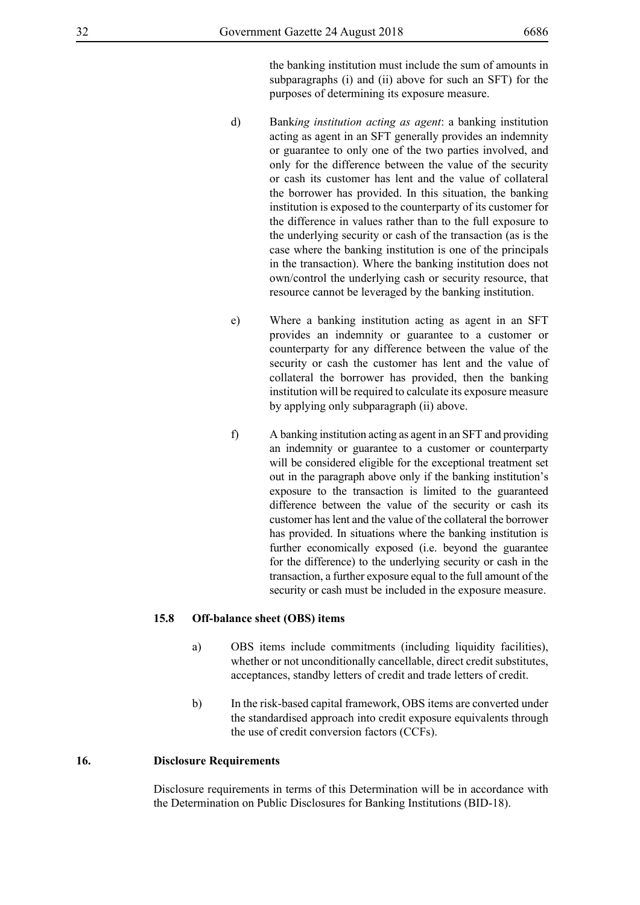the banking institution must include the sum of amounts in subparagraphs (i) and (ii) above for such an SFT) for the purposes of determining its exposure measure.

- d) Bank*ing institution acting as agent*: a banking institution acting as agent in an SFT generally provides an indemnity or guarantee to only one of the two parties involved, and only for the difference between the value of the security or cash its customer has lent and the value of collateral the borrower has provided. In this situation, the banking institution is exposed to the counterparty of its customer for the difference in values rather than to the full exposure to the underlying security or cash of the transaction (as is the case where the banking institution is one of the principals in the transaction). Where the banking institution does not own/control the underlying cash or security resource, that resource cannot be leveraged by the banking institution.
- e) Where a banking institution acting as agent in an SFT provides an indemnity or guarantee to a customer or counterparty for any difference between the value of the security or cash the customer has lent and the value of collateral the borrower has provided, then the banking institution will be required to calculate its exposure measure by applying only subparagraph (ii) above.
- f) A banking institution acting as agent in an SFT and providing an indemnity or guarantee to a customer or counterparty will be considered eligible for the exceptional treatment set out in the paragraph above only if the banking institution's exposure to the transaction is limited to the guaranteed difference between the value of the security or cash its customer has lent and the value of the collateral the borrower has provided. In situations where the banking institution is further economically exposed (i.e. beyond the guarantee for the difference) to the underlying security or cash in the transaction, a further exposure equal to the full amount of the security or cash must be included in the exposure measure.

#### **15.8 Off-balance sheet (OBS) items**

- a) OBS items include commitments (including liquidity facilities), whether or not unconditionally cancellable, direct credit substitutes, acceptances, standby letters of credit and trade letters of credit.
- b) In the risk-based capital framework, OBS items are converted under the standardised approach into credit exposure equivalents through the use of credit conversion factors (CCFs).

# **16. Disclosure Requirements**

Disclosure requirements in terms of this Determination will be in accordance with the Determination on Public Disclosures for Banking Institutions (BID-18).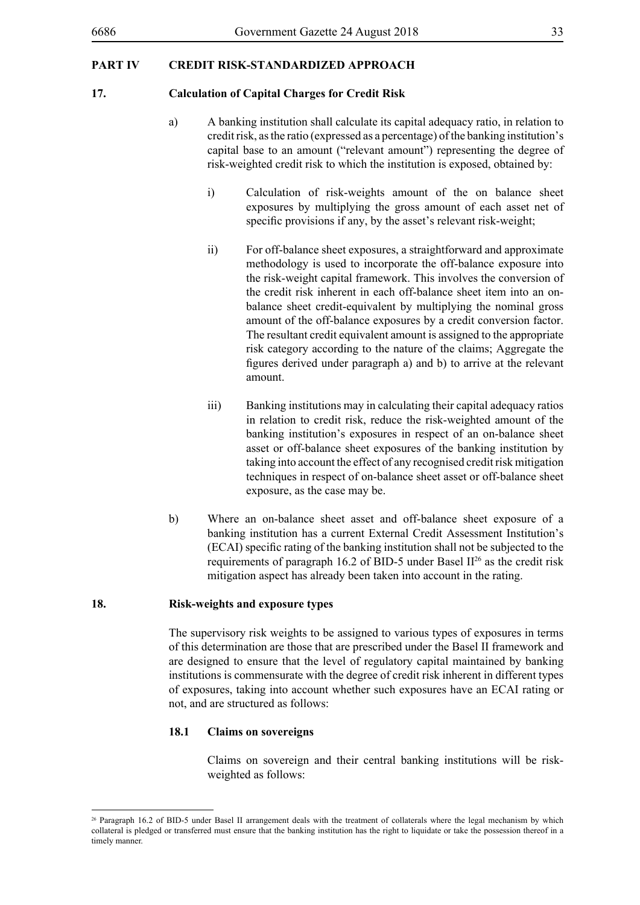# **PART IV CREDIT RISK-STANDARDIZED APPROACH**

#### **17. Calculation of Capital Charges for Credit Risk**

- a) A banking institution shall calculate its capital adequacy ratio, in relation to credit risk, as the ratio (expressed as a percentage) of the banking institution's capital base to an amount ("relevant amount") representing the degree of risk-weighted credit risk to which the institution is exposed, obtained by:
	- i) Calculation of risk-weights amount of the on balance sheet exposures by multiplying the gross amount of each asset net of specific provisions if any, by the asset's relevant risk-weight;
	- ii) For off-balance sheet exposures, a straightforward and approximate methodology is used to incorporate the off-balance exposure into the risk-weight capital framework. This involves the conversion of the credit risk inherent in each off-balance sheet item into an onbalance sheet credit-equivalent by multiplying the nominal gross amount of the off-balance exposures by a credit conversion factor. The resultant credit equivalent amount is assigned to the appropriate risk category according to the nature of the claims; Aggregate the figures derived under paragraph a) and b) to arrive at the relevant amount.
	- iii) Banking institutions may in calculating their capital adequacy ratios in relation to credit risk, reduce the risk-weighted amount of the banking institution's exposures in respect of an on-balance sheet asset or off-balance sheet exposures of the banking institution by taking into account the effect of any recognised credit risk mitigation techniques in respect of on-balance sheet asset or off-balance sheet exposure, as the case may be.
- b) Where an on-balance sheet asset and off-balance sheet exposure of a banking institution has a current External Credit Assessment Institution's (ECAI) specific rating of the banking institution shall not be subjected to the requirements of paragraph 16.2 of BID-5 under Basel  $\mathbb{I}^{26}$  as the credit risk mitigation aspect has already been taken into account in the rating.

#### **18. Risk-weights and exposure types**

The supervisory risk weights to be assigned to various types of exposures in terms of this determination are those that are prescribed under the Basel II framework and are designed to ensure that the level of regulatory capital maintained by banking institutions is commensurate with the degree of credit risk inherent in different types of exposures, taking into account whether such exposures have an ECAI rating or not, and are structured as follows:

#### **18.1 Claims on sovereigns**

Claims on sovereign and their central banking institutions will be riskweighted as follows:

<sup>&</sup>lt;sup>26</sup> Paragraph 16.2 of BID-5 under Basel II arrangement deals with the treatment of collaterals where the legal mechanism by which collateral is pledged or transferred must ensure that the banking institution has the right to liquidate or take the possession thereof in a timely manner.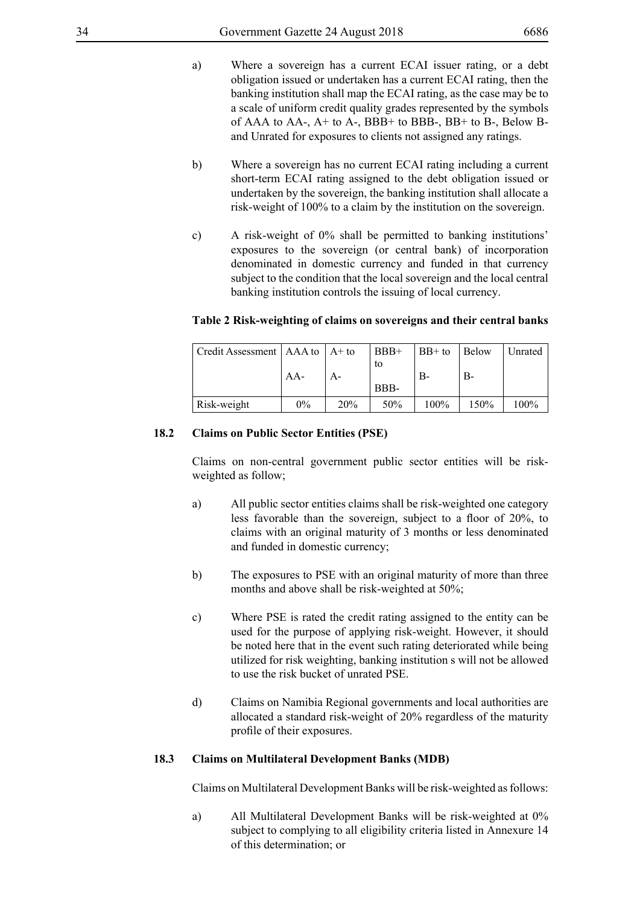- a) Where a sovereign has a current ECAI issuer rating, or a debt obligation issued or undertaken has a current ECAI rating, then the banking institution shall map the ECAI rating, as the case may be to a scale of uniform credit quality grades represented by the symbols of AAA to AA-,  $A+$  to A-, BBB+ to BBB-, BB+ to B-, Below Band Unrated for exposures to clients not assigned any ratings.
- b) Where a sovereign has no current ECAI rating including a current short-term ECAI rating assigned to the debt obligation issued or undertaken by the sovereign, the banking institution shall allocate a risk-weight of 100% to a claim by the institution on the sovereign.
- c) A risk-weight of 0% shall be permitted to banking institutions' exposures to the sovereign (or central bank) of incorporation denominated in domestic currency and funded in that currency subject to the condition that the local sovereign and the local central banking institution controls the issuing of local currency.

| $\vert$ Credit Assessment $\vert$ AAA to $\vert$ A+ to |       |     | $BBB+$ | $BB+$ to | <b>Below</b> | Unrated |
|--------------------------------------------------------|-------|-----|--------|----------|--------------|---------|
|                                                        |       |     | to     |          |              |         |
|                                                        | $AA-$ | А-  |        | В-       | В-           |         |
|                                                        |       |     | BBB-   |          |              |         |
| Risk-weight                                            | 0%    | 20% | 50%    | $100\%$  | 150%         | $100\%$ |

#### **Table 2 Risk-weighting of claims on sovereigns and their central banks**

#### **18.2 Claims on Public Sector Entities (PSE)**

Claims on non-central government public sector entities will be riskweighted as follow;

- a) All public sector entities claims shall be risk-weighted one category less favorable than the sovereign, subject to a floor of 20%, to claims with an original maturity of 3 months or less denominated and funded in domestic currency;
- b) The exposures to PSE with an original maturity of more than three months and above shall be risk-weighted at 50%;
- c) Where PSE is rated the credit rating assigned to the entity can be used for the purpose of applying risk-weight. However, it should be noted here that in the event such rating deteriorated while being utilized for risk weighting, banking institution s will not be allowed to use the risk bucket of unrated PSE.
- d) Claims on Namibia Regional governments and local authorities are allocated a standard risk-weight of 20% regardless of the maturity profile of their exposures.

#### **18.3 Claims on Multilateral Development Banks (MDB)**

Claims on Multilateral Development Banks will be risk-weighted as follows:

a) All Multilateral Development Banks will be risk-weighted at 0% subject to complying to all eligibility criteria listed in Annexure 14 of this determination; or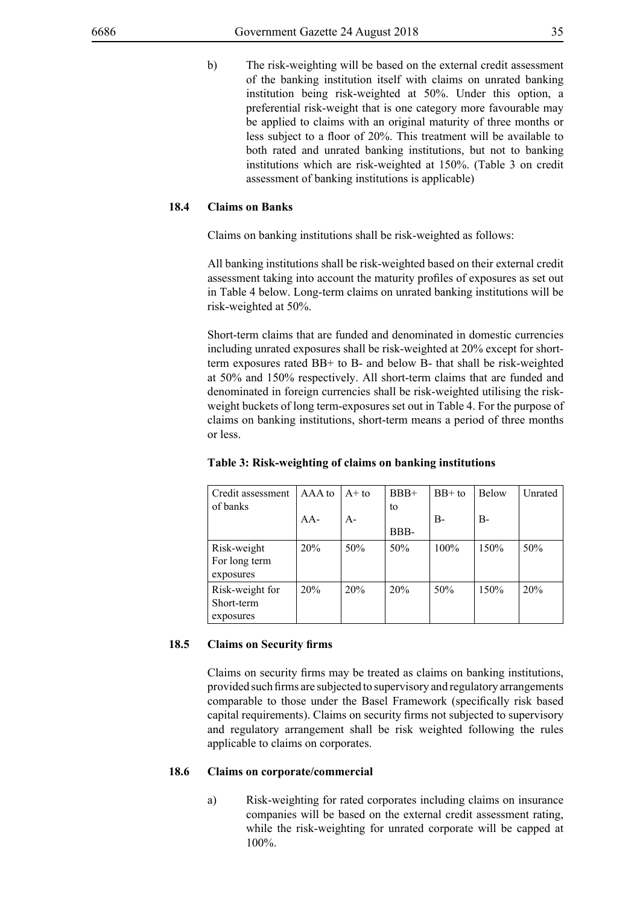b) The risk-weighting will be based on the external credit assessment of the banking institution itself with claims on unrated banking institution being risk-weighted at 50%. Under this option, a preferential risk-weight that is one category more favourable may be applied to claims with an original maturity of three months or less subject to a floor of 20%. This treatment will be available to both rated and unrated banking institutions, but not to banking institutions which are risk-weighted at 150%. (Table 3 on credit assessment of banking institutions is applicable)

## **18.4 Claims on Banks**

Claims on banking institutions shall be risk-weighted as follows:

All banking institutions shall be risk-weighted based on their external credit assessment taking into account the maturity profiles of exposures as set out in Table 4 below. Long-term claims on unrated banking institutions will be risk-weighted at 50%.

Short-term claims that are funded and denominated in domestic currencies including unrated exposures shall be risk-weighted at 20% except for shortterm exposures rated BB+ to B- and below B- that shall be risk-weighted at 50% and 150% respectively. All short-term claims that are funded and denominated in foreign currencies shall be risk-weighted utilising the riskweight buckets of long term-exposures set out in Table 4. For the purpose of claims on banking institutions, short-term means a period of three months or less.

| Credit assessment<br>of banks              | AAA to | $A+to$ | $BBB+$<br>to | $BB+$ to | <b>Below</b> | Unrated |
|--------------------------------------------|--------|--------|--------------|----------|--------------|---------|
|                                            | $AA-$  | $A -$  |              | $B-$     | $B-$         |         |
|                                            |        |        | BBB-         |          |              |         |
| Risk-weight<br>For long term<br>exposures  | 20%    | 50%    | 50%          | 100%     | 150%         | 50%     |
| Risk-weight for<br>Short-term<br>exposures | 20%    | 20%    | 20%          | 50%      | 150%         | 20%     |

#### **Table 3: Risk-weighting of claims on banking institutions**

#### **18.5 Claims on Security firms**

Claims on security firms may be treated as claims on banking institutions, provided such firms are subjected to supervisory and regulatory arrangements comparable to those under the Basel Framework (specifically risk based capital requirements). Claims on security firms not subjected to supervisory and regulatory arrangement shall be risk weighted following the rules applicable to claims on corporates.

#### **18.6 Claims on corporate/commercial**

a) Risk-weighting for rated corporates including claims on insurance companies will be based on the external credit assessment rating, while the risk-weighting for unrated corporate will be capped at 100%.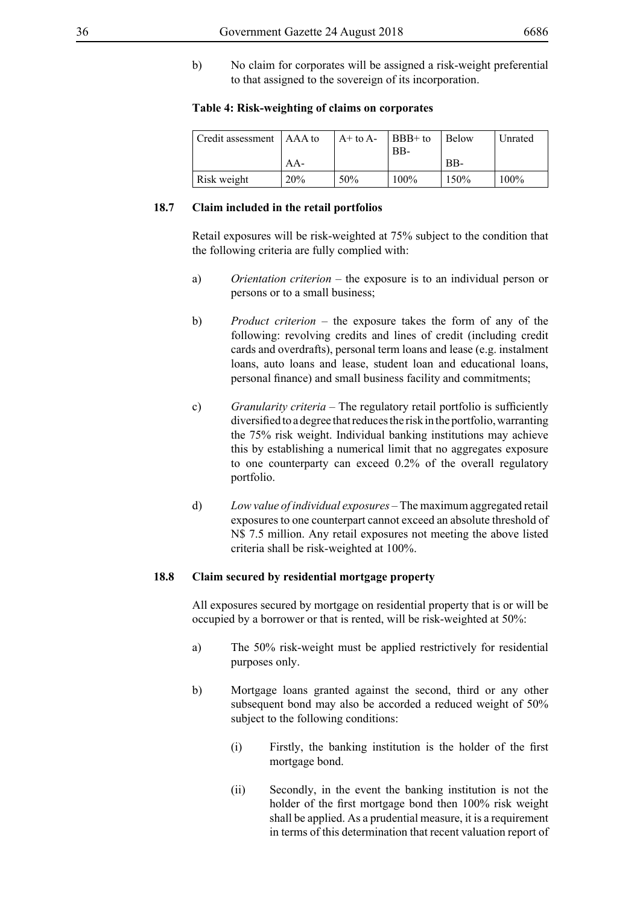- 
- b) No claim for corporates will be assigned a risk-weight preferential to that assigned to the sovereign of its incorporation.

#### **Table 4: Risk-weighting of claims on corporates**

| Credit assessment   AAA to |            | $A+$ to $A-$ | $\vert$ BBB+ to<br>$BB-$ | Below | Unrated |
|----------------------------|------------|--------------|--------------------------|-------|---------|
|                            | $AA-$      |              |                          | BB-   |         |
| Risk weight                | <b>20%</b> | 50%          | $100\%$                  | 150%  | $100\%$ |

#### **18.7 Claim included in the retail portfolios**

Retail exposures will be risk-weighted at 75% subject to the condition that the following criteria are fully complied with:

- a) *Orientation criterion* the exposure is to an individual person or persons or to a small business;
- b) *Product criterion* the exposure takes the form of any of the following: revolving credits and lines of credit (including credit cards and overdrafts), personal term loans and lease (e.g. instalment loans, auto loans and lease, student loan and educational loans, personal finance) and small business facility and commitments;
- c) *Granularity criteria* The regulatory retail portfolio is sufficiently diversified to a degree that reduces the risk in the portfolio, warranting the 75% risk weight. Individual banking institutions may achieve this by establishing a numerical limit that no aggregates exposure to one counterparty can exceed 0.2% of the overall regulatory portfolio.
- d) *Low value of individual exposures* The maximum aggregated retail exposures to one counterpart cannot exceed an absolute threshold of N\$ 7.5 million. Any retail exposures not meeting the above listed criteria shall be risk-weighted at 100%.

#### **18.8 Claim secured by residential mortgage property**

All exposures secured by mortgage on residential property that is or will be occupied by a borrower or that is rented, will be risk-weighted at 50%:

- a) The 50% risk-weight must be applied restrictively for residential purposes only.
- b) Mortgage loans granted against the second, third or any other subsequent bond may also be accorded a reduced weight of 50% subject to the following conditions:
	- (i) Firstly, the banking institution is the holder of the first mortgage bond.
	- (ii) Secondly, in the event the banking institution is not the holder of the first mortgage bond then 100% risk weight shall be applied. As a prudential measure, it is a requirement in terms of this determination that recent valuation report of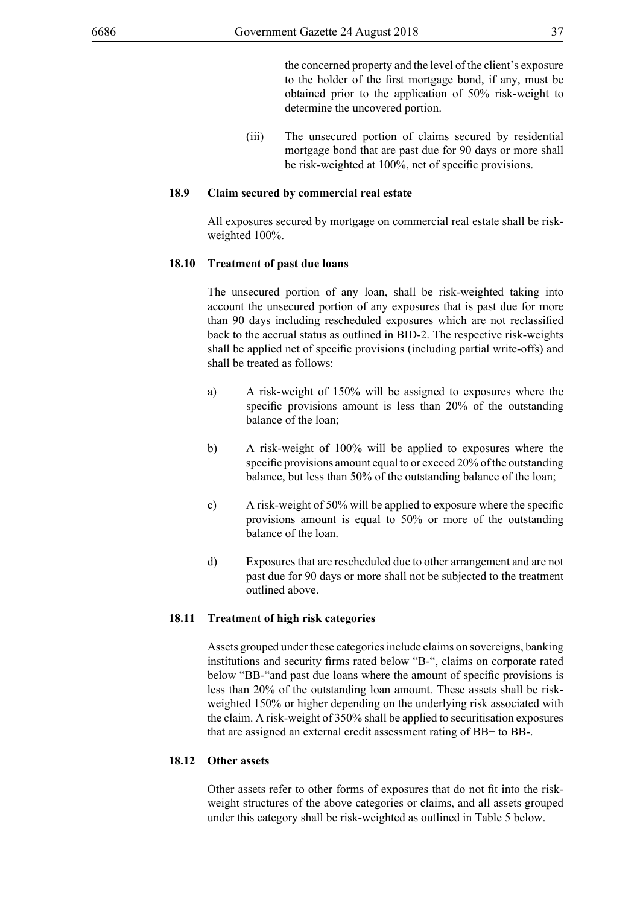the concerned property and the level of the client's exposure to the holder of the first mortgage bond, if any, must be obtained prior to the application of 50% risk-weight to determine the uncovered portion.

(iii) The unsecured portion of claims secured by residential mortgage bond that are past due for 90 days or more shall be risk-weighted at 100%, net of specific provisions.

### **18.9 Claim secured by commercial real estate**

All exposures secured by mortgage on commercial real estate shall be riskweighted 100%.

## **18.10 Treatment of past due loans**

The unsecured portion of any loan, shall be risk-weighted taking into account the unsecured portion of any exposures that is past due for more than 90 days including rescheduled exposures which are not reclassified back to the accrual status as outlined in BID-2. The respective risk-weights shall be applied net of specific provisions (including partial write-offs) and shall be treated as follows:

- a) A risk-weight of 150% will be assigned to exposures where the specific provisions amount is less than 20% of the outstanding balance of the loan;
- b) A risk-weight of 100% will be applied to exposures where the specific provisions amount equal to or exceed 20% of the outstanding balance, but less than 50% of the outstanding balance of the loan;
- c) A risk-weight of 50% will be applied to exposure where the specific provisions amount is equal to 50% or more of the outstanding balance of the loan.
- d) Exposures that are rescheduled due to other arrangement and are not past due for 90 days or more shall not be subjected to the treatment outlined above.

### **18.11 Treatment of high risk categories**

Assets grouped under these categories include claims on sovereigns, banking institutions and security firms rated below "B-", claims on corporate rated below "BB-"and past due loans where the amount of specific provisions is less than 20% of the outstanding loan amount. These assets shall be riskweighted 150% or higher depending on the underlying risk associated with the claim. A risk-weight of 350% shall be applied to securitisation exposures that are assigned an external credit assessment rating of BB+ to BB-.

## **18.12 Other assets**

Other assets refer to other forms of exposures that do not fit into the riskweight structures of the above categories or claims, and all assets grouped under this category shall be risk-weighted as outlined in Table 5 below.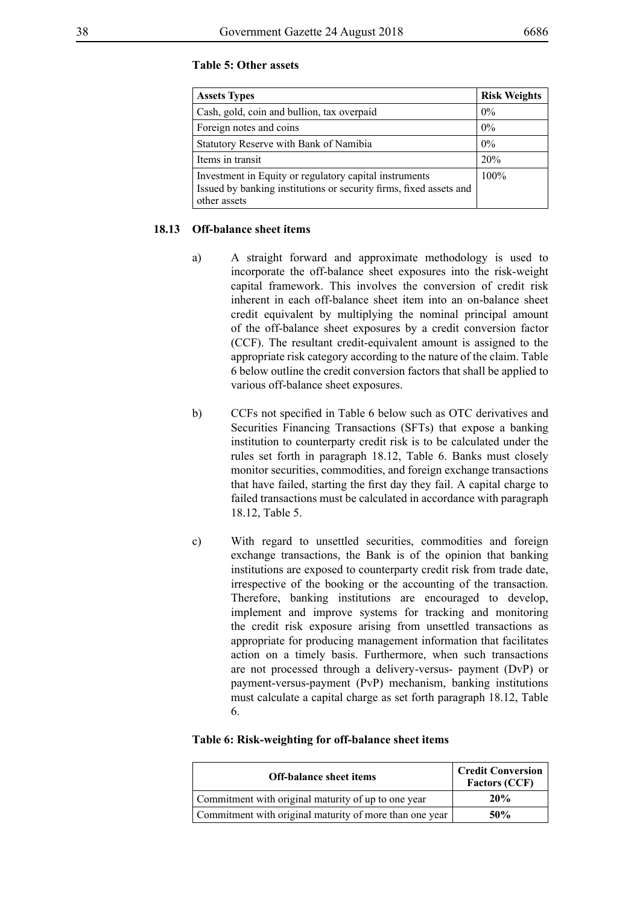## **Table 5: Other assets**

| <b>Assets Types</b>                                                                                                                          | <b>Risk Weights</b> |
|----------------------------------------------------------------------------------------------------------------------------------------------|---------------------|
| Cash, gold, coin and bullion, tax overpaid                                                                                                   | $0\%$               |
| Foreign notes and coins                                                                                                                      | $0\%$               |
| Statutory Reserve with Bank of Namibia                                                                                                       | $0\%$               |
| Items in transit                                                                                                                             | 20%                 |
| Investment in Equity or regulatory capital instruments<br>Issued by banking institutions or security firms, fixed assets and<br>other assets | $100\%$             |

### **18.13 Off-balance sheet items**

- a) A straight forward and approximate methodology is used to incorporate the off-balance sheet exposures into the risk-weight capital framework. This involves the conversion of credit risk inherent in each off-balance sheet item into an on-balance sheet credit equivalent by multiplying the nominal principal amount of the off-balance sheet exposures by a credit conversion factor (CCF). The resultant credit-equivalent amount is assigned to the appropriate risk category according to the nature of the claim. Table 6 below outline the credit conversion factors that shall be applied to various off-balance sheet exposures.
- b) CCFs not specified in Table 6 below such as OTC derivatives and Securities Financing Transactions (SFTs) that expose a banking institution to counterparty credit risk is to be calculated under the rules set forth in paragraph 18.12, Table 6. Banks must closely monitor securities, commodities, and foreign exchange transactions that have failed, starting the first day they fail. A capital charge to failed transactions must be calculated in accordance with paragraph 18.12, Table 5.
- c) With regard to unsettled securities, commodities and foreign exchange transactions, the Bank is of the opinion that banking institutions are exposed to counterparty credit risk from trade date, irrespective of the booking or the accounting of the transaction. Therefore, banking institutions are encouraged to develop, implement and improve systems for tracking and monitoring the credit risk exposure arising from unsettled transactions as appropriate for producing management information that facilitates action on a timely basis. Furthermore, when such transactions are not processed through a delivery-versus- payment (DvP) or payment-versus-payment (PvP) mechanism, banking institutions must calculate a capital charge as set forth paragraph 18.12, Table 6.

#### **Table 6: Risk-weighting for off-balance sheet items**

| <b>Off-balance sheet items</b>                          | <b>Credit Conversion</b><br><b>Factors (CCF)</b> |
|---------------------------------------------------------|--------------------------------------------------|
| Commitment with original maturity of up to one year     | 20%                                              |
| Commitment with original maturity of more than one year | 50%                                              |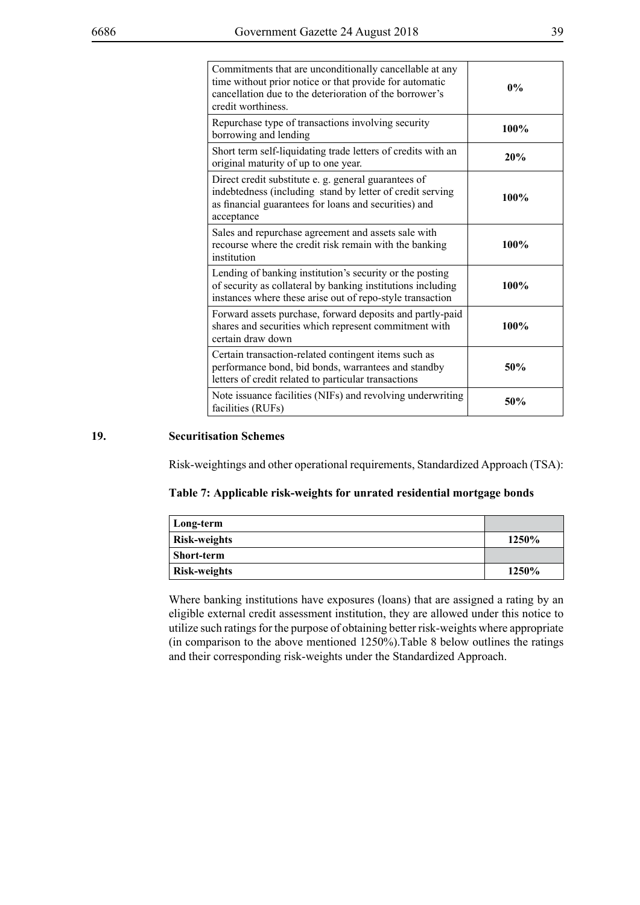| Commitments that are unconditionally cancellable at any<br>time without prior notice or that provide for automatic<br>cancellation due to the deterioration of the borrower's<br>credit worthiness. | $0\%$ |
|-----------------------------------------------------------------------------------------------------------------------------------------------------------------------------------------------------|-------|
| Repurchase type of transactions involving security<br>borrowing and lending                                                                                                                         | 100%  |
| Short term self-liquidating trade letters of credits with an<br>original maturity of up to one year.                                                                                                | 20%   |
| Direct credit substitute e. g. general guarantees of<br>indebtedness (including stand by letter of credit serving<br>as financial guarantees for loans and securities) and<br>acceptance            | 100%  |
| Sales and repurchase agreement and assets sale with<br>recourse where the credit risk remain with the banking<br>institution                                                                        | 100%  |
| Lending of banking institution's security or the posting<br>of security as collateral by banking institutions including<br>instances where these arise out of repo-style transaction                | 100%  |
| Forward assets purchase, forward deposits and partly-paid<br>shares and securities which represent commitment with<br>certain draw down                                                             | 100%  |
| Certain transaction-related contingent items such as<br>performance bond, bid bonds, warrantees and standby<br>letters of credit related to particular transactions                                 | 50%   |
| Note issuance facilities (NIFs) and revolving underwriting<br>facilities (RUFs)                                                                                                                     | 50%   |

# **19. Securitisation Schemes**

Risk-weightings and other operational requirements, Standardized Approach (TSA):

## **Table 7: Applicable risk-weights for unrated residential mortgage bonds**

| Long-term           |       |
|---------------------|-------|
| <b>Risk-weights</b> | 1250% |
| . Short-term        |       |
| <b>Risk-weights</b> | 1250% |

Where banking institutions have exposures (loans) that are assigned a rating by an eligible external credit assessment institution, they are allowed under this notice to utilize such ratings for the purpose of obtaining better risk-weights where appropriate (in comparison to the above mentioned 1250%).Table 8 below outlines the ratings and their corresponding risk-weights under the Standardized Approach.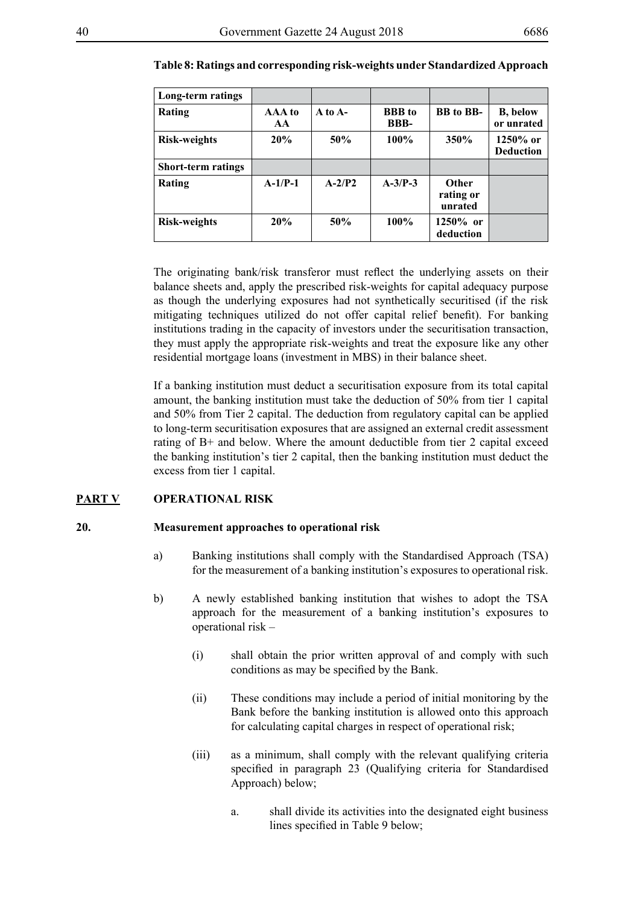| Long-term ratings         |              |             |                              |                                      |                                |
|---------------------------|--------------|-------------|------------------------------|--------------------------------------|--------------------------------|
| Rating                    | AAA to<br>AA | $A$ to $A-$ | <b>BBB</b> to<br><b>BBB-</b> | <b>BB</b> to <b>BB</b> -             | <b>B</b> , below<br>or unrated |
| <b>Risk-weights</b>       | 20%          | 50%         | 100%                         | 350%                                 | $1250%$ or<br><b>Deduction</b> |
| <b>Short-term ratings</b> |              |             |                              |                                      |                                |
| Rating                    | $A-1/P-1$    | $A-2/P2$    | $A-3/P-3$                    | <b>Other</b><br>rating or<br>unrated |                                |
| <b>Risk-weights</b>       | 20%          | 50%         | 100%                         | $1250\%$ or<br>deduction             |                                |

### **Table 8: Ratings and corresponding risk-weights under Standardized Approach**

The originating bank/risk transferor must reflect the underlying assets on their balance sheets and, apply the prescribed risk-weights for capital adequacy purpose as though the underlying exposures had not synthetically securitised (if the risk mitigating techniques utilized do not offer capital relief benefit). For banking institutions trading in the capacity of investors under the securitisation transaction, they must apply the appropriate risk-weights and treat the exposure like any other residential mortgage loans (investment in MBS) in their balance sheet.

If a banking institution must deduct a securitisation exposure from its total capital amount, the banking institution must take the deduction of 50% from tier 1 capital and 50% from Tier 2 capital. The deduction from regulatory capital can be applied to long-term securitisation exposures that are assigned an external credit assessment rating of B+ and below. Where the amount deductible from tier 2 capital exceed the banking institution's tier 2 capital, then the banking institution must deduct the excess from tier 1 capital.

# **PART V OPERATIONAL RISK**

### **20. Measurement approaches to operational risk**

- a) Banking institutions shall comply with the Standardised Approach (TSA) for the measurement of a banking institution's exposures to operational risk.
- b) A newly established banking institution that wishes to adopt the TSA approach for the measurement of a banking institution's exposures to operational risk –
	- (i) shall obtain the prior written approval of and comply with such conditions as may be specified by the Bank.
	- (ii) These conditions may include a period of initial monitoring by the Bank before the banking institution is allowed onto this approach for calculating capital charges in respect of operational risk;
	- (iii) as a minimum, shall comply with the relevant qualifying criteria specified in paragraph 23 (Qualifying criteria for Standardised Approach) below;
		- a. shall divide its activities into the designated eight business lines specified in Table 9 below;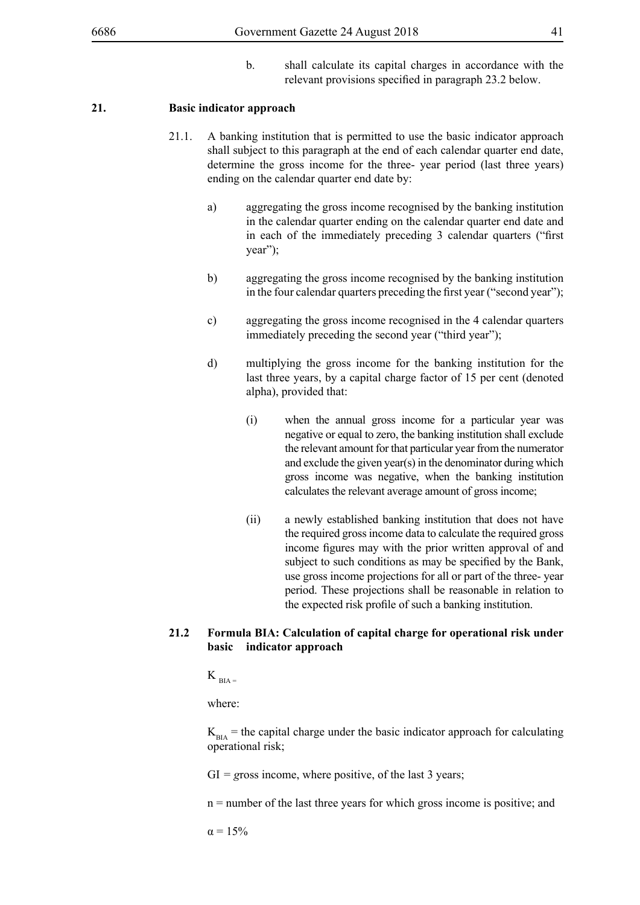b. shall calculate its capital charges in accordance with the relevant provisions specified in paragraph 23.2 below.

## **21. Basic indicator approach**

- 21.1. A banking institution that is permitted to use the basic indicator approach shall subject to this paragraph at the end of each calendar quarter end date, determine the gross income for the three- year period (last three years) ending on the calendar quarter end date by:
	- a) aggregating the gross income recognised by the banking institution in the calendar quarter ending on the calendar quarter end date and in each of the immediately preceding 3 calendar quarters ("first year");
	- b) aggregating the gross income recognised by the banking institution in the four calendar quarters preceding the first year ("second year");
	- c) aggregating the gross income recognised in the 4 calendar quarters immediately preceding the second year ("third year");
	- d) multiplying the gross income for the banking institution for the last three years, by a capital charge factor of 15 per cent (denoted alpha), provided that:
		- (i) when the annual gross income for a particular year was negative or equal to zero, the banking institution shall exclude the relevant amount for that particular year from the numerator and exclude the given year(s) in the denominator during which gross income was negative, when the banking institution calculates the relevant average amount of gross income;
		- (ii) a newly established banking institution that does not have the required gross income data to calculate the required gross income figures may with the prior written approval of and subject to such conditions as may be specified by the Bank, use gross income projections for all or part of the three- year period. These projections shall be reasonable in relation to the expected risk profile of such a banking institution.

# **21.2 Formula BIA: Calculation of capital charge for operational risk under basic indicator approach**

 $K_{\text{max}}$ 

where:

 $K<sub>BLA</sub>$  = the capital charge under the basic indicator approach for calculating operational risk;

GI *= g*ross income, where positive, of the last 3 years;

n = number of the last three years for which gross income is positive; and

 $α = 15%$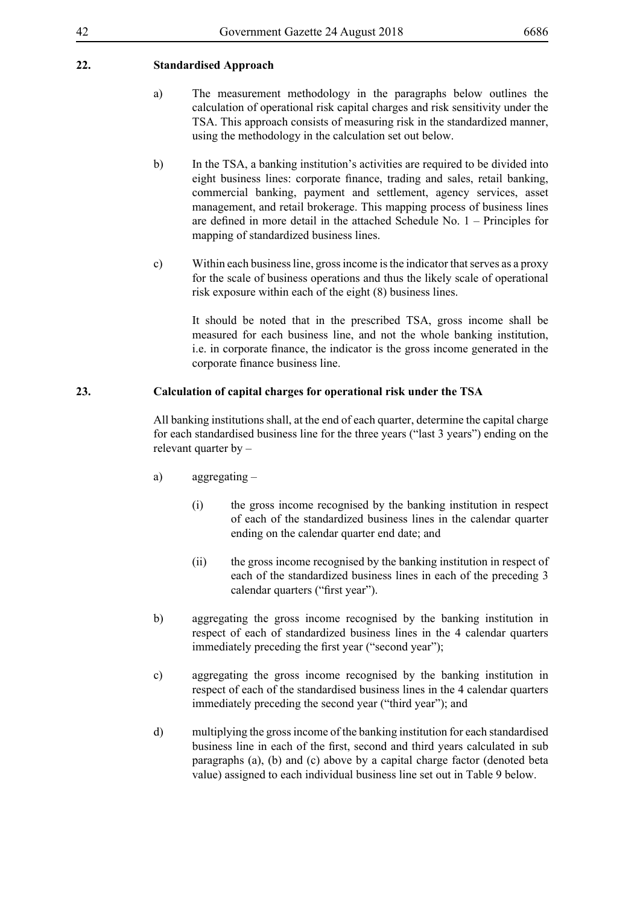- a) The measurement methodology in the paragraphs below outlines the calculation of operational risk capital charges and risk sensitivity under the TSA. This approach consists of measuring risk in the standardized manner, using the methodology in the calculation set out below.
- b) In the TSA, a banking institution's activities are required to be divided into eight business lines: corporate finance, trading and sales, retail banking, commercial banking, payment and settlement, agency services, asset management, and retail brokerage. This mapping process of business lines are defined in more detail in the attached Schedule No. 1 – Principles for mapping of standardized business lines.
- c) Within each business line, gross income is the indicator that serves as a proxy for the scale of business operations and thus the likely scale of operational risk exposure within each of the eight (8) business lines.

It should be noted that in the prescribed TSA, gross income shall be measured for each business line, and not the whole banking institution, i.e. in corporate finance, the indicator is the gross income generated in the corporate finance business line.

# **23. Calculation of capital charges for operational risk under the TSA**

All banking institutions shall, at the end of each quarter, determine the capital charge for each standardised business line for the three years ("last 3 years") ending on the relevant quarter by –

- a) aggregating
	- (i) the gross income recognised by the banking institution in respect of each of the standardized business lines in the calendar quarter ending on the calendar quarter end date; and
	- (ii) the gross income recognised by the banking institution in respect of each of the standardized business lines in each of the preceding 3 calendar quarters ("first year").
- b) aggregating the gross income recognised by the banking institution in respect of each of standardized business lines in the 4 calendar quarters immediately preceding the first year ("second year");
- c) aggregating the gross income recognised by the banking institution in respect of each of the standardised business lines in the 4 calendar quarters immediately preceding the second year ("third year"); and
- d) multiplying the gross income of the banking institution for each standardised business line in each of the first, second and third years calculated in sub paragraphs (a), (b) and (c) above by a capital charge factor (denoted beta value) assigned to each individual business line set out in Table 9 below.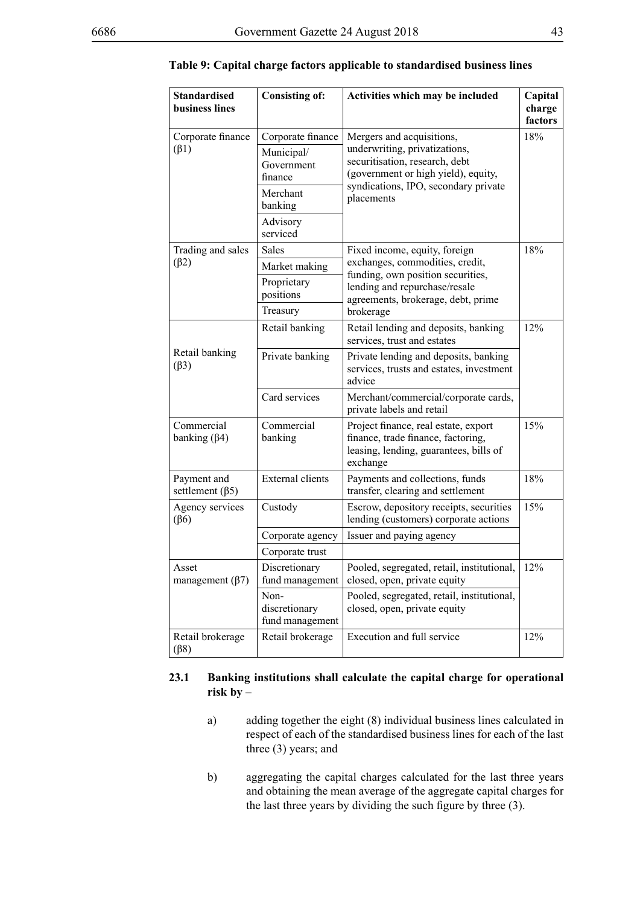| <b>Standardised</b><br>business lines | <b>Consisting of:</b>                                    | Activities which may be included                                                                                                    | Capital<br>charge<br>factors |                                             |  |
|---------------------------------------|----------------------------------------------------------|-------------------------------------------------------------------------------------------------------------------------------------|------------------------------|---------------------------------------------|--|
| Corporate finance<br>$(\beta1)$       | Corporate finance<br>Municipal/<br>Government<br>finance | Mergers and acquisitions,<br>underwriting, privatizations,<br>securitisation, research, debt<br>(government or high yield), equity, |                              | 18%<br>syndications, IPO, secondary private |  |
|                                       | Merchant<br>banking                                      | placements                                                                                                                          |                              |                                             |  |
|                                       | Advisory<br>serviced                                     |                                                                                                                                     |                              |                                             |  |
| Trading and sales                     | Sales                                                    | Fixed income, equity, foreign                                                                                                       | 18%                          |                                             |  |
| $(\beta 2)$                           | Market making                                            | exchanges, commodities, credit,<br>funding, own position securities,                                                                |                              |                                             |  |
|                                       | Proprietary<br>positions                                 | lending and repurchase/resale<br>agreements, brokerage, debt, prime                                                                 |                              |                                             |  |
|                                       | Treasury                                                 | brokerage                                                                                                                           |                              |                                             |  |
|                                       | Retail banking                                           | Retail lending and deposits, banking<br>services, trust and estates                                                                 | 12%                          |                                             |  |
| Retail banking<br>$(\beta 3)$         | Private banking                                          | Private lending and deposits, banking<br>services, trusts and estates, investment<br>advice                                         |                              |                                             |  |
|                                       | Card services                                            | Merchant/commercial/corporate cards,<br>private labels and retail                                                                   |                              |                                             |  |
| Commercial<br>banking $(\beta 4)$     | Commercial<br>banking                                    | Project finance, real estate, export<br>finance, trade finance, factoring,<br>leasing, lending, guarantees, bills of<br>exchange    | 15%                          |                                             |  |
| Payment and<br>settlement $(\beta 5)$ | <b>External clients</b>                                  | Payments and collections, funds<br>transfer, clearing and settlement                                                                | 18%                          |                                             |  |
| Agency services<br>$(\beta6)$         | Custody                                                  | Escrow, depository receipts, securities<br>lending (customers) corporate actions                                                    | 15%                          |                                             |  |
|                                       | Corporate agency                                         | Issuer and paying agency                                                                                                            |                              |                                             |  |
|                                       | Corporate trust                                          |                                                                                                                                     |                              |                                             |  |
| Asset<br>management $(\beta7)$        | Discretionary<br>fund management                         | Pooled, segregated, retail, institutional,<br>closed, open, private equity                                                          | 12%                          |                                             |  |
|                                       | Non-<br>discretionary<br>fund management                 | Pooled, segregated, retail, institutional,<br>closed, open, private equity                                                          |                              |                                             |  |
| Retail brokerage<br>$(\beta 8)$       | Retail brokerage                                         | Execution and full service                                                                                                          | 12%                          |                                             |  |

### **Table 9: Capital charge factors applicable to standardised business lines**

## **23.1 Banking institutions shall calculate the capital charge for operational risk by –**

- a) adding together the eight (8) individual business lines calculated in respect of each of the standardised business lines for each of the last three (3) years; and
- b) aggregating the capital charges calculated for the last three years and obtaining the mean average of the aggregate capital charges for the last three years by dividing the such figure by three (3).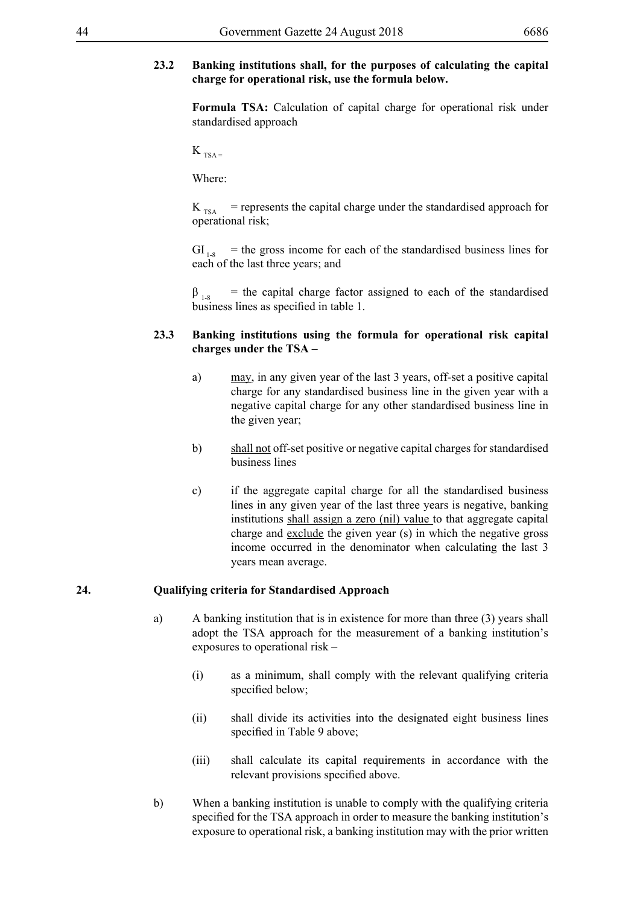# **23.2 Banking institutions shall, for the purposes of calculating the capital charge for operational risk, use the formula below.**

**Formula TSA:** Calculation of capital charge for operational risk under standardised approach

 $K_{TSA}$ 

Where:

 $K_{TSA}$  = represents the capital charge under the standardised approach for operational risk;

 $GI_{1,8}$  = the gross income for each of the standardised business lines for each of the last three years; and

 $\beta_{1.8}$  = the capital charge factor assigned to each of the standardised business lines as specified in table 1.

# **23.3 Banking institutions using the formula for operational risk capital charges under the TSA –**

- a) may, in any given year of the last 3 years, off-set a positive capital charge for any standardised business line in the given year with a negative capital charge for any other standardised business line in the given year;
- b) shall not off-set positive or negative capital charges for standardised business lines
- c) if the aggregate capital charge for all the standardised business lines in any given year of the last three years is negative, banking institutions shall assign a zero (nil) value to that aggregate capital charge and exclude the given year (s) in which the negative gross income occurred in the denominator when calculating the last 3 years mean average.

## **24. Qualifying criteria for Standardised Approach**

- a) A banking institution that is in existence for more than three (3) years shall adopt the TSA approach for the measurement of a banking institution's exposures to operational risk –
	- (i) as a minimum, shall comply with the relevant qualifying criteria specified below;
	- (ii) shall divide its activities into the designated eight business lines specified in Table 9 above;
	- (iii) shall calculate its capital requirements in accordance with the relevant provisions specified above.
- b) When a banking institution is unable to comply with the qualifying criteria specified for the TSA approach in order to measure the banking institution's exposure to operational risk, a banking institution may with the prior written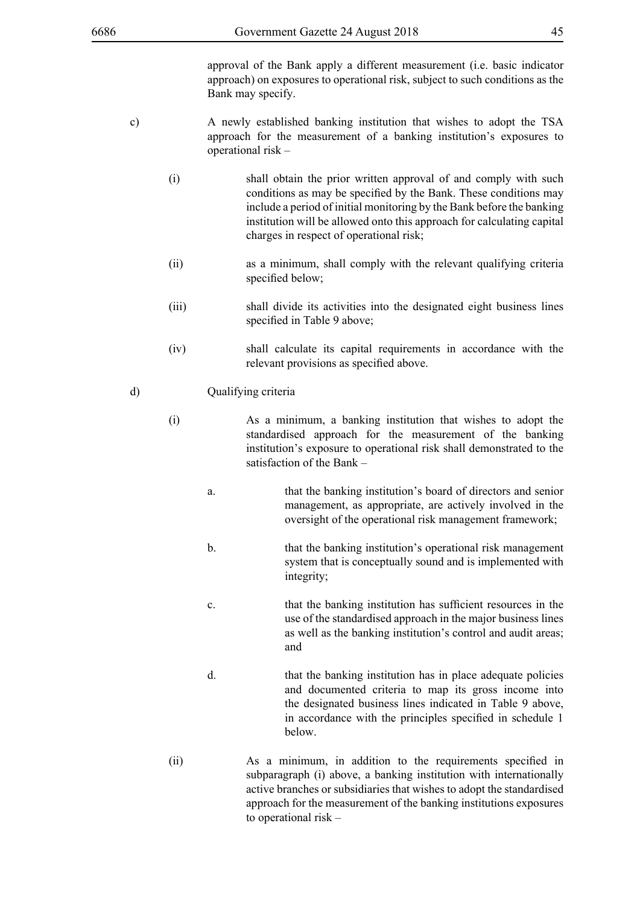approval of the Bank apply a different measurement (i.e. basic indicator approach) on exposures to operational risk, subject to such conditions as the Bank may specify.

- c) A newly established banking institution that wishes to adopt the TSA approach for the measurement of a banking institution's exposures to operational risk –
	- (i) shall obtain the prior written approval of and comply with such conditions as may be specified by the Bank. These conditions may include a period of initial monitoring by the Bank before the banking institution will be allowed onto this approach for calculating capital charges in respect of operational risk;
	- (ii) as a minimum, shall comply with the relevant qualifying criteria specified below:
	- (iii) shall divide its activities into the designated eight business lines specified in Table 9 above;
	- (iv) shall calculate its capital requirements in accordance with the relevant provisions as specified above.

### d) Qualifying criteria

- (i) As a minimum, a banking institution that wishes to adopt the standardised approach for the measurement of the banking institution's exposure to operational risk shall demonstrated to the satisfaction of the Bank –
	- a. that the banking institution's board of directors and senior management, as appropriate, are actively involved in the oversight of the operational risk management framework;
	- b. that the banking institution's operational risk management system that is conceptually sound and is implemented with integrity;
	- c. that the banking institution has sufficient resources in the use of the standardised approach in the major business lines as well as the banking institution's control and audit areas; and
	- d. that the banking institution has in place adequate policies and documented criteria to map its gross income into the designated business lines indicated in Table 9 above, in accordance with the principles specified in schedule 1 below.
- (ii) As a minimum, in addition to the requirements specified in subparagraph (i) above, a banking institution with internationally active branches or subsidiaries that wishes to adopt the standardised approach for the measurement of the banking institutions exposures to operational risk –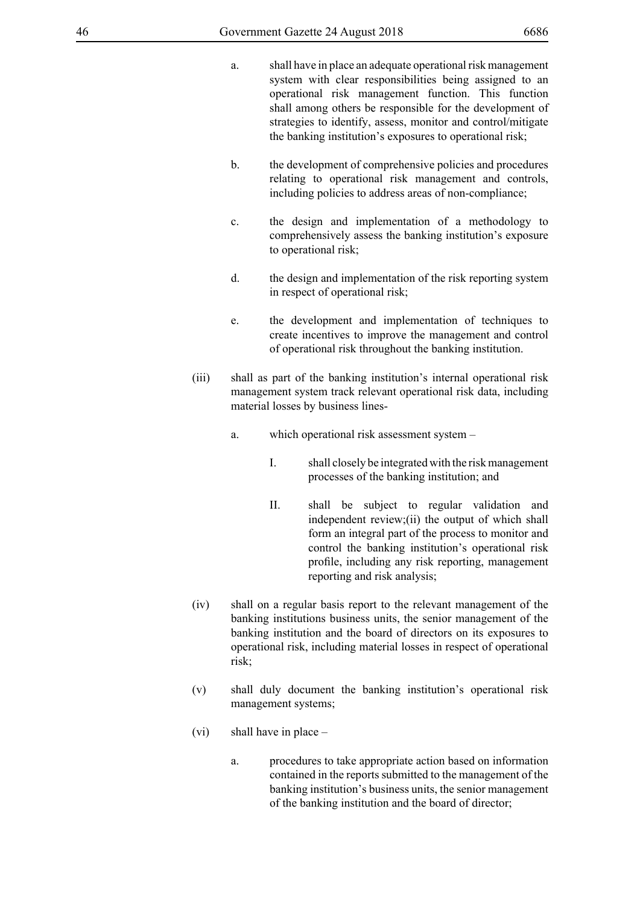- 
- a. shall have in place an adequate operational risk management system with clear responsibilities being assigned to an operational risk management function. This function shall among others be responsible for the development of strategies to identify, assess, monitor and control/mitigate the banking institution's exposures to operational risk;
- b. the development of comprehensive policies and procedures relating to operational risk management and controls, including policies to address areas of non-compliance;
- c. the design and implementation of a methodology to comprehensively assess the banking institution's exposure to operational risk;
- d. the design and implementation of the risk reporting system in respect of operational risk;
- e. the development and implementation of techniques to create incentives to improve the management and control of operational risk throughout the banking institution.
- (iii) shall as part of the banking institution's internal operational risk management system track relevant operational risk data, including material losses by business lines
	- a. which operational risk assessment system
		- I. shall closely be integrated with the risk management processes of the banking institution; and
		- II. shall be subject to regular validation and independent review;(ii) the output of which shall form an integral part of the process to monitor and control the banking institution's operational risk profile, including any risk reporting, management reporting and risk analysis;
- (iv) shall on a regular basis report to the relevant management of the banking institutions business units, the senior management of the banking institution and the board of directors on its exposures to operational risk, including material losses in respect of operational risk;
- (v) shall duly document the banking institution's operational risk management systems;
- (vi) shall have in place
	- a. procedures to take appropriate action based on information contained in the reports submitted to the management of the banking institution's business units, the senior management of the banking institution and the board of director;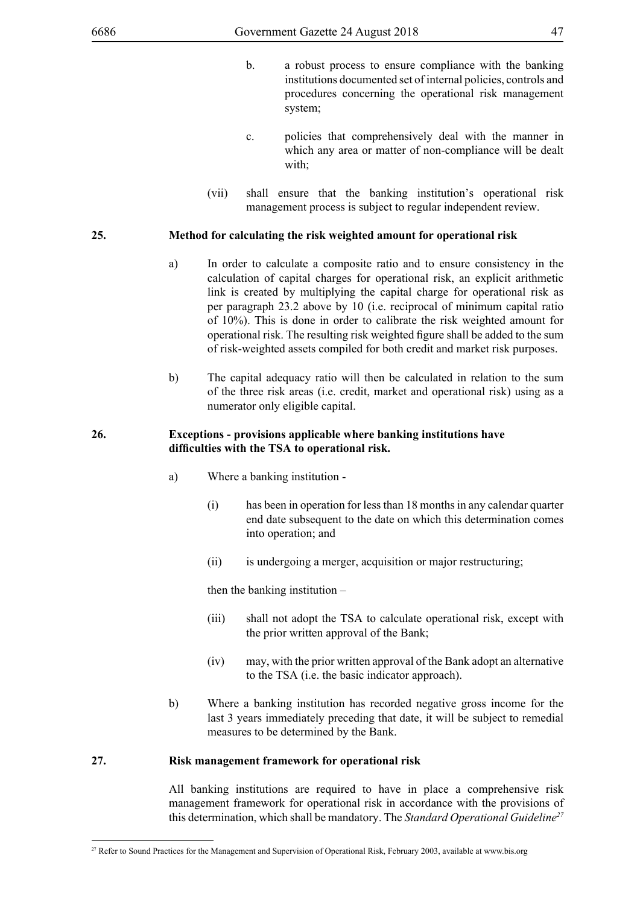- b. a robust process to ensure compliance with the banking institutions documented set of internal policies, controls and procedures concerning the operational risk management system;
- c. policies that comprehensively deal with the manner in which any area or matter of non-compliance will be dealt with;
- (vii) shall ensure that the banking institution's operational risk management process is subject to regular independent review.

## **25. Method for calculating the risk weighted amount for operational risk**

- a) In order to calculate a composite ratio and to ensure consistency in the calculation of capital charges for operational risk, an explicit arithmetic link is created by multiplying the capital charge for operational risk as per paragraph 23.2 above by 10 (i.e. reciprocal of minimum capital ratio of 10%). This is done in order to calibrate the risk weighted amount for operational risk. The resulting risk weighted figure shall be added to the sum of risk-weighted assets compiled for both credit and market risk purposes.
- b) The capital adequacy ratio will then be calculated in relation to the sum of the three risk areas (i.e. credit, market and operational risk) using as a numerator only eligible capital.

## **26. Exceptions - provisions applicable where banking institutions have difficulties with the TSA to operational risk.**

- a) Where a banking institution
	- (i) has been in operation for less than 18 months in any calendar quarter end date subsequent to the date on which this determination comes into operation; and
	- (ii) is undergoing a merger, acquisition or major restructuring;

then the banking institution –

- (iii) shall not adopt the TSA to calculate operational risk, except with the prior written approval of the Bank;
- (iv) may, with the prior written approval of the Bank adopt an alternative to the TSA (i.e. the basic indicator approach).
- b) Where a banking institution has recorded negative gross income for the last 3 years immediately preceding that date, it will be subject to remedial measures to be determined by the Bank.

## **27. Risk management framework for operational risk**

All banking institutions are required to have in place a comprehensive risk management framework for operational risk in accordance with the provisions of this determination, which shall be mandatory. The *Standard Operational Guideline27*

<sup>&</sup>lt;sup>27</sup> Refer to Sound Practices for the Management and Supervision of Operational Risk, February 2003, available at www.bis.org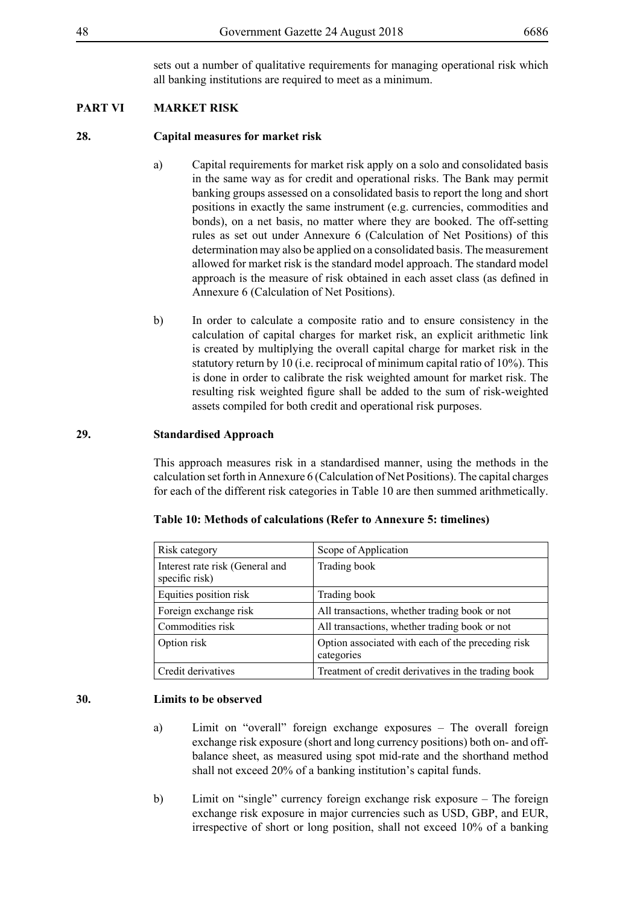sets out a number of qualitative requirements for managing operational risk which all banking institutions are required to meet as a minimum.

# **PART VI MARKET RISK**

## **28. Capital measures for market risk**

- a) Capital requirements for market risk apply on a solo and consolidated basis in the same way as for credit and operational risks. The Bank may permit banking groups assessed on a consolidated basis to report the long and short positions in exactly the same instrument (e.g. currencies, commodities and bonds), on a net basis, no matter where they are booked. The off-setting rules as set out under Annexure 6 (Calculation of Net Positions) of this determination may also be applied on a consolidated basis. The measurement allowed for market risk is the standard model approach. The standard model approach is the measure of risk obtained in each asset class (as defined in Annexure 6 (Calculation of Net Positions).
- b) In order to calculate a composite ratio and to ensure consistency in the calculation of capital charges for market risk, an explicit arithmetic link is created by multiplying the overall capital charge for market risk in the statutory return by 10 (i.e. reciprocal of minimum capital ratio of 10%). This is done in order to calibrate the risk weighted amount for market risk. The resulting risk weighted figure shall be added to the sum of risk-weighted assets compiled for both credit and operational risk purposes.

## **29. Standardised Approach**

This approach measures risk in a standardised manner, using the methods in the calculation set forth in Annexure 6 (Calculation of Net Positions). The capital charges for each of the different risk categories in Table 10 are then summed arithmetically.

| Risk category                                     | Scope of Application                                            |
|---------------------------------------------------|-----------------------------------------------------------------|
| Interest rate risk (General and<br>specific risk) | Trading book                                                    |
| Equities position risk                            | Trading book                                                    |
| Foreign exchange risk                             | All transactions, whether trading book or not                   |
| Commodities risk                                  | All transactions, whether trading book or not                   |
| Option risk                                       | Option associated with each of the preceding risk<br>categories |
| Credit derivatives                                | Treatment of credit derivatives in the trading book             |

## **Table 10: Methods of calculations (Refer to Annexure 5: timelines)**

## **30. Limits to be observed**

- a) Limit on "overall" foreign exchange exposures The overall foreign exchange risk exposure (short and long currency positions) both on- and offbalance sheet, as measured using spot mid-rate and the shorthand method shall not exceed 20% of a banking institution's capital funds.
- b) Limit on "single" currency foreign exchange risk exposure The foreign exchange risk exposure in major currencies such as USD, GBP, and EUR, irrespective of short or long position, shall not exceed 10% of a banking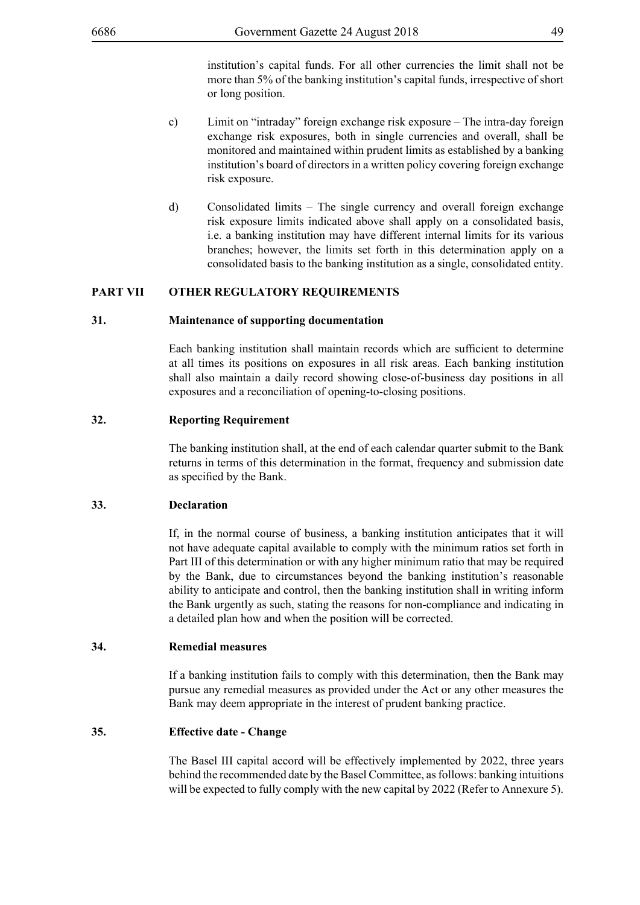institution's capital funds. For all other currencies the limit shall not be more than 5% of the banking institution's capital funds, irrespective of short or long position.

- c) Limit on "intraday" foreign exchange risk exposure The intra-day foreign exchange risk exposures, both in single currencies and overall, shall be monitored and maintained within prudent limits as established by a banking institution's board of directors in a written policy covering foreign exchange risk exposure.
- d) Consolidated limits The single currency and overall foreign exchange risk exposure limits indicated above shall apply on a consolidated basis, i.e. a banking institution may have different internal limits for its various branches; however, the limits set forth in this determination apply on a consolidated basis to the banking institution as a single, consolidated entity.

## **PART VII OTHER REGULATORY REQUIREMENTS**

### **31. Maintenance of supporting documentation**

Each banking institution shall maintain records which are sufficient to determine at all times its positions on exposures in all risk areas. Each banking institution shall also maintain a daily record showing close-of-business day positions in all exposures and a reconciliation of opening-to-closing positions.

## **32. Reporting Requirement**

The banking institution shall, at the end of each calendar quarter submit to the Bank returns in terms of this determination in the format, frequency and submission date as specified by the Bank.

# **33. Declaration**

If, in the normal course of business, a banking institution anticipates that it will not have adequate capital available to comply with the minimum ratios set forth in Part III of this determination or with any higher minimum ratio that may be required by the Bank, due to circumstances beyond the banking institution's reasonable ability to anticipate and control, then the banking institution shall in writing inform the Bank urgently as such, stating the reasons for non-compliance and indicating in a detailed plan how and when the position will be corrected.

### **34. Remedial measures**

If a banking institution fails to comply with this determination, then the Bank may pursue any remedial measures as provided under the Act or any other measures the Bank may deem appropriate in the interest of prudent banking practice.

## **35. Effective date - Change**

The Basel III capital accord will be effectively implemented by 2022, three years behind the recommended date by the Basel Committee, as follows: banking intuitions will be expected to fully comply with the new capital by 2022 (Refer to Annexure 5).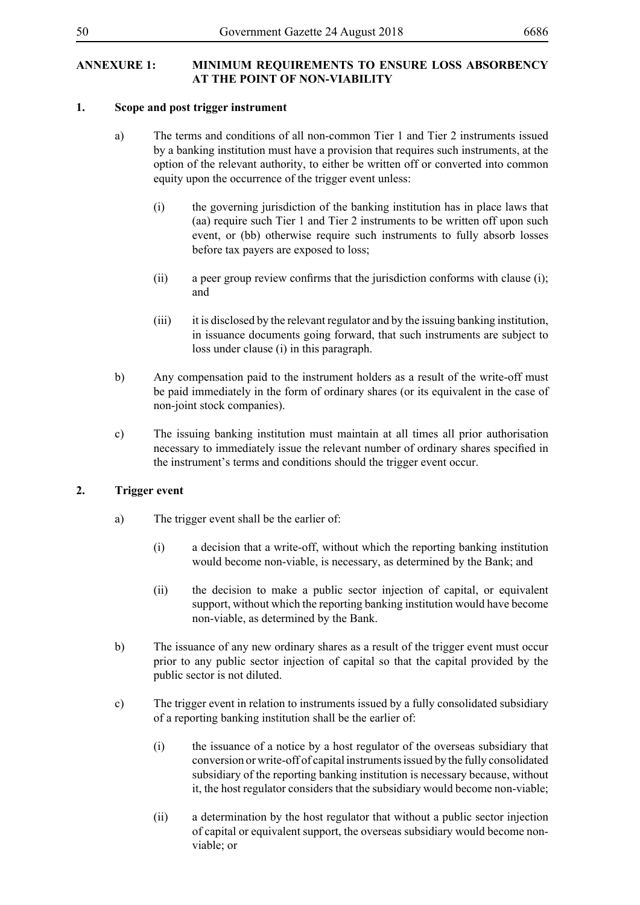# **ANNEXURE 1: MINIMUM REQUIREMENTS TO ENSURE LOSS ABSORBENCY AT THE POINT OF NON-VIABILITY**

# **1. Scope and post trigger instrument**

- a) The terms and conditions of all non-common Tier 1 and Tier 2 instruments issued by a banking institution must have a provision that requires such instruments, at the option of the relevant authority, to either be written off or converted into common equity upon the occurrence of the trigger event unless:
	- (i) the governing jurisdiction of the banking institution has in place laws that (aa) require such Tier 1 and Tier 2 instruments to be written off upon such event, or (bb) otherwise require such instruments to fully absorb losses before tax payers are exposed to loss;
	- (ii) a peer group review confirms that the jurisdiction conforms with clause (i); and
	- (iii) it is disclosed by the relevant regulator and by the issuing banking institution, in issuance documents going forward, that such instruments are subject to loss under clause (i) in this paragraph.
- b) Any compensation paid to the instrument holders as a result of the write-off must be paid immediately in the form of ordinary shares (or its equivalent in the case of non-joint stock companies).
- c) The issuing banking institution must maintain at all times all prior authorisation necessary to immediately issue the relevant number of ordinary shares specified in the instrument's terms and conditions should the trigger event occur.

# **2. Trigger event**

- a) The trigger event shall be the earlier of:
	- (i) a decision that a write-off, without which the reporting banking institution would become non-viable, is necessary, as determined by the Bank; and
	- (ii) the decision to make a public sector injection of capital, or equivalent support, without which the reporting banking institution would have become non-viable, as determined by the Bank.
- b) The issuance of any new ordinary shares as a result of the trigger event must occur prior to any public sector injection of capital so that the capital provided by the public sector is not diluted.
- c) The trigger event in relation to instruments issued by a fully consolidated subsidiary of a reporting banking institution shall be the earlier of:
	- (i) the issuance of a notice by a host regulator of the overseas subsidiary that conversion or write-off of capital instruments issued by the fully consolidated subsidiary of the reporting banking institution is necessary because, without it, the host regulator considers that the subsidiary would become non-viable;
	- (ii) a determination by the host regulator that without a public sector injection of capital or equivalent support, the overseas subsidiary would become nonviable; or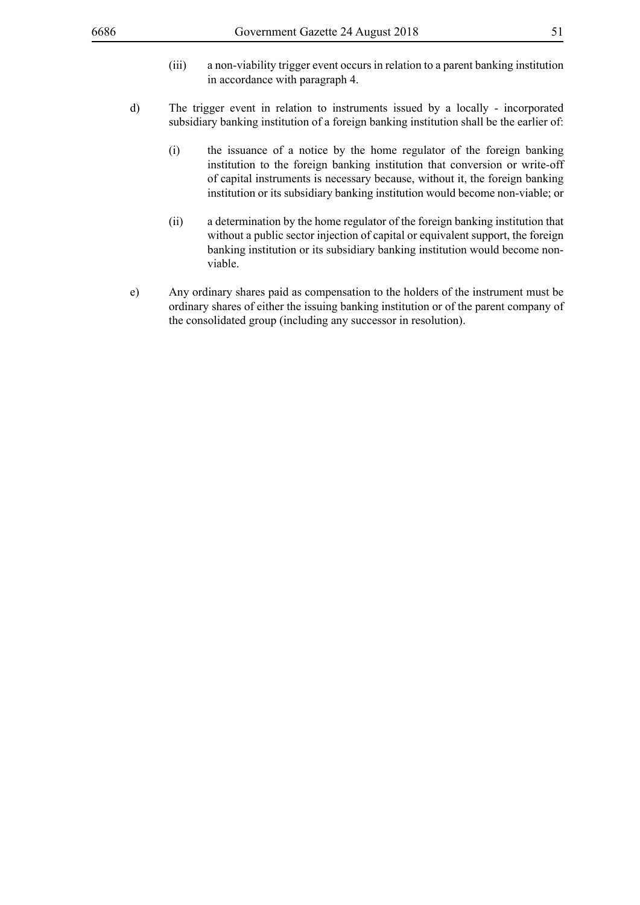- (iii) a non-viability trigger event occurs in relation to a parent banking institution in accordance with paragraph 4.
- d) The trigger event in relation to instruments issued by a locally incorporated subsidiary banking institution of a foreign banking institution shall be the earlier of:
	- (i) the issuance of a notice by the home regulator of the foreign banking institution to the foreign banking institution that conversion or write-off of capital instruments is necessary because, without it, the foreign banking institution or its subsidiary banking institution would become non-viable; or
	- (ii) a determination by the home regulator of the foreign banking institution that without a public sector injection of capital or equivalent support, the foreign banking institution or its subsidiary banking institution would become nonviable.
- e) Any ordinary shares paid as compensation to the holders of the instrument must be ordinary shares of either the issuing banking institution or of the parent company of the consolidated group (including any successor in resolution).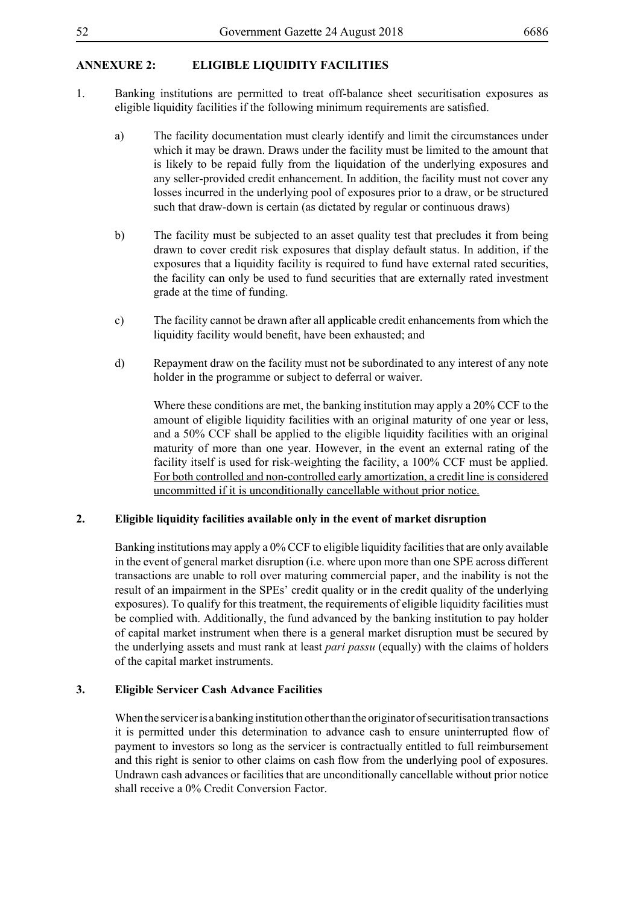# **ANNEXURE 2: ELIGIBLE LIQUIDITY FACILITIES**

- 1. Banking institutions are permitted to treat off-balance sheet securitisation exposures as eligible liquidity facilities if the following minimum requirements are satisfied.
	- a) The facility documentation must clearly identify and limit the circumstances under which it may be drawn. Draws under the facility must be limited to the amount that is likely to be repaid fully from the liquidation of the underlying exposures and any seller-provided credit enhancement. In addition, the facility must not cover any losses incurred in the underlying pool of exposures prior to a draw, or be structured such that draw-down is certain (as dictated by regular or continuous draws)
	- b) The facility must be subjected to an asset quality test that precludes it from being drawn to cover credit risk exposures that display default status. In addition, if the exposures that a liquidity facility is required to fund have external rated securities, the facility can only be used to fund securities that are externally rated investment grade at the time of funding.
	- c) The facility cannot be drawn after all applicable credit enhancements from which the liquidity facility would benefit, have been exhausted; and
	- d) Repayment draw on the facility must not be subordinated to any interest of any note holder in the programme or subject to deferral or waiver.

Where these conditions are met, the banking institution may apply a 20% CCF to the amount of eligible liquidity facilities with an original maturity of one year or less, and a 50% CCF shall be applied to the eligible liquidity facilities with an original maturity of more than one year. However, in the event an external rating of the facility itself is used for risk-weighting the facility, a 100% CCF must be applied. For both controlled and non-controlled early amortization, a credit line is considered uncommitted if it is unconditionally cancellable without prior notice.

## **2. Eligible liquidity facilities available only in the event of market disruption**

Banking institutions may apply a 0% CCF to eligible liquidity facilities that are only available in the event of general market disruption (i.e. where upon more than one SPE across different transactions are unable to roll over maturing commercial paper, and the inability is not the result of an impairment in the SPEs' credit quality or in the credit quality of the underlying exposures). To qualify for this treatment, the requirements of eligible liquidity facilities must be complied with. Additionally, the fund advanced by the banking institution to pay holder of capital market instrument when there is a general market disruption must be secured by the underlying assets and must rank at least *pari passu* (equally) with the claims of holders of the capital market instruments.

## **3. Eligible Servicer Cash Advance Facilities**

When the servicer is a banking institution other than the originator of securitisation transactions it is permitted under this determination to advance cash to ensure uninterrupted flow of payment to investors so long as the servicer is contractually entitled to full reimbursement and this right is senior to other claims on cash flow from the underlying pool of exposures. Undrawn cash advances or facilities that are unconditionally cancellable without prior notice shall receive a 0% Credit Conversion Factor.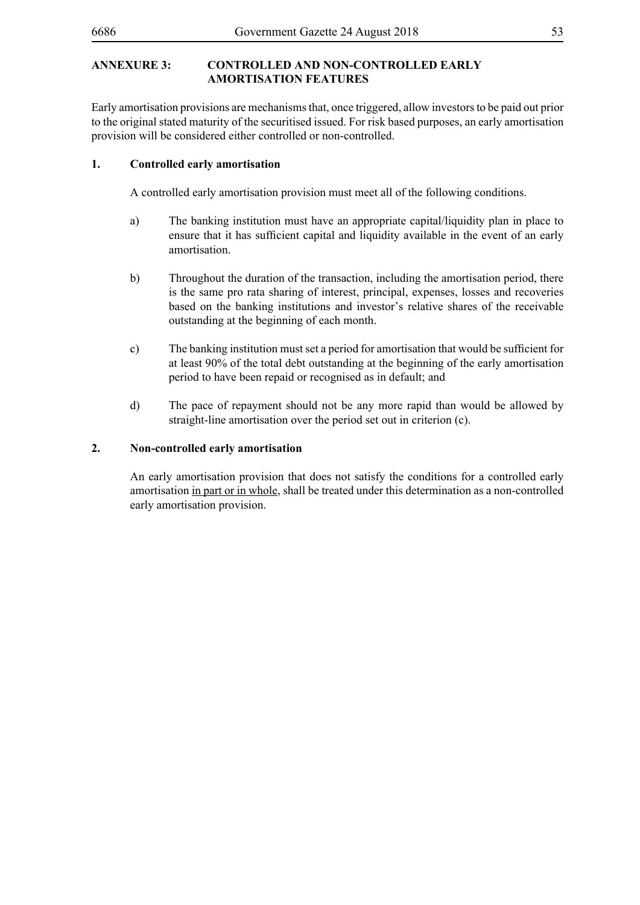# **ANNEXURE 3: CONTROLLED AND NON-CONTROLLED EARLY AMORTISATION FEATURES**

Early amortisation provisions are mechanisms that, once triggered, allow investors to be paid out prior to the original stated maturity of the securitised issued. For risk based purposes, an early amortisation provision will be considered either controlled or non-controlled.

# **1. Controlled early amortisation**

A controlled early amortisation provision must meet all of the following conditions.

- a) The banking institution must have an appropriate capital/liquidity plan in place to ensure that it has sufficient capital and liquidity available in the event of an early amortisation.
- b) Throughout the duration of the transaction, including the amortisation period, there is the same pro rata sharing of interest, principal, expenses, losses and recoveries based on the banking institutions and investor's relative shares of the receivable outstanding at the beginning of each month.
- c) The banking institution must set a period for amortisation that would be sufficient for at least 90% of the total debt outstanding at the beginning of the early amortisation period to have been repaid or recognised as in default; and
- d) The pace of repayment should not be any more rapid than would be allowed by straight-line amortisation over the period set out in criterion (c).

## **2. Non-controlled early amortisation**

An early amortisation provision that does not satisfy the conditions for a controlled early amortisation in part or in whole, shall be treated under this determination as a non-controlled early amortisation provision.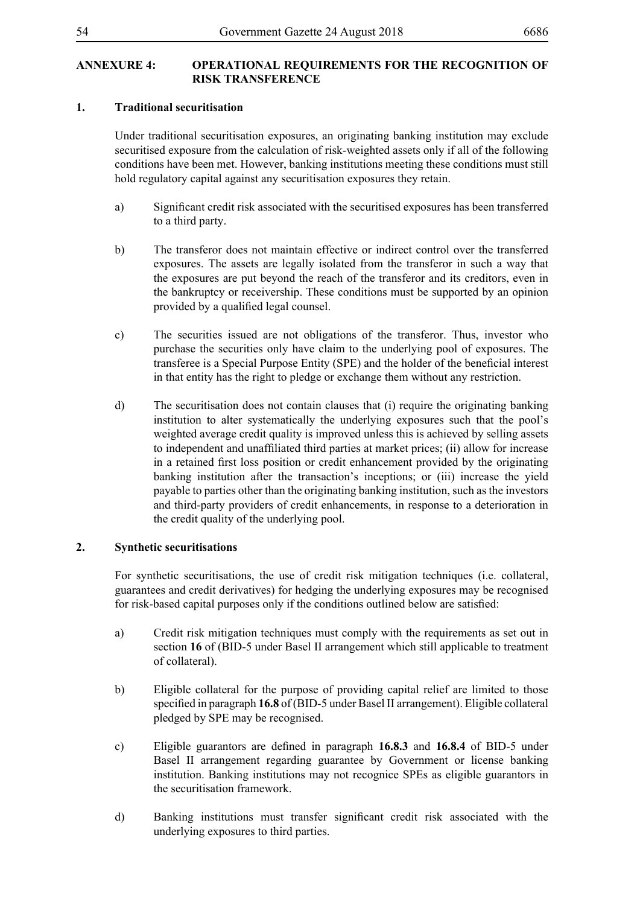# **ANNEXURE 4: OPERATIONAL REQUIREMENTS FOR THE RECOGNITION OF RISK TRANSFERENCE**

## **1. Traditional securitisation**

Under traditional securitisation exposures, an originating banking institution may exclude securitised exposure from the calculation of risk-weighted assets only if all of the following conditions have been met. However, banking institutions meeting these conditions must still hold regulatory capital against any securitisation exposures they retain.

- a) Significant credit risk associated with the securitised exposures has been transferred to a third party.
- b) The transferor does not maintain effective or indirect control over the transferred exposures. The assets are legally isolated from the transferor in such a way that the exposures are put beyond the reach of the transferor and its creditors, even in the bankruptcy or receivership. These conditions must be supported by an opinion provided by a qualified legal counsel.
- c) The securities issued are not obligations of the transferor. Thus, investor who purchase the securities only have claim to the underlying pool of exposures. The transferee is a Special Purpose Entity (SPE) and the holder of the beneficial interest in that entity has the right to pledge or exchange them without any restriction.
- d) The securitisation does not contain clauses that (i) require the originating banking institution to alter systematically the underlying exposures such that the pool's weighted average credit quality is improved unless this is achieved by selling assets to independent and unaffiliated third parties at market prices; (ii) allow for increase in a retained first loss position or credit enhancement provided by the originating banking institution after the transaction's inceptions; or (iii) increase the yield payable to parties other than the originating banking institution, such as the investors and third-party providers of credit enhancements, in response to a deterioration in the credit quality of the underlying pool.

# **2. Synthetic securitisations**

For synthetic securitisations, the use of credit risk mitigation techniques (i.e. collateral, guarantees and credit derivatives) for hedging the underlying exposures may be recognised for risk-based capital purposes only if the conditions outlined below are satisfied:

- a) Credit risk mitigation techniques must comply with the requirements as set out in section **16** of (BID-5 under Basel II arrangement which still applicable to treatment of collateral).
- b) Eligible collateral for the purpose of providing capital relief are limited to those specified in paragraph **16.8** of (BID-5 under Basel II arrangement). Eligible collateral pledged by SPE may be recognised.
- c) Eligible guarantors are defined in paragraph **16.8.3** and **16.8.4** of BID-5 under Basel II arrangement regarding guarantee by Government or license banking institution. Banking institutions may not recognice SPEs as eligible guarantors in the securitisation framework.
- d) Banking institutions must transfer significant credit risk associated with the underlying exposures to third parties.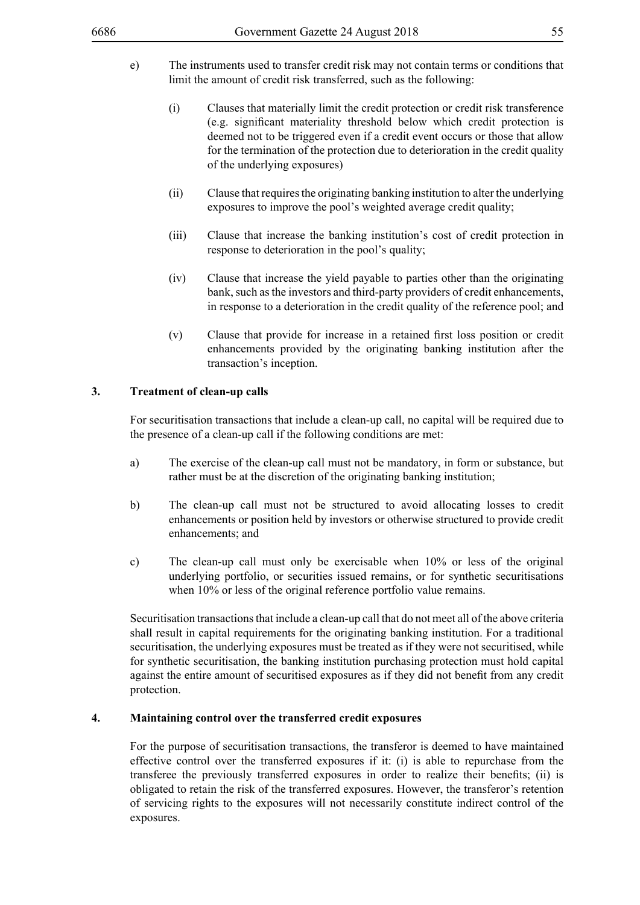- e) The instruments used to transfer credit risk may not contain terms or conditions that limit the amount of credit risk transferred, such as the following:
	- (i) Clauses that materially limit the credit protection or credit risk transference (e.g. significant materiality threshold below which credit protection is deemed not to be triggered even if a credit event occurs or those that allow for the termination of the protection due to deterioration in the credit quality of the underlying exposures)
	- (ii) Clause that requires the originating banking institution to alter the underlying exposures to improve the pool's weighted average credit quality;
	- (iii) Clause that increase the banking institution's cost of credit protection in response to deterioration in the pool's quality;
	- (iv) Clause that increase the yield payable to parties other than the originating bank, such as the investors and third-party providers of credit enhancements, in response to a deterioration in the credit quality of the reference pool; and
	- (v) Clause that provide for increase in a retained first loss position or credit enhancements provided by the originating banking institution after the transaction's inception.

### **3. Treatment of clean-up calls**

For securitisation transactions that include a clean-up call, no capital will be required due to the presence of a clean-up call if the following conditions are met:

- a) The exercise of the clean-up call must not be mandatory, in form or substance, but rather must be at the discretion of the originating banking institution;
- b) The clean-up call must not be structured to avoid allocating losses to credit enhancements or position held by investors or otherwise structured to provide credit enhancements; and
- c) The clean-up call must only be exercisable when 10% or less of the original underlying portfolio, or securities issued remains, or for synthetic securitisations when 10% or less of the original reference portfolio value remains.

Securitisation transactions that include a clean-up call that do not meet all of the above criteria shall result in capital requirements for the originating banking institution. For a traditional securitisation, the underlying exposures must be treated as if they were not securitised, while for synthetic securitisation, the banking institution purchasing protection must hold capital against the entire amount of securitised exposures as if they did not benefit from any credit protection.

### **4. Maintaining control over the transferred credit exposures**

For the purpose of securitisation transactions, the transferor is deemed to have maintained effective control over the transferred exposures if it: (i) is able to repurchase from the transferee the previously transferred exposures in order to realize their benefits; (ii) is obligated to retain the risk of the transferred exposures. However, the transferor's retention of servicing rights to the exposures will not necessarily constitute indirect control of the exposures.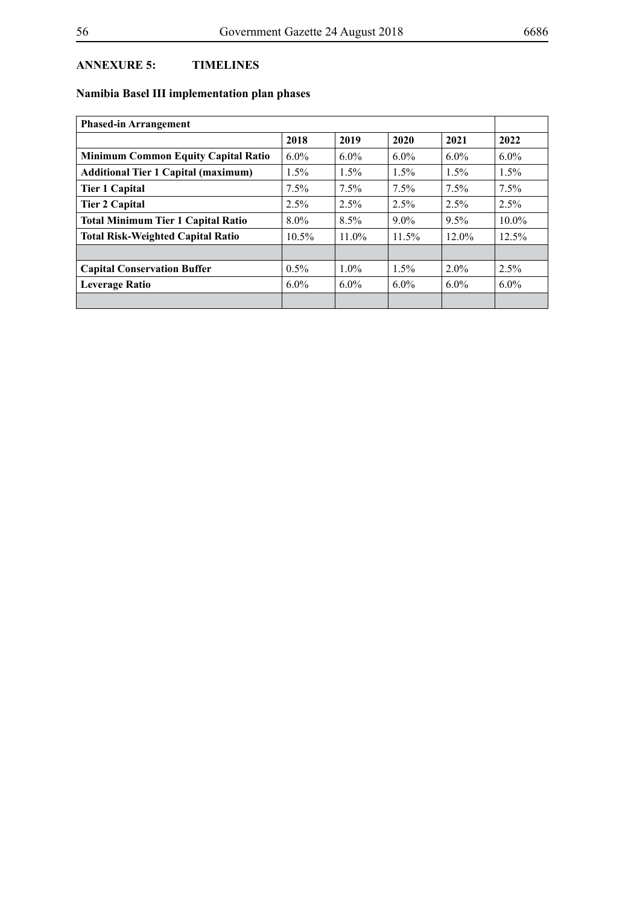# **ANNEXURE 5: TIMELINES**

# **Namibia Basel III implementation plan phases**

| <b>Phased-in Arrangement</b>               |          |          |          |          |         |
|--------------------------------------------|----------|----------|----------|----------|---------|
|                                            | 2018     | 2019     | 2020     | 2021     | 2022    |
| Minimum Common Equity Capital Ratio        | $6.0\%$  | $6.0\%$  | $6.0\%$  | $6.0\%$  | $6.0\%$ |
| <b>Additional Tier 1 Capital (maximum)</b> | 1.5%     | $1.5\%$  | $1.5\%$  | 1.5%     | $1.5\%$ |
| <b>Tier 1 Capital</b>                      | 7.5%     | $7.5\%$  | $7.5\%$  | $7.5\%$  | $7.5\%$ |
| <b>Tier 2 Capital</b>                      | 2.5%     | $2.5\%$  | 2.5%     | 2.5%     | 2.5%    |
| <b>Total Minimum Tier 1 Capital Ratio</b>  | $8.0\%$  | 8.5%     | $9.0\%$  | 9.5%     | 10.0%   |
| <b>Total Risk-Weighted Capital Ratio</b>   | $10.5\%$ | $11.0\%$ | $11.5\%$ | $12.0\%$ | 12.5%   |
|                                            |          |          |          |          |         |
| <b>Capital Conservation Buffer</b>         | $0.5\%$  | $1.0\%$  | $1.5\%$  | $2.0\%$  | $2.5\%$ |
| <b>Leverage Ratio</b>                      | $6.0\%$  | $6.0\%$  | $6.0\%$  | $6.0\%$  | $6.0\%$ |
|                                            |          |          |          |          |         |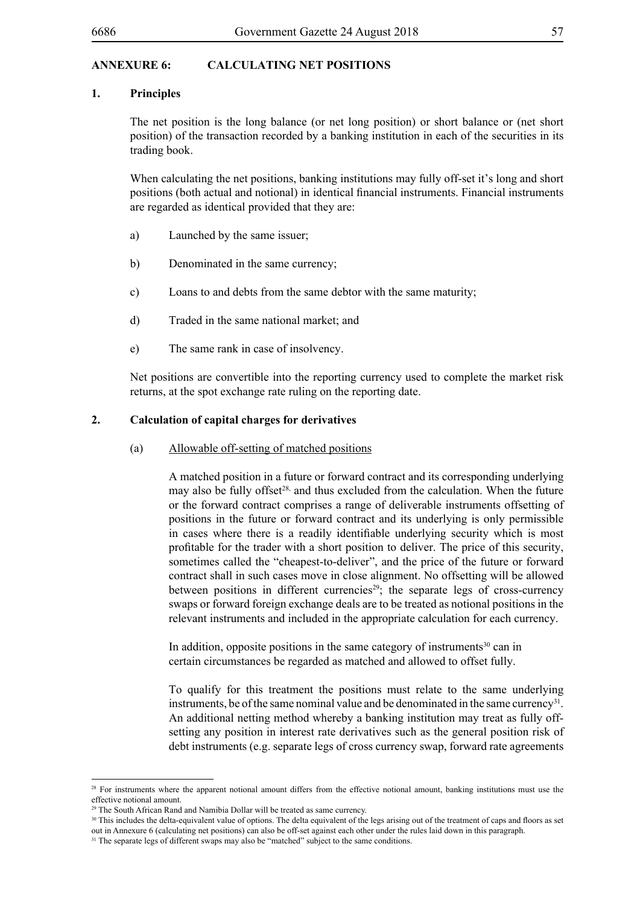## **ANNEXURE 6: CALCULATING NET POSITIONS**

## **1. Principles**

The net position is the long balance (or net long position) or short balance or (net short position) of the transaction recorded by a banking institution in each of the securities in its trading book.

When calculating the net positions, banking institutions may fully off-set it's long and short positions (both actual and notional) in identical financial instruments. Financial instruments are regarded as identical provided that they are:

- a) Launched by the same issuer;
- b) Denominated in the same currency;
- c) Loans to and debts from the same debtor with the same maturity;
- d) Traded in the same national market; and
- e) The same rank in case of insolvency.

Net positions are convertible into the reporting currency used to complete the market risk returns, at the spot exchange rate ruling on the reporting date.

# **2. Calculation of capital charges for derivatives**

(a) Allowable off-setting of matched positions

A matched position in a future or forward contract and its corresponding underlying may also be fully offset<sup>28,</sup> and thus excluded from the calculation. When the future or the forward contract comprises a range of deliverable instruments offsetting of positions in the future or forward contract and its underlying is only permissible in cases where there is a readily identifiable underlying security which is most profitable for the trader with a short position to deliver. The price of this security, sometimes called the "cheapest-to-deliver", and the price of the future or forward contract shall in such cases move in close alignment. No offsetting will be allowed between positions in different currencies<sup>29</sup>; the separate legs of cross-currency swaps or forward foreign exchange deals are to be treated as notional positions in the relevant instruments and included in the appropriate calculation for each currency.

In addition, opposite positions in the same category of instruments $30$  can in certain circumstances be regarded as matched and allowed to offset fully.

To qualify for this treatment the positions must relate to the same underlying instruments, be of the same nominal value and be denominated in the same currency<sup>31</sup>. An additional netting method whereby a banking institution may treat as fully offsetting any position in interest rate derivatives such as the general position risk of debt instruments (e.g. separate legs of cross currency swap, forward rate agreements

<sup>&</sup>lt;sup>28</sup> For instruments where the apparent notional amount differs from the effective notional amount, banking institutions must use the effective notional amount.

<sup>&</sup>lt;sup>29</sup> The South African Rand and Namibia Dollar will be treated as same currency.

<sup>&</sup>lt;sup>30</sup> This includes the delta-equivalent value of options. The delta equivalent of the legs arising out of the treatment of caps and floors as set out in Annexure 6 (calculating net positions) can also be off-set against each other under the rules laid down in this paragraph.

<sup>&</sup>lt;sup>31</sup> The separate legs of different swaps may also be "matched" subject to the same conditions.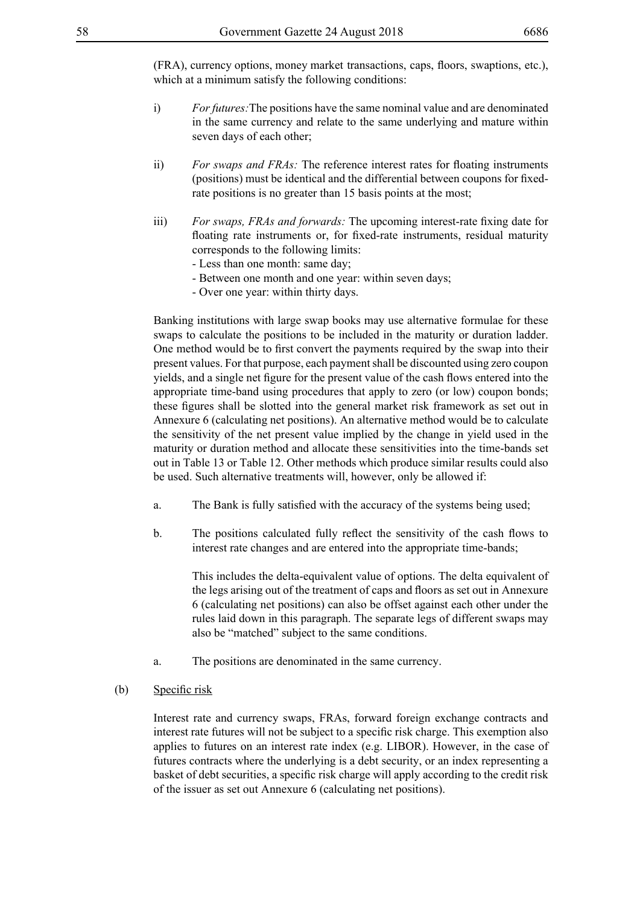(FRA), currency options, money market transactions, caps, floors, swaptions, etc.), which at a minimum satisfy the following conditions:

- i) *For futures:*The positions have the same nominal value and are denominated in the same currency and relate to the same underlying and mature within seven days of each other;
- ii) *For swaps and FRAs:* The reference interest rates for floating instruments (positions) must be identical and the differential between coupons for fixedrate positions is no greater than 15 basis points at the most;
- iii) *For swaps, FRAs and forwards:* The upcoming interest-rate fixing date for floating rate instruments or, for fixed-rate instruments, residual maturity corresponds to the following limits:
	- Less than one month: same day;
	- Between one month and one year: within seven days;
	- Over one year: within thirty days.

Banking institutions with large swap books may use alternative formulae for these swaps to calculate the positions to be included in the maturity or duration ladder. One method would be to first convert the payments required by the swap into their present values. For that purpose, each payment shall be discounted using zero coupon yields, and a single net figure for the present value of the cash flows entered into the appropriate time-band using procedures that apply to zero (or low) coupon bonds; these figures shall be slotted into the general market risk framework as set out in Annexure 6 (calculating net positions). An alternative method would be to calculate the sensitivity of the net present value implied by the change in yield used in the maturity or duration method and allocate these sensitivities into the time-bands set out in Table 13 or Table 12. Other methods which produce similar results could also be used. Such alternative treatments will, however, only be allowed if:

- a. The Bank is fully satisfied with the accuracy of the systems being used;
- b. The positions calculated fully reflect the sensitivity of the cash flows to interest rate changes and are entered into the appropriate time-bands;

This includes the delta-equivalent value of options. The delta equivalent of the legs arising out of the treatment of caps and floors as set out in Annexure 6 (calculating net positions) can also be offset against each other under the rules laid down in this paragraph. The separate legs of different swaps may also be "matched" subject to the same conditions.

- a. The positions are denominated in the same currency.
- (b) Specific risk

Interest rate and currency swaps, FRAs, forward foreign exchange contracts and interest rate futures will not be subject to a specific risk charge. This exemption also applies to futures on an interest rate index (e.g. LIBOR). However, in the case of futures contracts where the underlying is a debt security, or an index representing a basket of debt securities, a specific risk charge will apply according to the credit risk of the issuer as set out Annexure 6 (calculating net positions).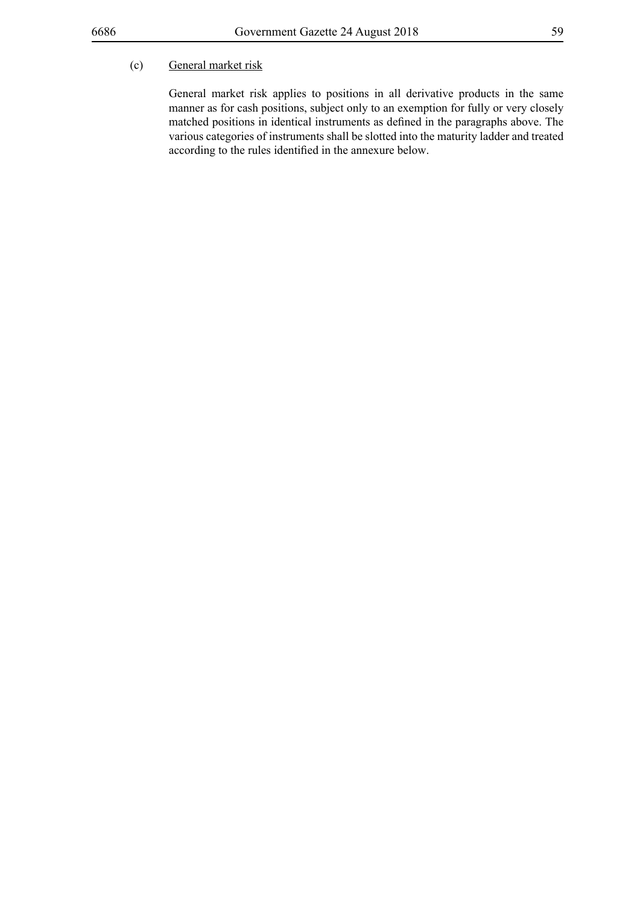# (c) General market risk

General market risk applies to positions in all derivative products in the same manner as for cash positions, subject only to an exemption for fully or very closely matched positions in identical instruments as defined in the paragraphs above. The various categories of instruments shall be slotted into the maturity ladder and treated according to the rules identified in the annexure below.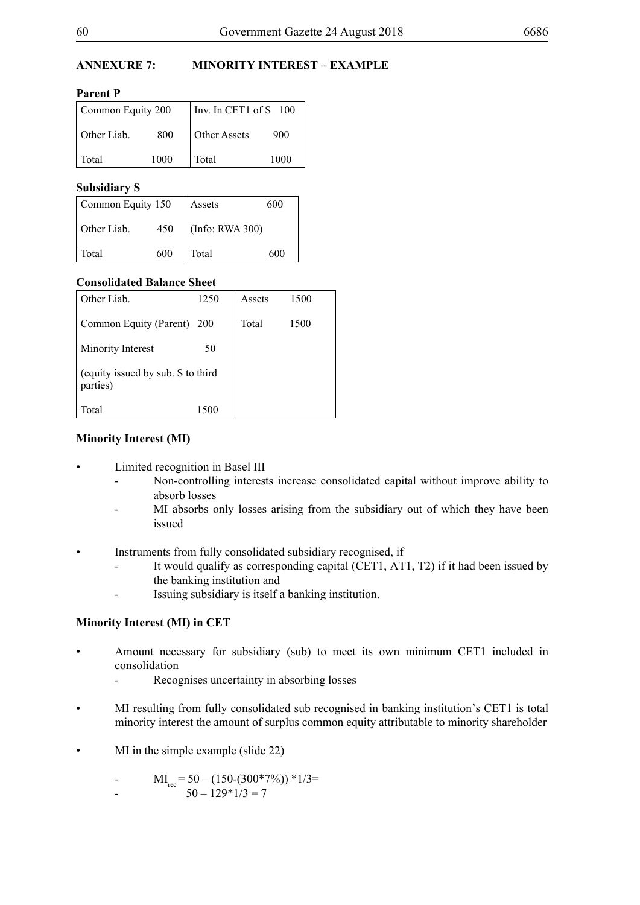# **ANNEXURE 7: MINORITY INTEREST – EXAMPLE**

**Parent P**

| Common Equity 200 |      | Inv. In CET1 of S 100 |      |
|-------------------|------|-----------------------|------|
| Other Liab.       | 800  | <b>Other Assets</b>   | 900  |
| Total             | 1000 | Total                 | 1000 |

# **Subsidiary S**

| Common Equity 150  |     | 600<br>Assets   |     |
|--------------------|-----|-----------------|-----|
| Other Liab.<br>450 |     | (Info: RWA 300) |     |
| Total              | 600 | Total           | 600 |

# **Consolidated Balance Sheet**

| Other Liab.                                   | 1250       | Assets | 1500 |
|-----------------------------------------------|------------|--------|------|
| Common Equity (Parent)                        | <b>200</b> | Total  | 1500 |
| Minority Interest                             | 50         |        |      |
| (equity issued by sub. S to third<br>parties) |            |        |      |
| Total                                         |            |        |      |

# **Minority Interest (MI)**

- Limited recognition in Basel III
	- Non-controlling interests increase consolidated capital without improve ability to absorb losses
	- MI absorbs only losses arising from the subsidiary out of which they have been issued
- Instruments from fully consolidated subsidiary recognised, if
	- It would qualify as corresponding capital (CET1, AT1, T2) if it had been issued by the banking institution and
	- Issuing subsidiary is itself a banking institution.

# **Minority Interest (MI) in CET**

- Amount necessary for subsidiary (sub) to meet its own minimum CET1 included in consolidation
	- Recognises uncertainty in absorbing losses
- MI resulting from fully consolidated sub recognised in banking institution's CET1 is total minority interest the amount of surplus common equity attributable to minority shareholder
- $MI$  in the simple example (slide 22)

- MI<sub>rec</sub> = 50 – (150-(300\*7%)) \*1/3=  $-$  50 – 129\*1/3 = 7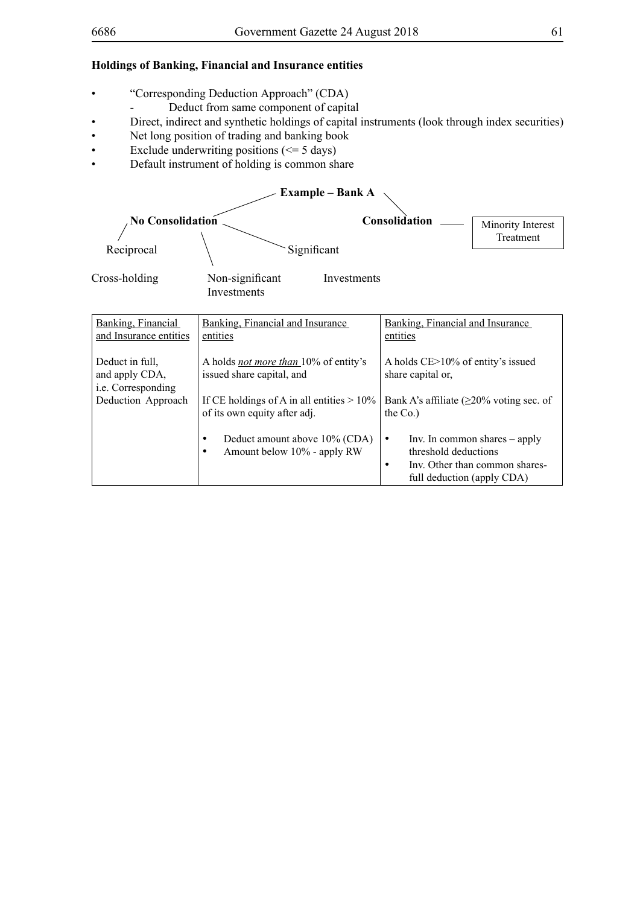# **Holdings of Banking, Financial and Insurance entities**

- • "Corresponding Deduction Approach" (CDA)
- Deduct from same component of capital
- • Direct, indirect and synthetic holdings of capital instruments (look through index securities)
- • Net long position of trading and banking book
- Exclude underwriting positions ( $\leq$  5 days)
- • Default instrument of holding is common share

| <b>Example – Bank A</b>                                 |                                                                                        |                                                                      |                                                                   |  |  |
|---------------------------------------------------------|----------------------------------------------------------------------------------------|----------------------------------------------------------------------|-------------------------------------------------------------------|--|--|
| <b>No Consolidation</b>                                 |                                                                                        | Consolidation                                                        | Minority Interest<br>Treatment                                    |  |  |
| Reciprocal                                              | Significant                                                                            |                                                                      |                                                                   |  |  |
| Cross-holding                                           | Non-significant<br>Investments<br>Investments                                          |                                                                      |                                                                   |  |  |
| Banking, Financial<br>and Insurance entities            | Banking, Financial and Insurance<br>entities                                           | Banking, Financial and Insurance<br>entities                         |                                                                   |  |  |
| Deduct in full,<br>and apply CDA,<br>i.e. Corresponding | A holds <i>not more than</i> 10% of entity's<br>issued share capital, and              | A holds $CE > 10\%$ of entity's issued<br>share capital or,          |                                                                   |  |  |
| Deduction Approach                                      | If CE holdings of A in all entities $> 10\%$<br>of its own equity after adj.           | Bank A's affiliate $(\geq 20\%$ voting sec. of<br>the $Co.$ )        |                                                                   |  |  |
|                                                         | Deduct amount above 10% (CDA)<br>$\bullet$<br>Amount below 10% - apply RW<br>$\bullet$ | $\bullet$<br>threshold deductions<br>٠<br>full deduction (apply CDA) | Inv. In common shares $-$ apply<br>Inv. Other than common shares- |  |  |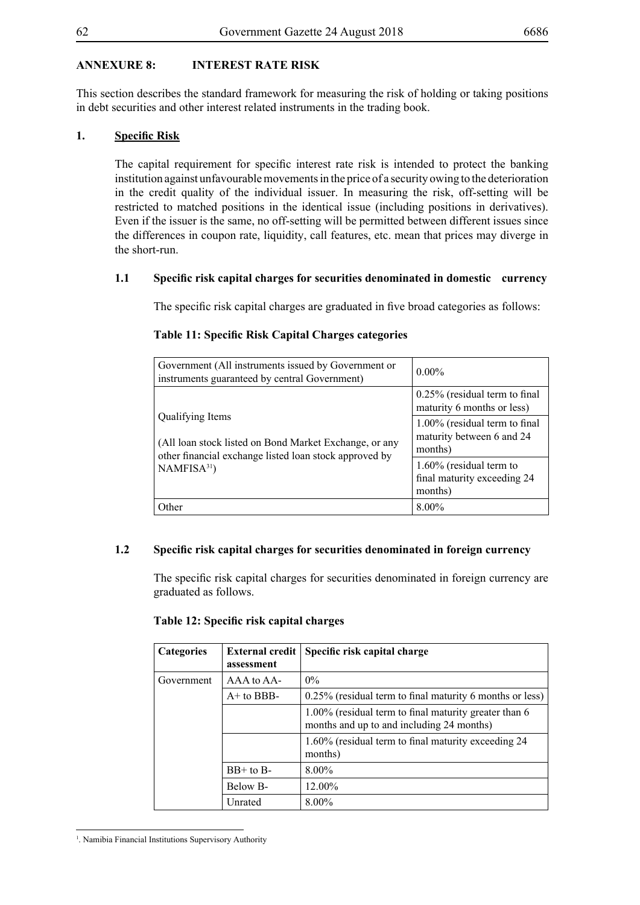# **ANNEXURE 8: INTEREST RATE RISK**

This section describes the standard framework for measuring the risk of holding or taking positions in debt securities and other interest related instruments in the trading book.

# **1. Specific Risk**

The capital requirement for specific interest rate risk is intended to protect the banking institution against unfavourable movements in the price of a security owing to the deterioration in the credit quality of the individual issuer. In measuring the risk, off-setting will be restricted to matched positions in the identical issue (including positions in derivatives). Even if the issuer is the same, no off-setting will be permitted between different issues since the differences in coupon rate, liquidity, call features, etc. mean that prices may diverge in the short-run.

## **1.1 Specific risk capital charges for securities denominated in domestic currency**

The specific risk capital charges are graduated in five broad categories as follows:

## **Table 11: Specific Risk Capital Charges categories**

| Government (All instruments issued by Government or<br>instruments guaranteed by central Government) | $0.00\%$                                                              |
|------------------------------------------------------------------------------------------------------|-----------------------------------------------------------------------|
| Qualifying Items<br>(All loan stock listed on Bond Market Exchange, or any                           | $0.25\%$ (residual term to final<br>maturity 6 months or less)        |
|                                                                                                      | 1.00% (residual term to final<br>maturity between 6 and 24<br>months) |
| other financial exchange listed loan stock approved by<br>NAMFISA <sup>31</sup>                      | $1.60\%$ (residual term to<br>final maturity exceeding 24<br>months)  |
| Other                                                                                                | $8.00\%$                                                              |

# **1.2 Specific risk capital charges for securities denominated in foreign currency**

The specific risk capital charges for securities denominated in foreign currency are graduated as follows.

## **Table 12: Specific risk capital charges**

| <b>Categories</b> | <b>External credit</b><br>assessment | Specific risk capital charge                                                                       |
|-------------------|--------------------------------------|----------------------------------------------------------------------------------------------------|
| Government        | AAA to AA-                           | $0\%$                                                                                              |
|                   | $A+$ to BBB-                         | $0.25\%$ (residual term to final maturity 6 months or less)                                        |
|                   |                                      | 1.00% (residual term to final maturity greater than 6<br>months and up to and including 24 months) |
|                   |                                      | 1.60% (residual term to final maturity exceeding 24<br>months)                                     |
|                   | $BB+$ to $B-$                        | $8.00\%$                                                                                           |
|                   | Below B-                             | 12.00%                                                                                             |
|                   | Unrated                              | $8.00\%$                                                                                           |

<sup>&</sup>lt;sup>1</sup>. Namibia Financial Institutions Supervisory Authority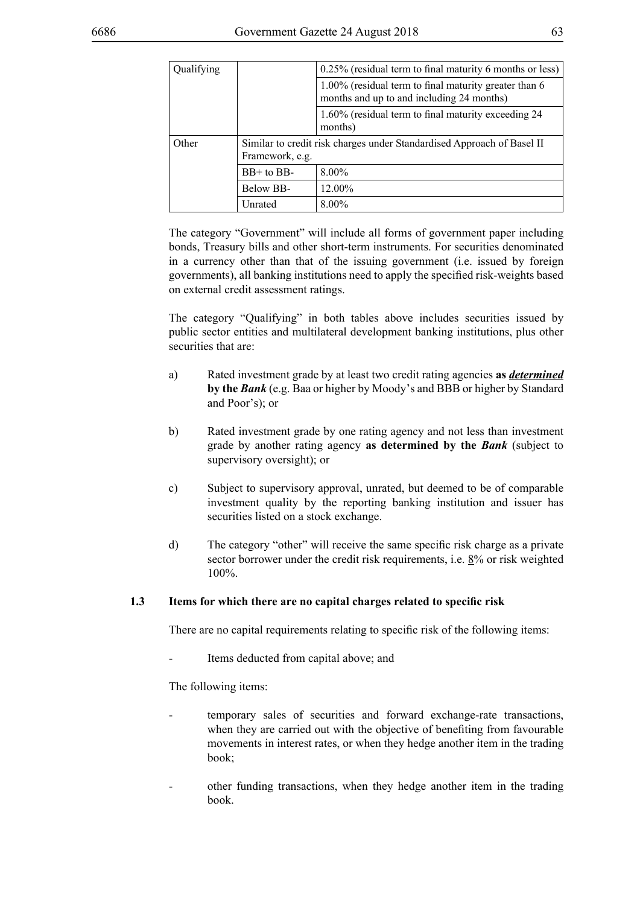| Qualifying |                 | 0.25% (residual term to final maturity 6 months or less)                                           |
|------------|-----------------|----------------------------------------------------------------------------------------------------|
|            |                 | 1.00% (residual term to final maturity greater than 6<br>months and up to and including 24 months) |
|            |                 | 1.60% (residual term to final maturity exceeding 24<br>months)                                     |
| Other      | Framework, e.g. | Similar to credit risk charges under Standardised Approach of Basel II                             |
|            | $BB+$ to $BB-$  | $8.00\%$                                                                                           |
|            | Below BB-       | 12.00%                                                                                             |
|            | Unrated         | $8.00\%$                                                                                           |

The category "Government" will include all forms of government paper including bonds, Treasury bills and other short-term instruments. For securities denominated in a currency other than that of the issuing government (i.e. issued by foreign governments), all banking institutions need to apply the specified risk-weights based on external credit assessment ratings.

The category "Qualifying" in both tables above includes securities issued by public sector entities and multilateral development banking institutions, plus other securities that are:

- a) Rated investment grade by at least two credit rating agencies **as** *determined* **by the** *Bank* (e.g. Baa or higher by Moody's and BBB or higher by Standard and Poor's); or
- b) Rated investment grade by one rating agency and not less than investment grade by another rating agency **as determined by the** *Bank* (subject to supervisory oversight); or
- c) Subject to supervisory approval, unrated, but deemed to be of comparable investment quality by the reporting banking institution and issuer has securities listed on a stock exchange.
- d) The category "other" will receive the same specific risk charge as a private sector borrower under the credit risk requirements, i.e. 8% or risk weighted 100%.

# **1.3 Items for which there are no capital charges related to specific risk**

There are no capital requirements relating to specific risk of the following items:

Items deducted from capital above; and

The following items:

- temporary sales of securities and forward exchange-rate transactions, when they are carried out with the objective of benefiting from favourable movements in interest rates, or when they hedge another item in the trading book;
- other funding transactions, when they hedge another item in the trading book.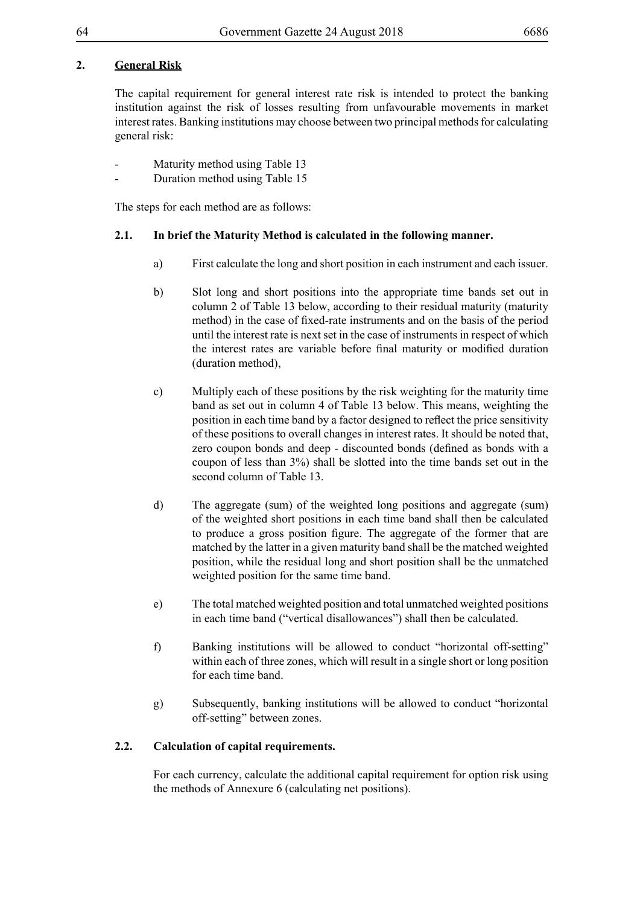# **2. General Risk**

The capital requirement for general interest rate risk is intended to protect the banking institution against the risk of losses resulting from unfavourable movements in market interest rates. Banking institutions may choose between two principal methods for calculating general risk:

- Maturity method using Table 13
- Duration method using Table 15

The steps for each method are as follows:

# **2.1. In brief the Maturity Method is calculated in the following manner.**

- a) First calculate the long and short position in each instrument and each issuer.
- b) Slot long and short positions into the appropriate time bands set out in column 2 of Table 13 below, according to their residual maturity (maturity method) in the case of fixed-rate instruments and on the basis of the period until the interest rate is next set in the case of instruments in respect of which the interest rates are variable before final maturity or modified duration (duration method),
- c) Multiply each of these positions by the risk weighting for the maturity time band as set out in column 4 of Table 13 below. This means, weighting the position in each time band by a factor designed to reflect the price sensitivity of these positions to overall changes in interest rates. It should be noted that, zero coupon bonds and deep - discounted bonds (defined as bonds with a coupon of less than 3%) shall be slotted into the time bands set out in the second column of Table 13.
- d) The aggregate (sum) of the weighted long positions and aggregate (sum) of the weighted short positions in each time band shall then be calculated to produce a gross position figure. The aggregate of the former that are matched by the latter in a given maturity band shall be the matched weighted position, while the residual long and short position shall be the unmatched weighted position for the same time band.
- e) The total matched weighted position and total unmatched weighted positions in each time band ("vertical disallowances") shall then be calculated.
- f) Banking institutions will be allowed to conduct "horizontal off-setting" within each of three zones, which will result in a single short or long position for each time band.
- g) Subsequently, banking institutions will be allowed to conduct "horizontal off-setting" between zones.

# **2.2. Calculation of capital requirements.**

For each currency, calculate the additional capital requirement for option risk using the methods of Annexure 6 (calculating net positions).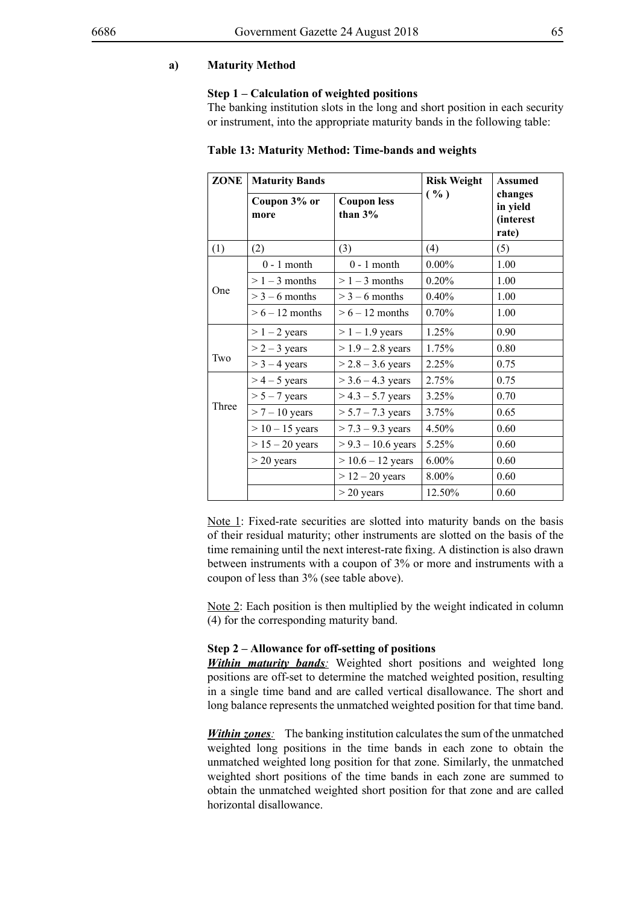### **a) Maturity Method**

#### **Step 1 – Calculation of weighted positions**

The banking institution slots in the long and short position in each security or instrument, into the appropriate maturity bands in the following table:

### **Table 13: Maturity Method: Time-bands and weights**

| <b>ZONE</b>                            | <b>Maturity Bands</b> |                                 | <b>Risk Weight</b> | <b>Assumed</b>                                   |
|----------------------------------------|-----------------------|---------------------------------|--------------------|--------------------------------------------------|
|                                        | Coupon 3% or<br>more  | <b>Coupon less</b><br>than $3%$ | ( %)               | changes<br>in yield<br><i>(interest</i><br>rate) |
| (1)                                    | (2)                   | (3)                             | (4)                | (5)                                              |
|                                        | $0 - 1$ month         | $0 - 1$ month                   | $0.00\%$           | 1.00                                             |
|                                        | $> 1 - 3$ months      | $> 1 - 3$ months                | 0.20%              | 1.00                                             |
| One                                    | $>$ 3 – 6 months      | $>$ 3 – 6 months                | 0.40%              | 1.00                                             |
| $> 6 - 12$ months<br>$> 6 - 12$ months |                       | 0.70%                           | 1.00               |                                                  |
|                                        | $> 1 - 2$ years       | $> 1 - 1.9$ years               | 1.25%              | 0.90                                             |
|                                        | $> 2 - 3$ years       | $> 1.9 - 2.8$ years             | 1.75%              | 0.80                                             |
| Two                                    | $>$ 3 – 4 years       | $> 2.8 - 3.6$ years             | 2.25%              | 0.75                                             |
|                                        | $>$ 4 – 5 years       | $>$ 3.6 – 4.3 years             | 2.75%              | 0.75                                             |
|                                        | $> 5 - 7$ years       | $> 4.3 - 5.7$ years             | 3.25%              | 0.70                                             |
| Three                                  | $> 7 - 10$ years      | $> 5.7 - 7.3$ years             | 3.75%              | 0.65                                             |
|                                        | $> 10 - 15$ years     | $> 7.3 - 9.3$ years             | 4.50%              | 0.60                                             |
|                                        | $> 15 - 20$ years     | $> 9.3 - 10.6$ years            | 5.25%              | 0.60                                             |
|                                        | $>$ 20 years          | $> 10.6 - 12$ years             | $6.00\%$           | 0.60                                             |
|                                        |                       | $> 12 - 20$ years               | 8.00%              | 0.60                                             |
|                                        |                       | $>$ 20 years                    | 12.50%             | 0.60                                             |

Note 1: Fixed-rate securities are slotted into maturity bands on the basis of their residual maturity; other instruments are slotted on the basis of the time remaining until the next interest-rate fixing. A distinction is also drawn between instruments with a coupon of 3% or more and instruments with a coupon of less than 3% (see table above).

Note 2: Each position is then multiplied by the weight indicated in column (4) for the corresponding maturity band.

### **Step 2 – Allowance for off-setting of positions**

**Within maturity bands**: Weighted short positions and weighted long positions are off-set to determine the matched weighted position, resulting in a single time band and are called vertical disallowance. The short and long balance represents the unmatched weighted position for that time band.

*Within zones:* The banking institution calculates the sum of the unmatched weighted long positions in the time bands in each zone to obtain the unmatched weighted long position for that zone. Similarly, the unmatched weighted short positions of the time bands in each zone are summed to obtain the unmatched weighted short position for that zone and are called horizontal disallowance.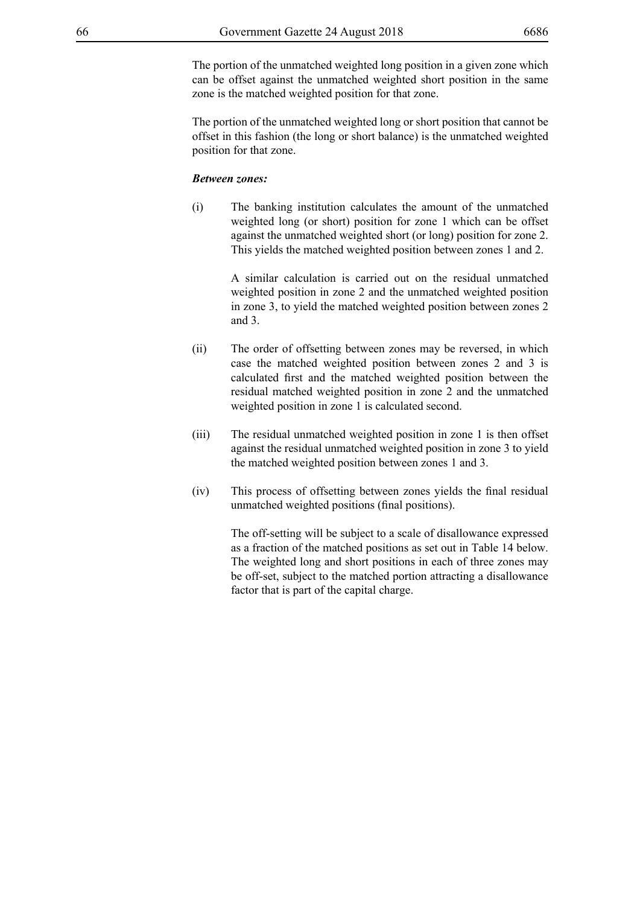The portion of the unmatched weighted long position in a given zone which can be offset against the unmatched weighted short position in the same zone is the matched weighted position for that zone.

The portion of the unmatched weighted long or short position that cannot be offset in this fashion (the long or short balance) is the unmatched weighted position for that zone.

### *Between zones:*

(i) The banking institution calculates the amount of the unmatched weighted long (or short) position for zone 1 which can be offset against the unmatched weighted short (or long) position for zone 2. This yields the matched weighted position between zones 1 and 2.

> A similar calculation is carried out on the residual unmatched weighted position in zone 2 and the unmatched weighted position in zone 3, to yield the matched weighted position between zones 2 and 3.

- (ii) The order of offsetting between zones may be reversed, in which case the matched weighted position between zones 2 and 3 is calculated first and the matched weighted position between the residual matched weighted position in zone 2 and the unmatched weighted position in zone 1 is calculated second.
- (iii) The residual unmatched weighted position in zone 1 is then offset against the residual unmatched weighted position in zone 3 to yield the matched weighted position between zones 1 and 3.
- (iv) This process of offsetting between zones yields the final residual unmatched weighted positions (final positions).

The off-setting will be subject to a scale of disallowance expressed as a fraction of the matched positions as set out in Table 14 below. The weighted long and short positions in each of three zones may be off-set, subject to the matched portion attracting a disallowance factor that is part of the capital charge.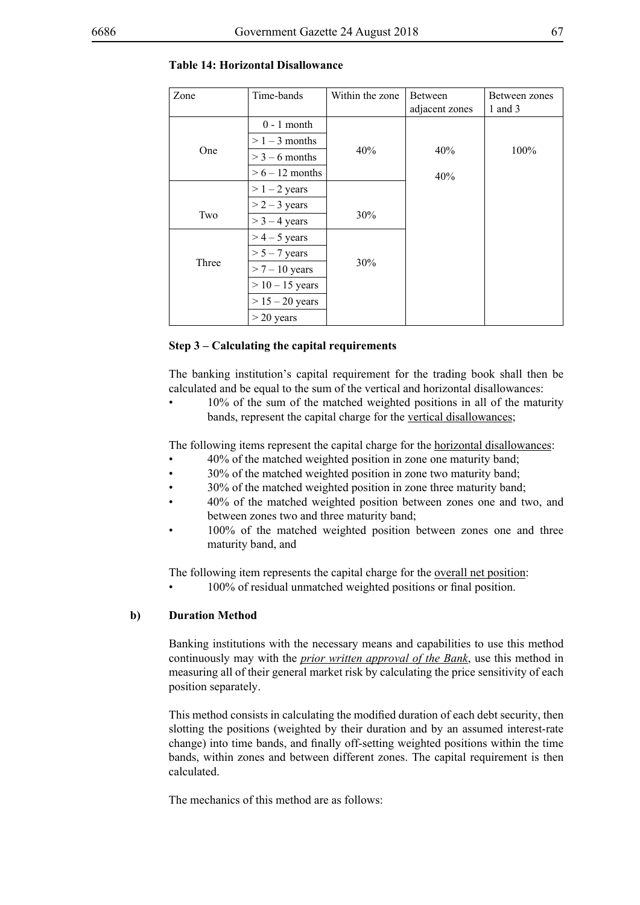| Zone  | Time-bands        | Within the zone | <b>Between</b> | Between zones |
|-------|-------------------|-----------------|----------------|---------------|
|       |                   |                 | adjacent zones | 1 and $3$     |
|       | $0 - 1$ month     |                 |                |               |
|       | $> 1 - 3$ months  |                 |                |               |
| One   | $>$ 3 – 6 months  | 40%             | 40%            | 100%          |
|       | $> 6 - 12$ months |                 | 40%            |               |
|       | $> 1 - 2$ years   |                 |                |               |
|       | $> 2 - 3$ years   |                 |                |               |
| Two   | $>$ 3 – 4 years   | 30%             |                |               |
|       | $>$ 4 – 5 years   |                 |                |               |
|       | $> 5 - 7$ years   |                 |                |               |
| Three | $> 7 - 10$ years  | 30%             |                |               |
|       | $> 10 - 15$ years |                 |                |               |
|       | $> 15 - 20$ years |                 |                |               |
|       | $>$ 20 years      |                 |                |               |

### **Table 14: Horizontal Disallowance**

### **Step 3 – Calculating the capital requirements**

The banking institution's capital requirement for the trading book shall then be calculated and be equal to the sum of the vertical and horizontal disallowances:

 $10\%$  of the sum of the matched weighted positions in all of the maturity bands, represent the capital charge for the vertical disallowances;

The following items represent the capital charge for the horizontal disallowances:

- 40% of the matched weighted position in zone one maturity band;
- 30% of the matched weighted position in zone two maturity band;
- 30% of the matched weighted position in zone three maturity band;
- 40% of the matched weighted position between zones one and two, and between zones two and three maturity band;
- $100\%$  of the matched weighted position between zones one and three maturity band, and

The following item represents the capital charge for the overall net position:

100% of residual unmatched weighted positions or final position.

### **b) Duration Method**

Banking institutions with the necessary means and capabilities to use this method continuously may with the *prior written approval of the Bank*, use this method in measuring all of their general market risk by calculating the price sensitivity of each position separately.

This method consists in calculating the modified duration of each debt security, then slotting the positions (weighted by their duration and by an assumed interest-rate change) into time bands, and finally off-setting weighted positions within the time bands, within zones and between different zones. The capital requirement is then calculated.

The mechanics of this method are as follows: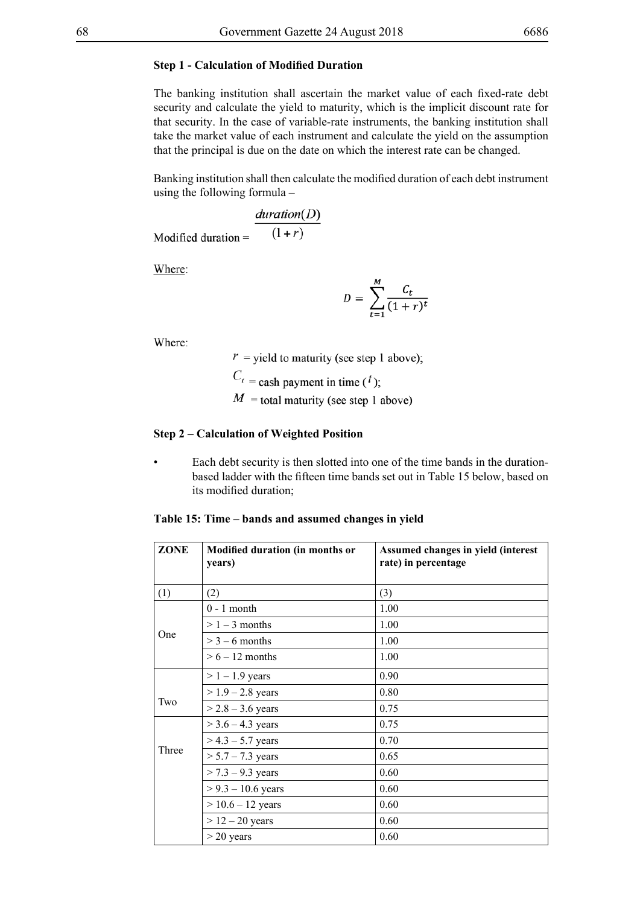### **Step 1 - Calculation of Modified Duration**

The banking institution shall ascertain the market value of each fixed-rate debt security and calculate the yield to maturity, which is the implicit discount rate for that security. In the case of variable-rate instruments, the banking institution shall take the market value of each instrument and calculate the yield on the assumption that the principal is due on the date on which the interest rate can be changed.

Banking institution shall then calculate the modified duration of each debt instrument using the following formula –

$$
Modified duration = \frac{duration(D)}{(1+r)}
$$

Where:

$$
D = \sum_{t=1}^{M} \frac{C_t}{(1+r)^t}
$$

Where:

 $r$  = yield to maturity (see step 1 above);

 $C_t$  = cash payment in time ( $t$ );

 $M =$ total maturity (see step 1 above)

#### **Step 2 – Calculation of Weighted Position**

Each debt security is then slotted into one of the time bands in the durationbased ladder with the fifteen time bands set out in Table 15 below, based on its modified duration;

|  |  | Table 15: Time – bands and assumed changes in yield |  |  |
|--|--|-----------------------------------------------------|--|--|
|  |  |                                                     |  |  |
|  |  |                                                     |  |  |

| ZONE  | Modified duration (in months or<br>years) | Assumed changes in yield (interest<br>rate) in percentage |
|-------|-------------------------------------------|-----------------------------------------------------------|
| (1)   | (2)                                       | (3)                                                       |
|       | $0 - 1$ month                             | 1.00                                                      |
|       | $> 1 - 3$ months                          | 1.00                                                      |
| One   | $>$ 3 – 6 months                          | 1.00                                                      |
|       | $> 6 - 12$ months                         | 1.00                                                      |
|       | $> 1 - 1.9$ years                         | 0.90                                                      |
|       | $> 1.9 - 2.8$ years                       | 0.80                                                      |
| Two   | $> 2.8 - 3.6$ years                       | 0.75                                                      |
|       | $>$ 3.6 – 4.3 years                       | 0.75                                                      |
|       | $>$ 4.3 – 5.7 years                       | 0.70                                                      |
| Three | $> 5.7 - 7.3$ years                       | 0.65                                                      |
|       | $> 7.3 - 9.3$ years                       | 0.60                                                      |
|       | $> 9.3 - 10.6$ years                      | 0.60                                                      |
|       | $> 10.6 - 12$ years                       | 0.60                                                      |
|       | $> 12 - 20$ years                         | 0.60                                                      |
|       | $>$ 20 years                              | 0.60                                                      |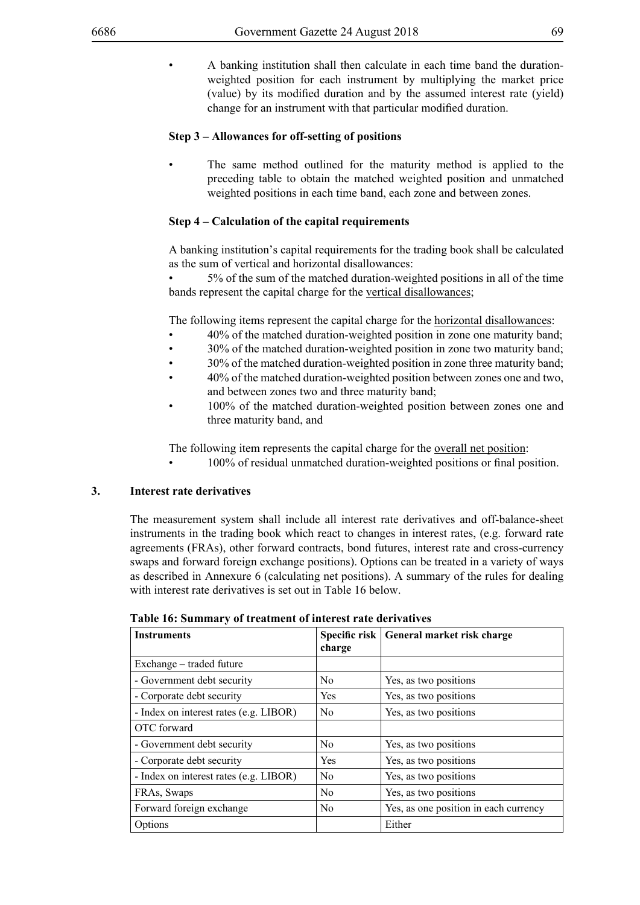A banking institution shall then calculate in each time band the durationweighted position for each instrument by multiplying the market price (value) by its modified duration and by the assumed interest rate (yield) change for an instrument with that particular modified duration.

# **Step 3 – Allowances for off-setting of positions**

The same method outlined for the maturity method is applied to the preceding table to obtain the matched weighted position and unmatched weighted positions in each time band, each zone and between zones.

## **Step 4 – Calculation of the capital requirements**

A banking institution's capital requirements for the trading book shall be calculated as the sum of vertical and horizontal disallowances:

5% of the sum of the matched duration-weighted positions in all of the time bands represent the capital charge for the vertical disallowances;

The following items represent the capital charge for the horizontal disallowances:

- 40% of the matched duration-weighted position in zone one maturity band;
- 30% of the matched duration-weighted position in zone two maturity band;
- 30% of the matched duration-weighted position in zone three maturity band;
- 40% of the matched duration-weighted position between zones one and two, and between zones two and three maturity band;
- 100% of the matched duration-weighted position between zones one and three maturity band, and

The following item represents the capital charge for the overall net position:

100% of residual unmatched duration-weighted positions or final position.

## **3. Interest rate derivatives**

The measurement system shall include all interest rate derivatives and off-balance-sheet instruments in the trading book which react to changes in interest rates, (e.g. forward rate agreements (FRAs), other forward contracts, bond futures, interest rate and cross-currency swaps and forward foreign exchange positions). Options can be treated in a variety of ways as described in Annexure 6 (calculating net positions). A summary of the rules for dealing with interest rate derivatives is set out in Table 16 below.

| <b>Instruments</b>                     |                | Specific risk   General market risk charge |
|----------------------------------------|----------------|--------------------------------------------|
|                                        | charge         |                                            |
| Exchange – traded future               |                |                                            |
| - Government debt security             | N <sub>0</sub> | Yes, as two positions                      |
| - Corporate debt security              | <b>Yes</b>     | Yes, as two positions                      |
| - Index on interest rates (e.g. LIBOR) | N <sub>0</sub> | Yes, as two positions                      |
| OTC forward                            |                |                                            |
| - Government debt security             | N <sub>0</sub> | Yes, as two positions                      |
| - Corporate debt security              | Yes            | Yes, as two positions                      |
| - Index on interest rates (e.g. LIBOR) | $\rm No$       | Yes, as two positions                      |
| FRAs, Swaps                            | N <sub>0</sub> | Yes, as two positions                      |
| Forward foreign exchange               | N <sub>0</sub> | Yes, as one position in each currency      |
| Options                                |                | Either                                     |

**Table 16: Summary of treatment of interest rate derivatives**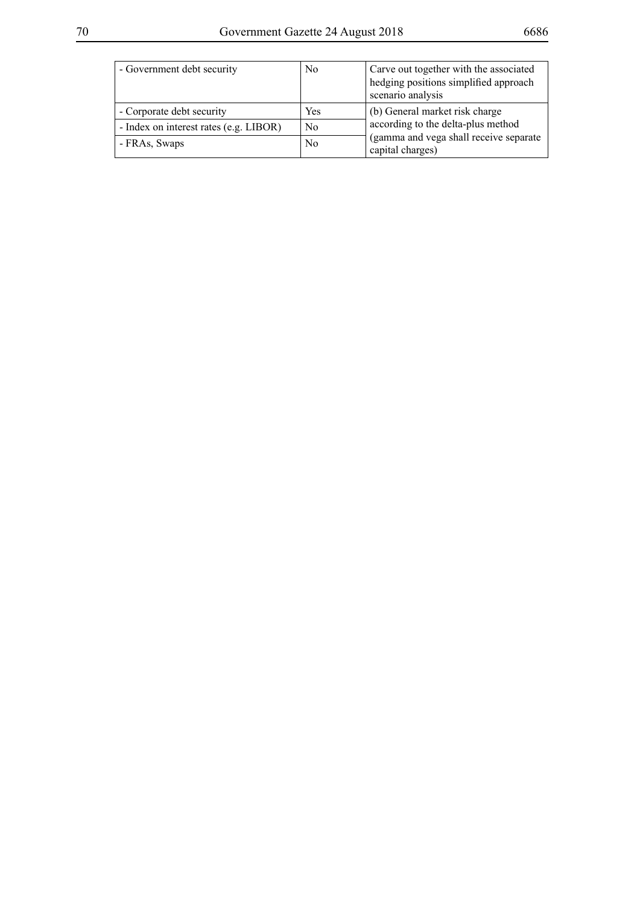| - Government debt security             | N <sub>0</sub> | Carve out together with the associated                      |
|----------------------------------------|----------------|-------------------------------------------------------------|
|                                        |                | hedging positions simplified approach                       |
|                                        |                | scenario analysis                                           |
| - Corporate debt security              | Yes            | (b) General market risk charge                              |
| - Index on interest rates (e.g. LIBOR) | N <sub>0</sub> | according to the delta-plus method                          |
| - FRAs, Swaps                          | N <sub>0</sub> | (gamma and vega shall receive separate)<br>capital charges) |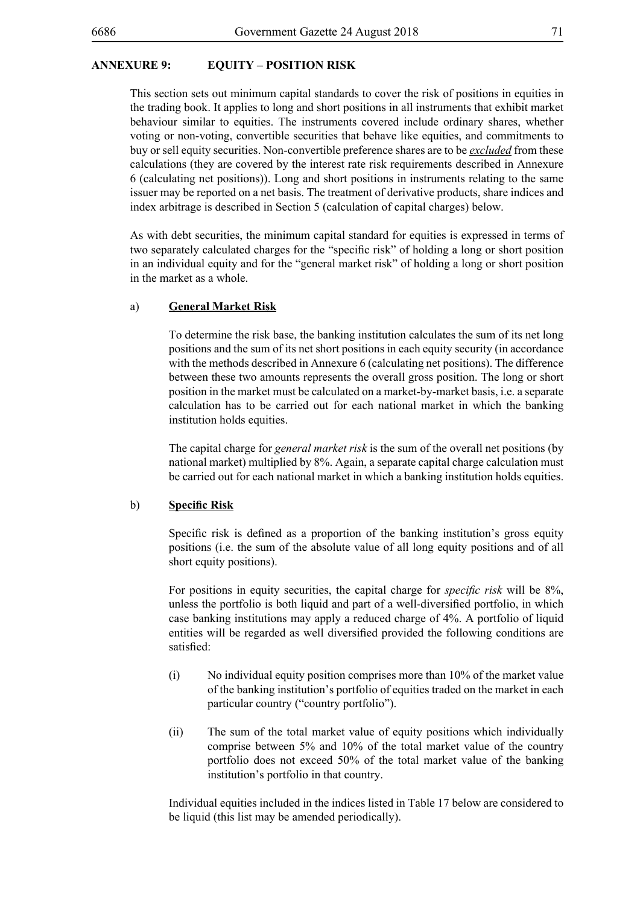## **ANNEXURE 9: EQUITY – POSITION RISK**

This section sets out minimum capital standards to cover the risk of positions in equities in the trading book. It applies to long and short positions in all instruments that exhibit market behaviour similar to equities. The instruments covered include ordinary shares, whether voting or non-voting, convertible securities that behave like equities, and commitments to buy or sell equity securities. Non-convertible preference shares are to be *excluded* from these calculations (they are covered by the interest rate risk requirements described in Annexure 6 (calculating net positions)). Long and short positions in instruments relating to the same issuer may be reported on a net basis. The treatment of derivative products, share indices and index arbitrage is described in Section 5 (calculation of capital charges) below.

As with debt securities, the minimum capital standard for equities is expressed in terms of two separately calculated charges for the "specific risk" of holding a long or short position in an individual equity and for the "general market risk" of holding a long or short position in the market as a whole.

### a) **General Market Risk**

To determine the risk base, the banking institution calculates the sum of its net long positions and the sum of its net short positions in each equity security (in accordance with the methods described in Annexure 6 (calculating net positions). The difference between these two amounts represents the overall gross position. The long or short position in the market must be calculated on a market-by-market basis, i.e. a separate calculation has to be carried out for each national market in which the banking institution holds equities.

The capital charge for *general market risk* is the sum of the overall net positions (by national market) multiplied by 8%. Again, a separate capital charge calculation must be carried out for each national market in which a banking institution holds equities.

### b) **Specific Risk**

Specific risk is defined as a proportion of the banking institution's gross equity positions (i.e. the sum of the absolute value of all long equity positions and of all short equity positions).

For positions in equity securities, the capital charge for *specific risk* will be 8%, unless the portfolio is both liquid and part of a well-diversified portfolio, in which case banking institutions may apply a reduced charge of 4%. A portfolio of liquid entities will be regarded as well diversified provided the following conditions are satisfied:

- (i) No individual equity position comprises more than 10% of the market value of the banking institution's portfolio of equities traded on the market in each particular country ("country portfolio").
- (ii) The sum of the total market value of equity positions which individually comprise between 5% and 10% of the total market value of the country portfolio does not exceed 50% of the total market value of the banking institution's portfolio in that country.

Individual equities included in the indices listed in Table 17 below are considered to be liquid (this list may be amended periodically).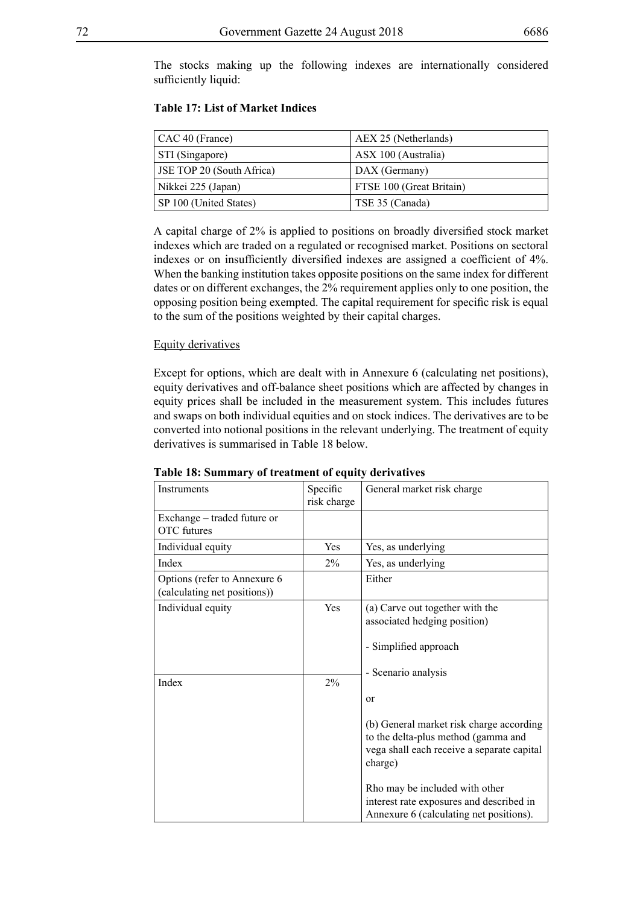The stocks making up the following indexes are internationally considered sufficiently liquid:

| $\vert$ CAC 40 (France)          | AEX 25 (Netherlands)     |
|----------------------------------|--------------------------|
| STI (Singapore)                  | ASX 100 (Australia)      |
| <b>JSE TOP 20 (South Africa)</b> | DAX (Germany)            |
| Nikkei 225 (Japan)               | FTSE 100 (Great Britain) |
| SP 100 (United States)           | TSE 35 (Canada)          |

## **Table 17: List of Market Indices**

A capital charge of 2% is applied to positions on broadly diversified stock market indexes which are traded on a regulated or recognised market. Positions on sectoral indexes or on insufficiently diversified indexes are assigned a coefficient of 4%. When the banking institution takes opposite positions on the same index for different dates or on different exchanges, the 2% requirement applies only to one position, the opposing position being exempted. The capital requirement for specific risk is equal to the sum of the positions weighted by their capital charges.

### Equity derivatives

Except for options, which are dealt with in Annexure 6 (calculating net positions), equity derivatives and off-balance sheet positions which are affected by changes in equity prices shall be included in the measurement system. This includes futures and swaps on both individual equities and on stock indices. The derivatives are to be converted into notional positions in the relevant underlying. The treatment of equity derivatives is summarised in Table 18 below.

| Instruments                                                   | Specific<br>risk charge | General market risk charge                                                                                                                                                                                                                                                    |
|---------------------------------------------------------------|-------------------------|-------------------------------------------------------------------------------------------------------------------------------------------------------------------------------------------------------------------------------------------------------------------------------|
| Exchange – traded future or<br><b>OTC</b> futures             |                         |                                                                                                                                                                                                                                                                               |
| Individual equity                                             | Yes                     | Yes, as underlying                                                                                                                                                                                                                                                            |
| Index                                                         | $2\%$                   | Yes, as underlying                                                                                                                                                                                                                                                            |
| Options (refer to Annexure 6)<br>(calculating net positions)) |                         | Either                                                                                                                                                                                                                                                                        |
| Individual equity                                             | Yes                     | (a) Carve out together with the<br>associated hedging position)<br>- Simplified approach<br>- Scenario analysis                                                                                                                                                               |
| Index                                                         | 2%                      | $\alpha$<br>(b) General market risk charge according<br>to the delta-plus method (gamma and<br>vega shall each receive a separate capital<br>charge)<br>Rho may be included with other<br>interest rate exposures and described in<br>Annexure 6 (calculating net positions). |

## **Table 18: Summary of treatment of equity derivatives**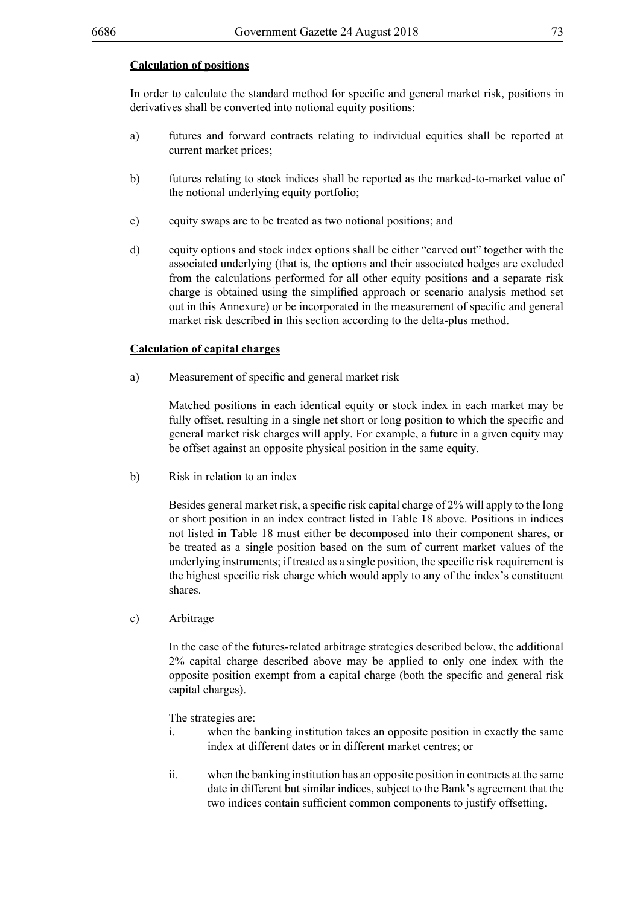## **Calculation of positions**

In order to calculate the standard method for specific and general market risk, positions in derivatives shall be converted into notional equity positions:

- a) futures and forward contracts relating to individual equities shall be reported at current market prices;
- b) futures relating to stock indices shall be reported as the marked-to-market value of the notional underlying equity portfolio;
- c) equity swaps are to be treated as two notional positions; and
- d) equity options and stock index options shall be either "carved out" together with the associated underlying (that is, the options and their associated hedges are excluded from the calculations performed for all other equity positions and a separate risk charge is obtained using the simplified approach or scenario analysis method set out in this Annexure) or be incorporated in the measurement of specific and general market risk described in this section according to the delta-plus method.

#### **Calculation of capital charges**

a) Measurement of specific and general market risk

Matched positions in each identical equity or stock index in each market may be fully offset, resulting in a single net short or long position to which the specific and general market risk charges will apply. For example, a future in a given equity may be offset against an opposite physical position in the same equity.

b) Risk in relation to an index

 Besides general market risk, a specific risk capital charge of 2% will apply to the long or short position in an index contract listed in Table 18 above. Positions in indices not listed in Table 18 must either be decomposed into their component shares, or be treated as a single position based on the sum of current market values of the underlying instruments; if treated as a single position, the specific risk requirement is the highest specific risk charge which would apply to any of the index's constituent shares.

c) Arbitrage

In the case of the futures-related arbitrage strategies described below, the additional 2% capital charge described above may be applied to only one index with the opposite position exempt from a capital charge (both the specific and general risk capital charges).

The strategies are:

- i. when the banking institution takes an opposite position in exactly the same index at different dates or in different market centres; or
- ii. when the banking institution has an opposite position in contracts at the same date in different but similar indices, subject to the Bank's agreement that the two indices contain sufficient common components to justify offsetting.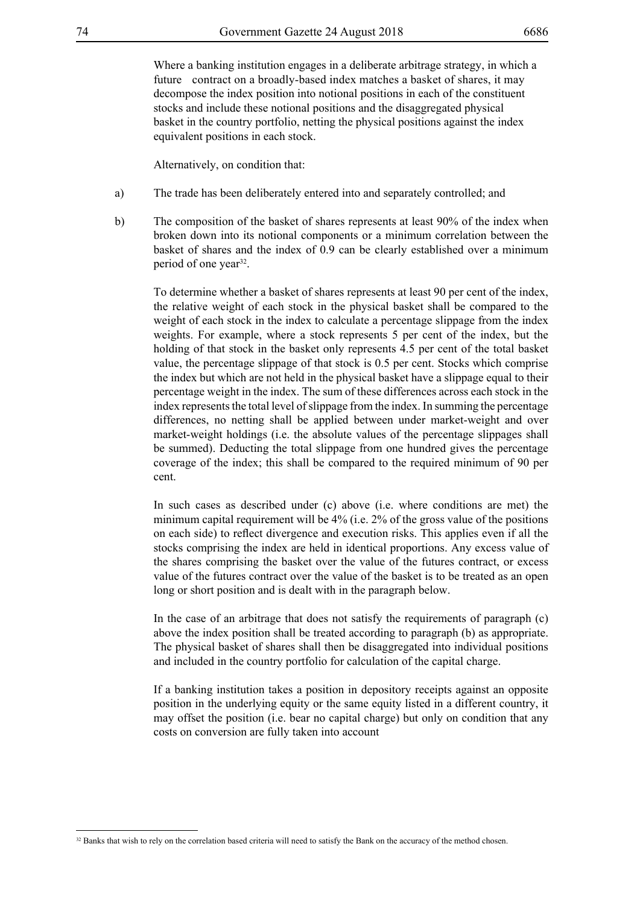Where a banking institution engages in a deliberate arbitrage strategy, in which a future contract on a broadly-based index matches a basket of shares, it may decompose the index position into notional positions in each of the constituent stocks and include these notional positions and the disaggregated physical basket in the country portfolio, netting the physical positions against the index equivalent positions in each stock.

Alternatively, on condition that:

- a) The trade has been deliberately entered into and separately controlled; and
- b) The composition of the basket of shares represents at least 90% of the index when broken down into its notional components or a minimum correlation between the basket of shares and the index of 0.9 can be clearly established over a minimum period of one year<sup>32</sup>.

To determine whether a basket of shares represents at least 90 per cent of the index, the relative weight of each stock in the physical basket shall be compared to the weight of each stock in the index to calculate a percentage slippage from the index weights. For example, where a stock represents 5 per cent of the index, but the holding of that stock in the basket only represents 4.5 per cent of the total basket value, the percentage slippage of that stock is 0.5 per cent. Stocks which comprise the index but which are not held in the physical basket have a slippage equal to their percentage weight in the index. The sum of these differences across each stock in the index represents the total level of slippage from the index. In summing the percentage differences, no netting shall be applied between under market-weight and over market-weight holdings (i.e. the absolute values of the percentage slippages shall be summed). Deducting the total slippage from one hundred gives the percentage coverage of the index; this shall be compared to the required minimum of 90 per cent.

In such cases as described under (c) above (i.e. where conditions are met) the minimum capital requirement will be 4% (i.e. 2% of the gross value of the positions on each side) to reflect divergence and execution risks. This applies even if all the stocks comprising the index are held in identical proportions. Any excess value of the shares comprising the basket over the value of the futures contract, or excess value of the futures contract over the value of the basket is to be treated as an open long or short position and is dealt with in the paragraph below.

In the case of an arbitrage that does not satisfy the requirements of paragraph (c) above the index position shall be treated according to paragraph (b) as appropriate. The physical basket of shares shall then be disaggregated into individual positions and included in the country portfolio for calculation of the capital charge.

If a banking institution takes a position in depository receipts against an opposite position in the underlying equity or the same equity listed in a different country, it may offset the position (i.e. bear no capital charge) but only on condition that any costs on conversion are fully taken into account

<sup>&</sup>lt;sup>32</sup> Banks that wish to rely on the correlation based criteria will need to satisfy the Bank on the accuracy of the method chosen.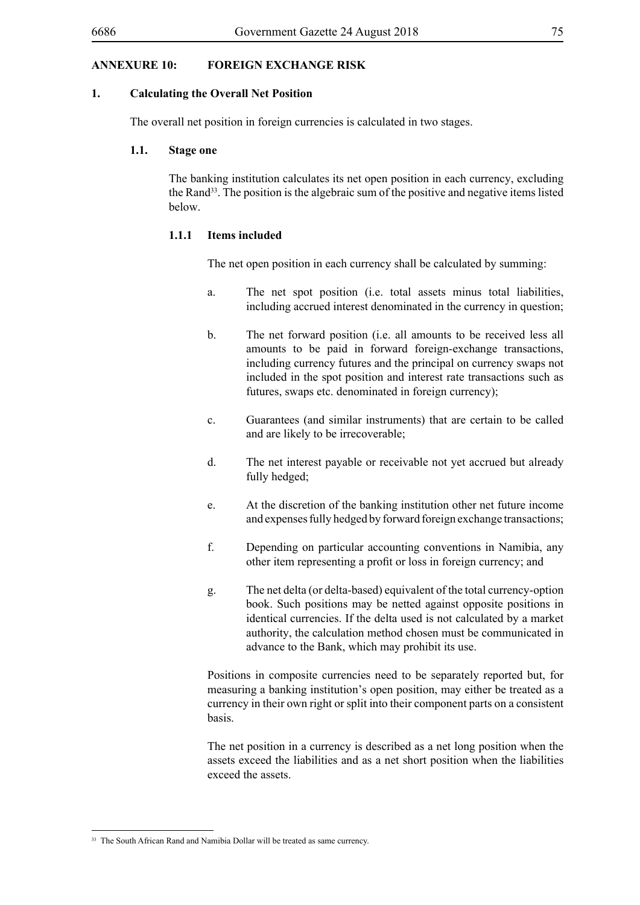## **ANNEXURE 10: FOREIGN EXCHANGE RISK**

#### **1. Calculating the Overall Net Position**

The overall net position in foreign currencies is calculated in two stages.

#### **1.1. Stage one**

The banking institution calculates its net open position in each currency, excluding the Rand<sup>33</sup>. The position is the algebraic sum of the positive and negative items listed below.

#### **1.1.1 Items included**

The net open position in each currency shall be calculated by summing:

- a. The net spot position (i.e. total assets minus total liabilities, including accrued interest denominated in the currency in question;
- b. The net forward position (i.e. all amounts to be received less all amounts to be paid in forward foreign-exchange transactions, including currency futures and the principal on currency swaps not included in the spot position and interest rate transactions such as futures, swaps etc. denominated in foreign currency);
- c. Guarantees (and similar instruments) that are certain to be called and are likely to be irrecoverable;
- d. The net interest payable or receivable not yet accrued but already fully hedged;
- e. At the discretion of the banking institution other net future income and expenses fully hedged by forward foreign exchange transactions;
- f. Depending on particular accounting conventions in Namibia, any other item representing a profit or loss in foreign currency; and
- g. The net delta (or delta-based) equivalent of the total currency-option book. Such positions may be netted against opposite positions in identical currencies. If the delta used is not calculated by a market authority, the calculation method chosen must be communicated in advance to the Bank, which may prohibit its use.

Positions in composite currencies need to be separately reported but, for measuring a banking institution's open position, may either be treated as a currency in their own right or split into their component parts on a consistent basis.

The net position in a currency is described as a net long position when the assets exceed the liabilities and as a net short position when the liabilities exceed the assets.

<sup>&</sup>lt;sup>33</sup> The South African Rand and Namibia Dollar will be treated as same currency.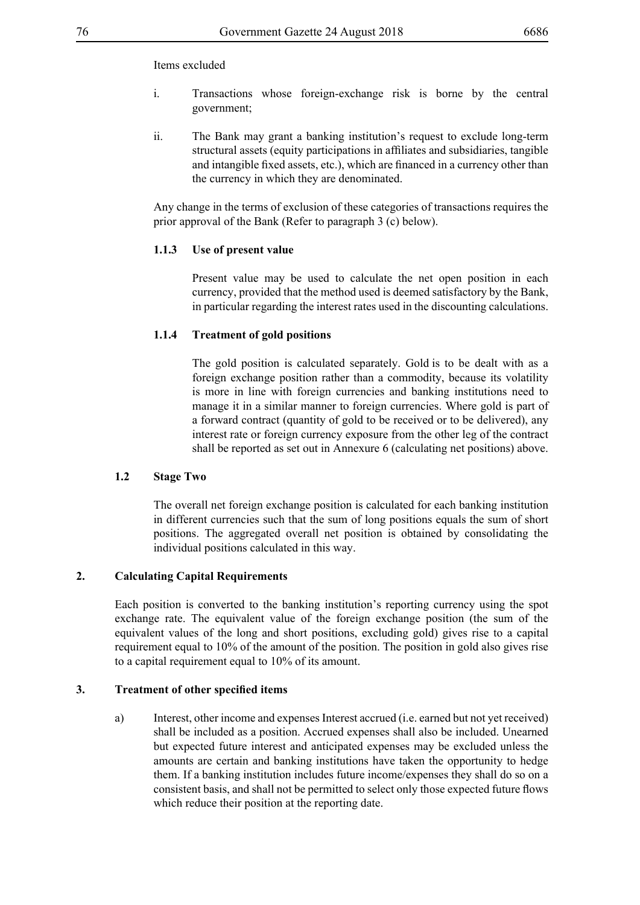### Items excluded

- i. Transactions whose foreign-exchange risk is borne by the central government;
- ii. The Bank may grant a banking institution's request to exclude long-term structural assets (equity participations in affiliates and subsidiaries, tangible and intangible fixed assets, etc.), which are financed in a currency other than the currency in which they are denominated.

Any change in the terms of exclusion of these categories of transactions requires the prior approval of the Bank (Refer to paragraph 3 (c) below).

#### **1.1.3 Use of present value**

Present value may be used to calculate the net open position in each currency, provided that the method used is deemed satisfactory by the Bank, in particular regarding the interest rates used in the discounting calculations.

### **1.1.4 Treatment of gold positions**

The gold position is calculated separately. Gold is to be dealt with as a foreign exchange position rather than a commodity, because its volatility is more in line with foreign currencies and banking institutions need to manage it in a similar manner to foreign currencies. Where gold is part of a forward contract (quantity of gold to be received or to be delivered), any interest rate or foreign currency exposure from the other leg of the contract shall be reported as set out in Annexure 6 (calculating net positions) above.

### **1.2 Stage Two**

The overall net foreign exchange position is calculated for each banking institution in different currencies such that the sum of long positions equals the sum of short positions. The aggregated overall net position is obtained by consolidating the individual positions calculated in this way.

#### **2. Calculating Capital Requirements**

Each position is converted to the banking institution's reporting currency using the spot exchange rate. The equivalent value of the foreign exchange position (the sum of the equivalent values of the long and short positions, excluding gold) gives rise to a capital requirement equal to 10% of the amount of the position. The position in gold also gives rise to a capital requirement equal to 10% of its amount.

#### **3. Treatment of other specified items**

a) Interest, other income and expenses Interest accrued (i.e. earned but not yet received) shall be included as a position. Accrued expenses shall also be included. Unearned but expected future interest and anticipated expenses may be excluded unless the amounts are certain and banking institutions have taken the opportunity to hedge them. If a banking institution includes future income/expenses they shall do so on a consistent basis, and shall not be permitted to select only those expected future flows which reduce their position at the reporting date.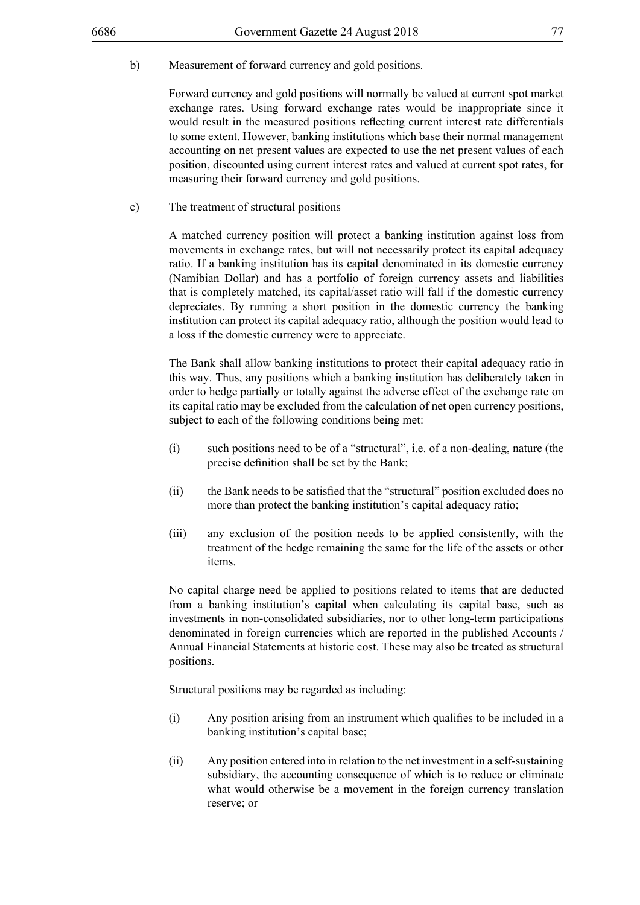b) Measurement of forward currency and gold positions.

Forward currency and gold positions will normally be valued at current spot market exchange rates. Using forward exchange rates would be inappropriate since it would result in the measured positions reflecting current interest rate differentials to some extent. However, banking institutions which base their normal management accounting on net present values are expected to use the net present values of each position, discounted using current interest rates and valued at current spot rates, for measuring their forward currency and gold positions.

c) The treatment of structural positions

A matched currency position will protect a banking institution against loss from movements in exchange rates, but will not necessarily protect its capital adequacy ratio. If a banking institution has its capital denominated in its domestic currency (Namibian Dollar) and has a portfolio of foreign currency assets and liabilities that is completely matched, its capital/asset ratio will fall if the domestic currency depreciates. By running a short position in the domestic currency the banking institution can protect its capital adequacy ratio, although the position would lead to a loss if the domestic currency were to appreciate.

The Bank shall allow banking institutions to protect their capital adequacy ratio in this way. Thus, any positions which a banking institution has deliberately taken in order to hedge partially or totally against the adverse effect of the exchange rate on its capital ratio may be excluded from the calculation of net open currency positions, subject to each of the following conditions being met:

- (i) such positions need to be of a "structural", i.e. of a non-dealing, nature (the precise definition shall be set by the Bank;
- (ii) the Bank needs to be satisfied that the "structural" position excluded does no more than protect the banking institution's capital adequacy ratio;
- (iii) any exclusion of the position needs to be applied consistently, with the treatment of the hedge remaining the same for the life of the assets or other items.

No capital charge need be applied to positions related to items that are deducted from a banking institution's capital when calculating its capital base, such as investments in non-consolidated subsidiaries, nor to other long-term participations denominated in foreign currencies which are reported in the published Accounts / Annual Financial Statements at historic cost. These may also be treated as structural positions.

Structural positions may be regarded as including:

- (i) Any position arising from an instrument which qualifies to be included in a banking institution's capital base;
- (ii) Any position entered into in relation to the net investment in a self-sustaining subsidiary, the accounting consequence of which is to reduce or eliminate what would otherwise be a movement in the foreign currency translation reserve; or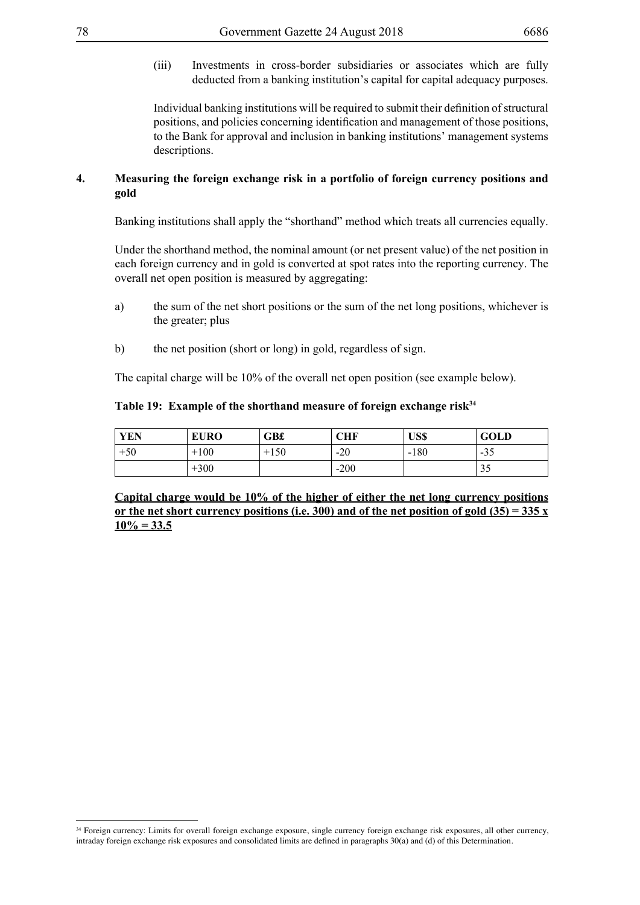(iii) Investments in cross-border subsidiaries or associates which are fully deducted from a banking institution's capital for capital adequacy purposes.

Individual banking institutions will be required to submit their definition of structural positions, and policies concerning identification and management of those positions, to the Bank for approval and inclusion in banking institutions' management systems descriptions.

### **4. Measuring the foreign exchange risk in a portfolio of foreign currency positions and gold**

Banking institutions shall apply the "shorthand" method which treats all currencies equally.

Under the shorthand method, the nominal amount (or net present value) of the net position in each foreign currency and in gold is converted at spot rates into the reporting currency. The overall net open position is measured by aggregating:

- a) the sum of the net short positions or the sum of the net long positions, whichever is the greater; plus
- b) the net position (short or long) in gold, regardless of sign.

The capital charge will be 10% of the overall net open position (see example below).

### Table 19: Example of the shorthand measure of foreign exchange risk<sup>34</sup>

| <b>YEN</b> | <b>EURO</b> | <b>GB£</b> | CHF    | US\$   | <b>GOLD</b>               |
|------------|-------------|------------|--------|--------|---------------------------|
| $+50$      | $+100$      | $+150$     | $-20$  | $-180$ | $-35$                     |
|            | $+300$      |            | $-200$ |        | $\gamma$ $\epsilon$<br>33 |

**Capital charge would be 10% of the higher of either the net long currency positions or the net short currency positions (i.e. 300) and of the net position of gold (35) = 335 x**   $10\% = 33.5$ 

<sup>34</sup> Foreign currency: Limits for overall foreign exchange exposure, single currency foreign exchange risk exposures, all other currency, intraday foreign exchange risk exposures and consolidated limits are defined in paragraphs 30(a) and (d) of this Determination.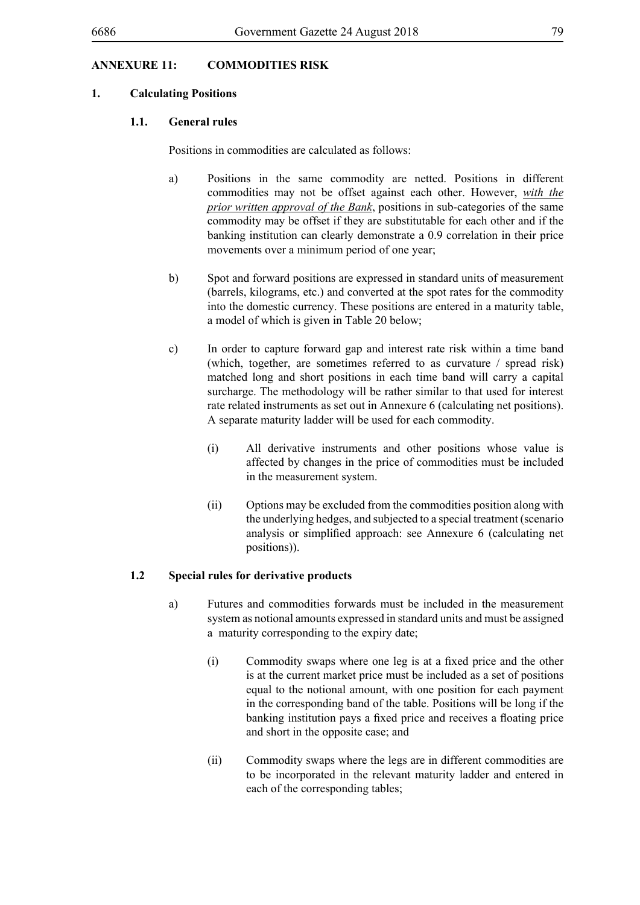# **ANNEXURE 11: COMMODITIES RISK**

### **1. Calculating Positions**

#### **1.1. General rules**

Positions in commodities are calculated as follows:

- a) Positions in the same commodity are netted. Positions in different commodities may not be offset against each other. However, *with the prior written approval of the Bank*, positions in sub-categories of the same commodity may be offset if they are substitutable for each other and if the banking institution can clearly demonstrate a 0.9 correlation in their price movements over a minimum period of one year;
- b) Spot and forward positions are expressed in standard units of measurement (barrels, kilograms, etc.) and converted at the spot rates for the commodity into the domestic currency. These positions are entered in a maturity table, a model of which is given in Table 20 below;
- c) In order to capture forward gap and interest rate risk within a time band (which, together, are sometimes referred to as curvature / spread risk) matched long and short positions in each time band will carry a capital surcharge. The methodology will be rather similar to that used for interest rate related instruments as set out in Annexure 6 (calculating net positions). A separate maturity ladder will be used for each commodity.
	- (i) All derivative instruments and other positions whose value is affected by changes in the price of commodities must be included in the measurement system.
	- (ii) Options may be excluded from the commodities position along with the underlying hedges, and subjected to a special treatment (scenario analysis or simplified approach: see Annexure 6 (calculating net positions)).

### **1.2 Special rules for derivative products**

- a) Futures and commodities forwards must be included in the measurement system as notional amounts expressed in standard units and must be assigned a maturity corresponding to the expiry date;
	- (i) Commodity swaps where one leg is at a fixed price and the other is at the current market price must be included as a set of positions equal to the notional amount, with one position for each payment in the corresponding band of the table. Positions will be long if the banking institution pays a fixed price and receives a floating price and short in the opposite case; and
	- (ii) Commodity swaps where the legs are in different commodities are to be incorporated in the relevant maturity ladder and entered in each of the corresponding tables;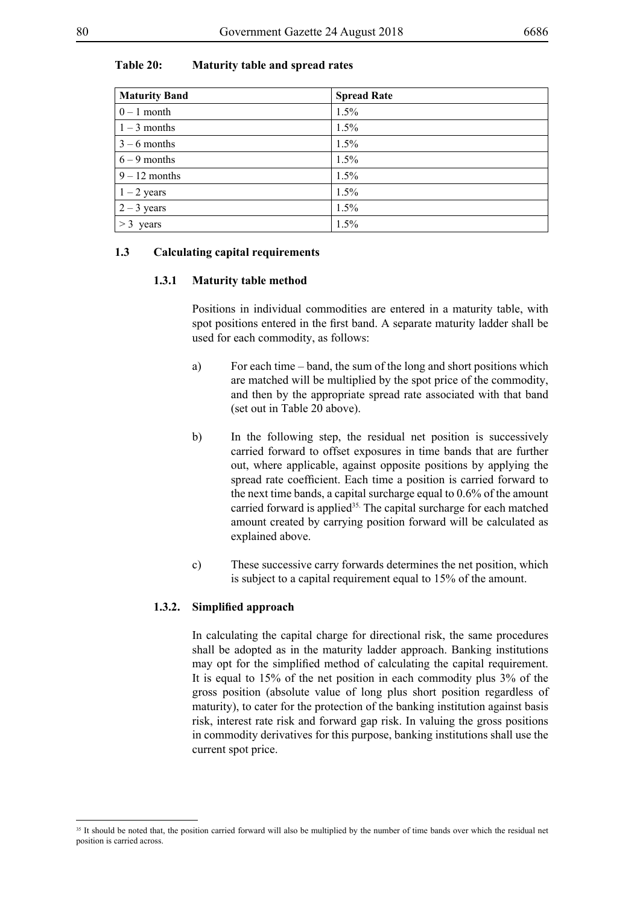## **Table 20: Maturity table and spread rates**

| <b>Maturity Band</b> | <b>Spread Rate</b> |
|----------------------|--------------------|
| $0 - 1$ month        | 1.5%               |
| $1 - 3$ months       | 1.5%               |
| $3 - 6$ months       | 1.5%               |
| $6 - 9$ months       | 1.5%               |
| $9 - 12$ months      | 1.5%               |
| $1 - 2$ years        | 1.5%               |
| $2 - 3$ years        | 1.5%               |
| $>$ 3 years          | 1.5%               |

## **1.3 Calculating capital requirements**

#### **1.3.1 Maturity table method**

Positions in individual commodities are entered in a maturity table, with spot positions entered in the first band. A separate maturity ladder shall be used for each commodity, as follows:

- a) For each time band, the sum of the long and short positions which are matched will be multiplied by the spot price of the commodity, and then by the appropriate spread rate associated with that band (set out in Table 20 above).
- b) In the following step, the residual net position is successively carried forward to offset exposures in time bands that are further out, where applicable, against opposite positions by applying the spread rate coefficient. Each time a position is carried forward to the next time bands, a capital surcharge equal to 0.6% of the amount carried forward is applied<sup>35.</sup> The capital surcharge for each matched amount created by carrying position forward will be calculated as explained above.
- c) These successive carry forwards determines the net position, which is subject to a capital requirement equal to 15% of the amount.

#### **1.3.2. Simplified approach**

In calculating the capital charge for directional risk, the same procedures shall be adopted as in the maturity ladder approach. Banking institutions may opt for the simplified method of calculating the capital requirement. It is equal to 15% of the net position in each commodity plus 3% of the gross position (absolute value of long plus short position regardless of maturity), to cater for the protection of the banking institution against basis risk, interest rate risk and forward gap risk. In valuing the gross positions in commodity derivatives for this purpose, banking institutions shall use the current spot price.

<sup>&</sup>lt;sup>35</sup> It should be noted that, the position carried forward will also be multiplied by the number of time bands over which the residual net position is carried across.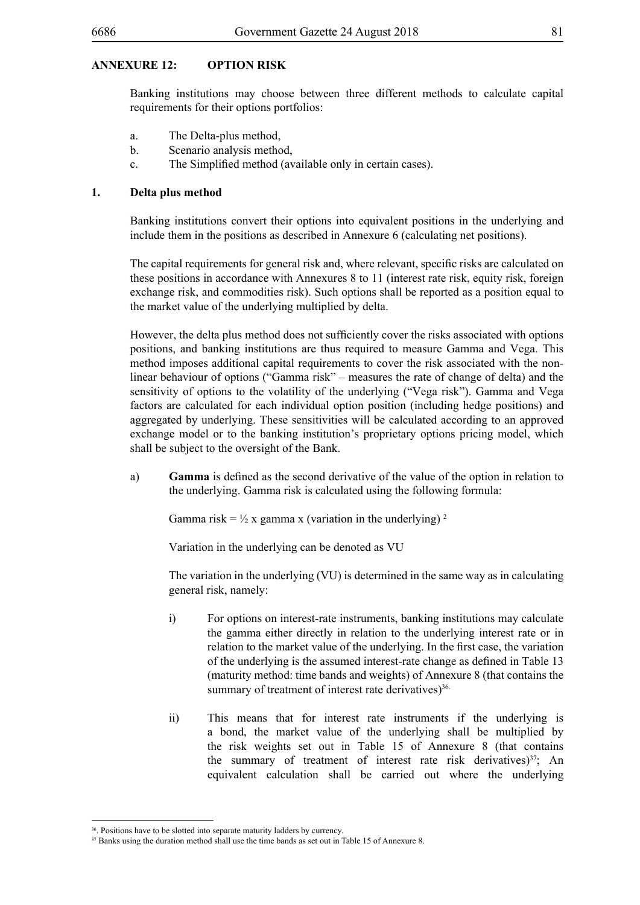### **ANNEXURE 12: OPTION RISK**

Banking institutions may choose between three different methods to calculate capital requirements for their options portfolios:

- a. The Delta-plus method,
- b. Scenario analysis method,
- c. The Simplified method (available only in certain cases).

#### **1. Delta plus method**

Banking institutions convert their options into equivalent positions in the underlying and include them in the positions as described in Annexure 6 (calculating net positions).

The capital requirements for general risk and, where relevant, specific risks are calculated on these positions in accordance with Annexures 8 to 11 (interest rate risk, equity risk, foreign exchange risk, and commodities risk). Such options shall be reported as a position equal to the market value of the underlying multiplied by delta.

However, the delta plus method does not sufficiently cover the risks associated with options positions, and banking institutions are thus required to measure Gamma and Vega. This method imposes additional capital requirements to cover the risk associated with the nonlinear behaviour of options ("Gamma risk" – measures the rate of change of delta) and the sensitivity of options to the volatility of the underlying ("Vega risk"). Gamma and Vega factors are calculated for each individual option position (including hedge positions) and aggregated by underlying. These sensitivities will be calculated according to an approved exchange model or to the banking institution's proprietary options pricing model, which shall be subject to the oversight of the Bank.

a) **Gamma** is defined as the second derivative of the value of the option in relation to the underlying. Gamma risk is calculated using the following formula:

Gamma risk =  $\frac{1}{2}$  x gamma x (variation in the underlying)<sup>2</sup>

Variation in the underlying can be denoted as VU

The variation in the underlying (VU) is determined in the same way as in calculating general risk, namely:

- i) For options on interest-rate instruments, banking institutions may calculate the gamma either directly in relation to the underlying interest rate or in relation to the market value of the underlying. In the first case, the variation of the underlying is the assumed interest-rate change as defined in Table 13 (maturity method: time bands and weights) of Annexure 8 (that contains the summary of treatment of interest rate derivatives) $36$ .
- ii) This means that for interest rate instruments if the underlying is a bond, the market value of the underlying shall be multiplied by the risk weights set out in Table 15 of Annexure 8 (that contains the summary of treatment of interest rate risk derivatives) $^{37}$ ; An equivalent calculation shall be carried out where the underlying

<sup>&</sup>lt;sup>36</sup>. Positions have to be slotted into separate maturity ladders by currency.

<sup>&</sup>lt;sup>37</sup> Banks using the duration method shall use the time bands as set out in Table 15 of Annexure 8.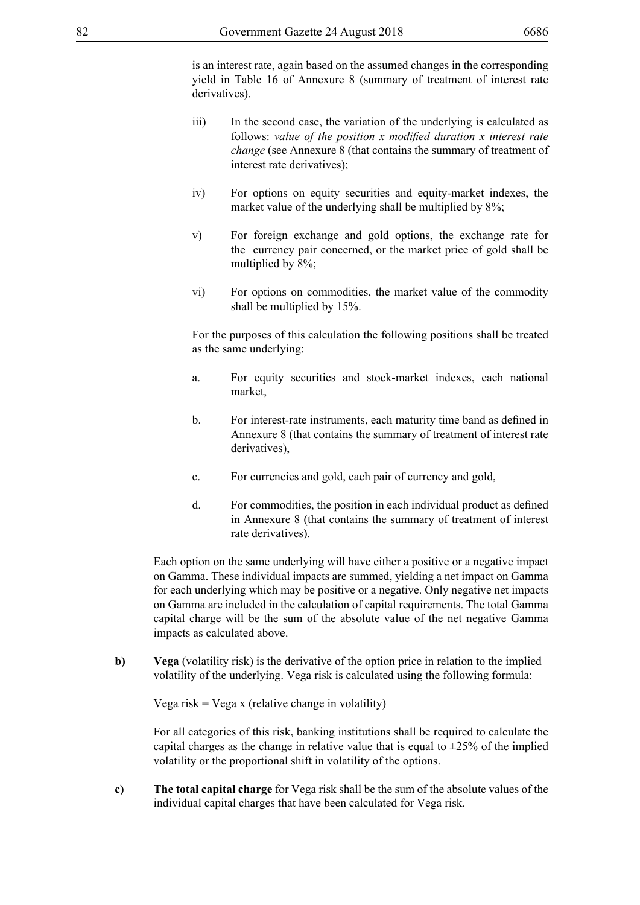is an interest rate, again based on the assumed changes in the corresponding yield in Table 16 of Annexure 8 (summary of treatment of interest rate derivatives).

- iii) In the second case, the variation of the underlying is calculated as follows: *value of the position x modified duration x interest rate change* (see Annexure 8 (that contains the summary of treatment of interest rate derivatives);
- iv) For options on equity securities and equity-market indexes, the market value of the underlying shall be multiplied by  $8\%$ ;
- v) For foreign exchange and gold options, the exchange rate for the currency pair concerned, or the market price of gold shall be multiplied by 8%;
- vi) For options on commodities, the market value of the commodity shall be multiplied by 15%.

For the purposes of this calculation the following positions shall be treated as the same underlying:

- a. For equity securities and stock-market indexes, each national market,
- b. For interest-rate instruments, each maturity time band as defined in Annexure 8 (that contains the summary of treatment of interest rate derivatives),
- c. For currencies and gold, each pair of currency and gold,
- d. For commodities, the position in each individual product as defined in Annexure 8 (that contains the summary of treatment of interest rate derivatives).

Each option on the same underlying will have either a positive or a negative impact on Gamma. These individual impacts are summed, yielding a net impact on Gamma for each underlying which may be positive or a negative. Only negative net impacts on Gamma are included in the calculation of capital requirements. The total Gamma capital charge will be the sum of the absolute value of the net negative Gamma impacts as calculated above.

**b)** Vega (volatility risk) is the derivative of the option price in relation to the implied volatility of the underlying. Vega risk is calculated using the following formula:

Vega risk = Vega x (relative change in volatility)

For all categories of this risk, banking institutions shall be required to calculate the capital charges as the change in relative value that is equal to  $\pm 25\%$  of the implied volatility or the proportional shift in volatility of the options.

**c) The total capital charge** for Vega risk shall be the sum of the absolute values of the individual capital charges that have been calculated for Vega risk.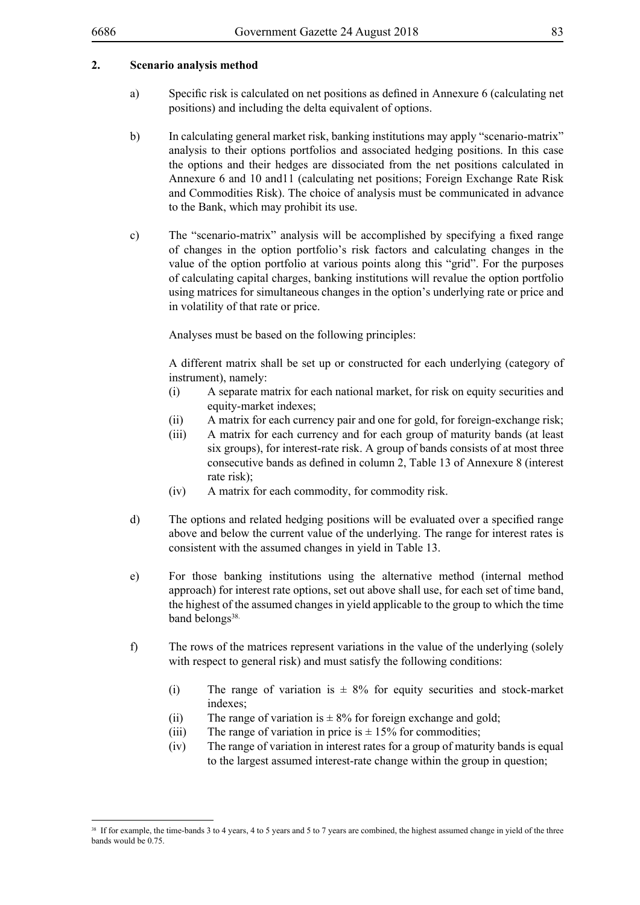### **2. Scenario analysis method**

- a) Specific risk is calculated on net positions as defined in Annexure 6 (calculating net positions) and including the delta equivalent of options.
- b) In calculating general market risk, banking institutions may apply "scenario-matrix" analysis to their options portfolios and associated hedging positions. In this case the options and their hedges are dissociated from the net positions calculated in Annexure 6 and 10 and11 (calculating net positions; Foreign Exchange Rate Risk and Commodities Risk). The choice of analysis must be communicated in advance to the Bank, which may prohibit its use.
- c) The "scenario-matrix" analysis will be accomplished by specifying a fixed range of changes in the option portfolio's risk factors and calculating changes in the value of the option portfolio at various points along this "grid". For the purposes of calculating capital charges, banking institutions will revalue the option portfolio using matrices for simultaneous changes in the option's underlying rate or price and in volatility of that rate or price.

Analyses must be based on the following principles:

A different matrix shall be set up or constructed for each underlying (category of instrument), namely:

- (i) A separate matrix for each national market, for risk on equity securities and equity-market indexes;
- (ii) A matrix for each currency pair and one for gold, for foreign-exchange risk;
- (iii) A matrix for each currency and for each group of maturity bands (at least six groups), for interest-rate risk. A group of bands consists of at most three consecutive bands as defined in column 2, Table 13 of Annexure 8 (interest rate risk);
- (iv) A matrix for each commodity, for commodity risk.
- d) The options and related hedging positions will be evaluated over a specified range above and below the current value of the underlying. The range for interest rates is consistent with the assumed changes in yield in Table 13.
- e) For those banking institutions using the alternative method (internal method approach) for interest rate options, set out above shall use, for each set of time band, the highest of the assumed changes in yield applicable to the group to which the time band belongs<sup>38.</sup>
- f) The rows of the matrices represent variations in the value of the underlying (solely with respect to general risk) and must satisfy the following conditions:
	- (i) The range of variation is  $\pm 8\%$  for equity securities and stock-market indexes;
	- (ii) The range of variation is  $\pm 8\%$  for foreign exchange and gold;
	- (iii) The range of variation in price is  $\pm$  15% for commodities;
	- (iv) The range of variation in interest rates for a group of maturity bands is equal to the largest assumed interest-rate change within the group in question;

<sup>&</sup>lt;sup>38</sup> If for example, the time-bands 3 to 4 years, 4 to 5 years and 5 to 7 years are combined, the highest assumed change in yield of the three bands would be 0.75.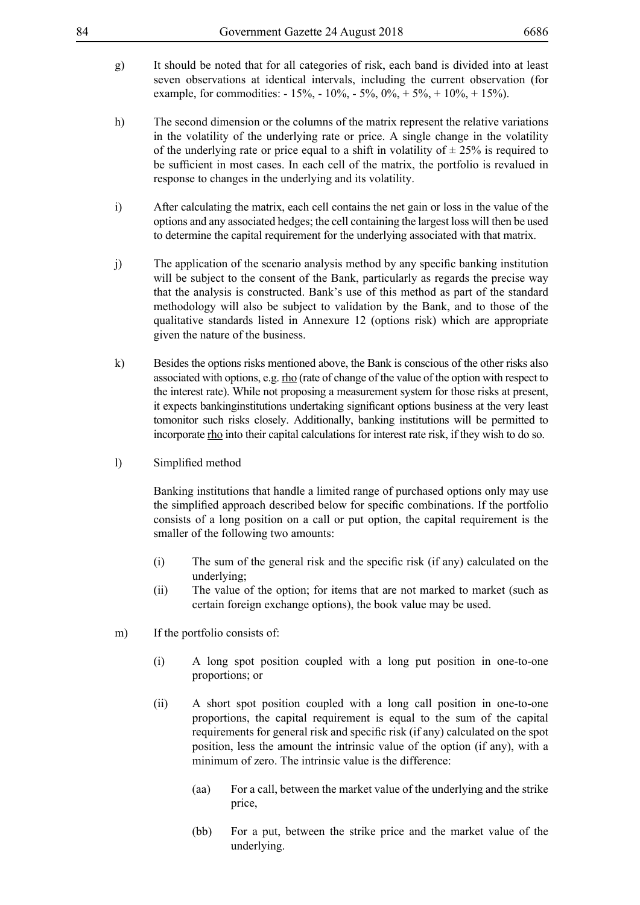- g) It should be noted that for all categories of risk, each band is divided into at least seven observations at identical intervals, including the current observation (for example, for commodities:  $-15\% - 10\% - 5\% - 0\% + 5\% + 10\% + 15\%$ .
- h) The second dimension or the columns of the matrix represent the relative variations in the volatility of the underlying rate or price. A single change in the volatility of the underlying rate or price equal to a shift in volatility of  $\pm 25\%$  is required to be sufficient in most cases. In each cell of the matrix, the portfolio is revalued in response to changes in the underlying and its volatility.
- i) After calculating the matrix, each cell contains the net gain or loss in the value of the options and any associated hedges; the cell containing the largest loss will then be used to determine the capital requirement for the underlying associated with that matrix.
- j) The application of the scenario analysis method by any specific banking institution will be subject to the consent of the Bank, particularly as regards the precise way that the analysis is constructed. Bank's use of this method as part of the standard methodology will also be subject to validation by the Bank, and to those of the qualitative standards listed in Annexure 12 (options risk) which are appropriate given the nature of the business.
- k) Besides the options risks mentioned above, the Bank is conscious of the other risks also associated with options, e.g. rho (rate of change of the value of the option with respect to the interest rate). While not proposing a measurement system for those risks at present, it expects bankinginstitutions undertaking significant options business at the very least tomonitor such risks closely. Additionally, banking institutions will be permitted to incorporate rho into their capital calculations for interest rate risk, if they wish to do so.
- l) Simplified method

Banking institutions that handle a limited range of purchased options only may use the simplified approach described below for specific combinations. If the portfolio consists of a long position on a call or put option, the capital requirement is the smaller of the following two amounts:

- (i) The sum of the general risk and the specific risk (if any) calculated on the underlying;
- (ii) The value of the option; for items that are not marked to market (such as certain foreign exchange options), the book value may be used.
- m) If the portfolio consists of:
	- (i) A long spot position coupled with a long put position in one-to-one proportions; or
	- (ii) A short spot position coupled with a long call position in one-to-one proportions, the capital requirement is equal to the sum of the capital requirements for general risk and specific risk (if any) calculated on the spot position, less the amount the intrinsic value of the option (if any), with a minimum of zero. The intrinsic value is the difference:
		- (aa) For a call, between the market value of the underlying and the strike price,
		- (bb) For a put, between the strike price and the market value of the underlying.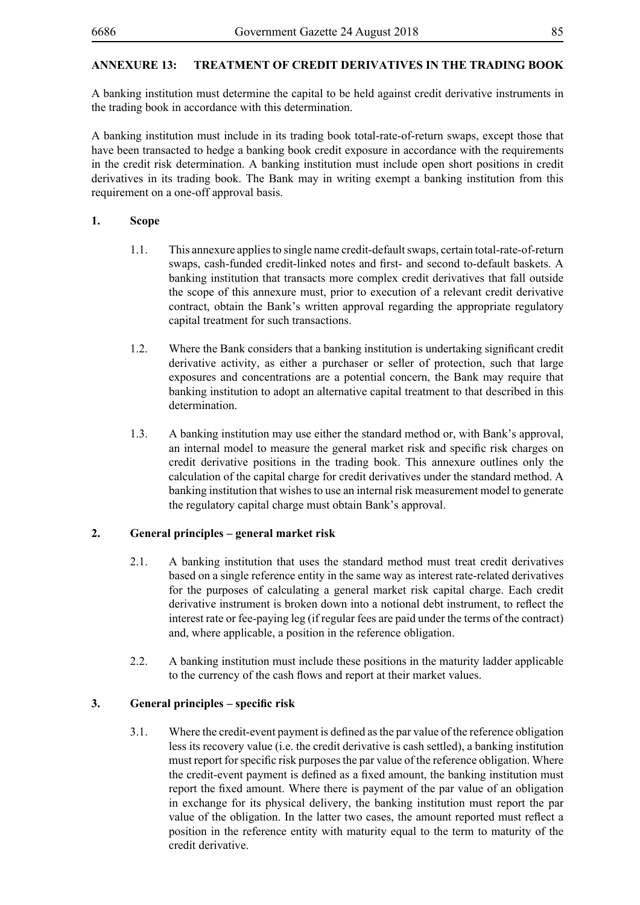# **ANNEXURE 13: TREATMENT OF CREDIT DERIVATIVES IN THE TRADING BOOK**

A banking institution must determine the capital to be held against credit derivative instruments in the trading book in accordance with this determination.

A banking institution must include in its trading book total-rate-of-return swaps, except those that have been transacted to hedge a banking book credit exposure in accordance with the requirements in the credit risk determination. A banking institution must include open short positions in credit derivatives in its trading book. The Bank may in writing exempt a banking institution from this requirement on a one-off approval basis.

## **1. Scope**

- 1.1. This annexure applies to single name credit-default swaps, certain total-rate-of-return swaps, cash-funded credit-linked notes and first- and second to-default baskets. A banking institution that transacts more complex credit derivatives that fall outside the scope of this annexure must, prior to execution of a relevant credit derivative contract, obtain the Bank's written approval regarding the appropriate regulatory capital treatment for such transactions.
- 1.2. Where the Bank considers that a banking institution is undertaking significant credit derivative activity, as either a purchaser or seller of protection, such that large exposures and concentrations are a potential concern, the Bank may require that banking institution to adopt an alternative capital treatment to that described in this determination.
- 1.3. A banking institution may use either the standard method or, with Bank's approval, an internal model to measure the general market risk and specific risk charges on credit derivative positions in the trading book. This annexure outlines only the calculation of the capital charge for credit derivatives under the standard method. A banking institution that wishes to use an internal risk measurement model to generate the regulatory capital charge must obtain Bank's approval.

## **2. General principles – general market risk**

- 2.1. A banking institution that uses the standard method must treat credit derivatives based on a single reference entity in the same way as interest rate-related derivatives for the purposes of calculating a general market risk capital charge. Each credit derivative instrument is broken down into a notional debt instrument, to reflect the interest rate or fee-paying leg (if regular fees are paid under the terms of the contract) and, where applicable, a position in the reference obligation.
- 2.2. A banking institution must include these positions in the maturity ladder applicable to the currency of the cash flows and report at their market values.

## **3. General principles – specific risk**

3.1. Where the credit-event payment is defined as the par value of the reference obligation less its recovery value (i.e. the credit derivative is cash settled), a banking institution must report for specific risk purposes the par value of the reference obligation. Where the credit-event payment is defined as a fixed amount, the banking institution must report the fixed amount. Where there is payment of the par value of an obligation in exchange for its physical delivery, the banking institution must report the par value of the obligation. In the latter two cases, the amount reported must reflect a position in the reference entity with maturity equal to the term to maturity of the credit derivative.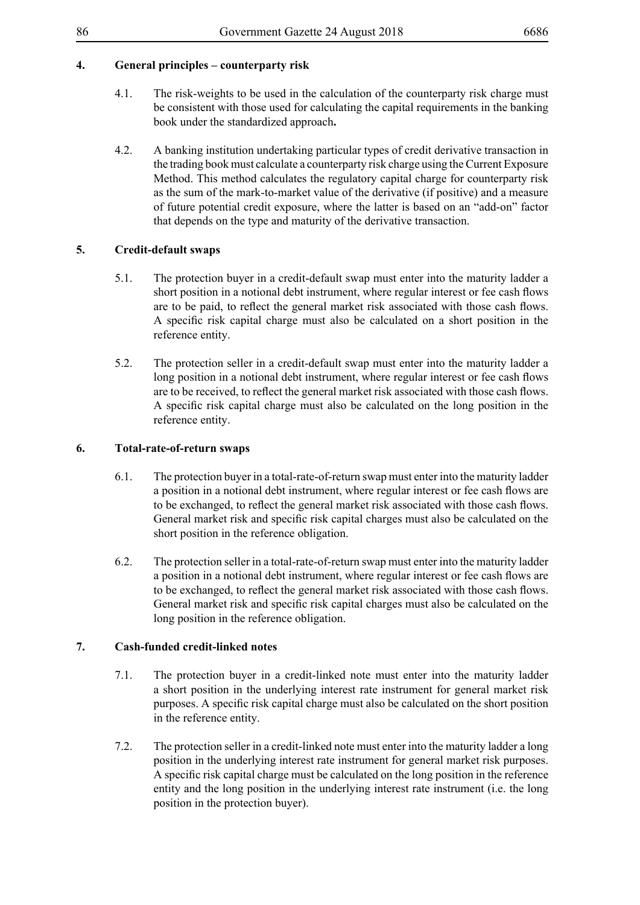# **4. General principles – counterparty risk**

- 4.1. The risk-weights to be used in the calculation of the counterparty risk charge must be consistent with those used for calculating the capital requirements in the banking book under the standardized approach**.**
- 4.2. A banking institution undertaking particular types of credit derivative transaction in the trading book must calculate a counterparty risk charge using the Current Exposure Method. This method calculates the regulatory capital charge for counterparty risk as the sum of the mark-to-market value of the derivative (if positive) and a measure of future potential credit exposure, where the latter is based on an "add-on" factor that depends on the type and maturity of the derivative transaction.

## **5. Credit-default swaps**

- 5.1. The protection buyer in a credit-default swap must enter into the maturity ladder a short position in a notional debt instrument, where regular interest or fee cash flows are to be paid, to reflect the general market risk associated with those cash flows. A specific risk capital charge must also be calculated on a short position in the reference entity.
- 5.2. The protection seller in a credit-default swap must enter into the maturity ladder a long position in a notional debt instrument, where regular interest or fee cash flows are to be received, to reflect the general market risk associated with those cash flows. A specific risk capital charge must also be calculated on the long position in the reference entity.

## **6. Total-rate-of-return swaps**

- 6.1. The protection buyer in a total-rate-of-return swap must enter into the maturity ladder a position in a notional debt instrument, where regular interest or fee cash flows are to be exchanged, to reflect the general market risk associated with those cash flows. General market risk and specific risk capital charges must also be calculated on the short position in the reference obligation.
- 6.2. The protection seller in a total-rate-of-return swap must enter into the maturity ladder a position in a notional debt instrument, where regular interest or fee cash flows are to be exchanged, to reflect the general market risk associated with those cash flows. General market risk and specific risk capital charges must also be calculated on the long position in the reference obligation.

### **7. Cash-funded credit-linked notes**

- 7.1. The protection buyer in a credit-linked note must enter into the maturity ladder a short position in the underlying interest rate instrument for general market risk purposes. A specific risk capital charge must also be calculated on the short position in the reference entity.
- 7.2. The protection seller in a credit-linked note must enter into the maturity ladder a long position in the underlying interest rate instrument for general market risk purposes. A specific risk capital charge must be calculated on the long position in the reference entity and the long position in the underlying interest rate instrument (i.e. the long position in the protection buyer).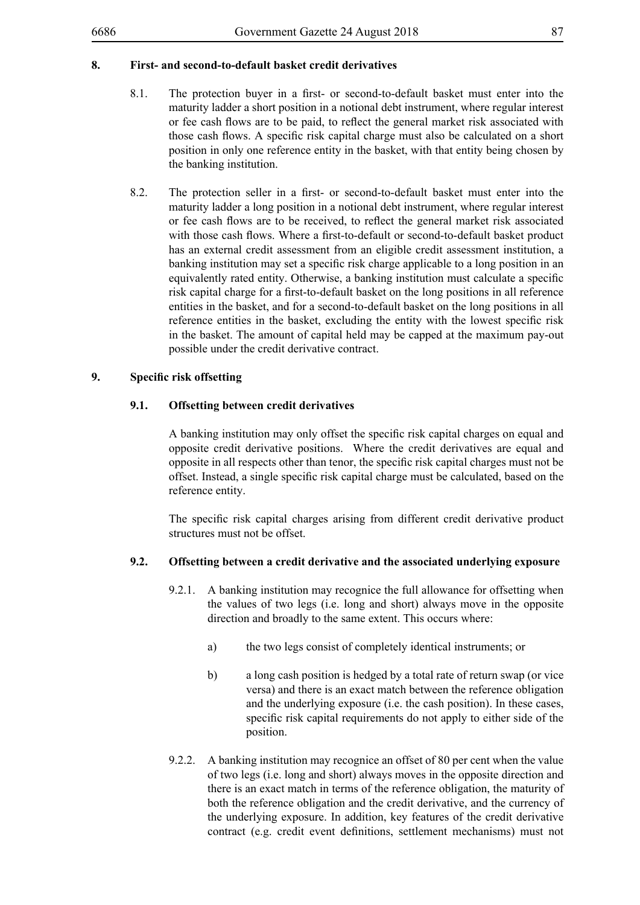# **8. First- and second-to-default basket credit derivatives**

- 8.1. The protection buyer in a first- or second-to-default basket must enter into the maturity ladder a short position in a notional debt instrument, where regular interest or fee cash flows are to be paid, to reflect the general market risk associated with those cash flows. A specific risk capital charge must also be calculated on a short position in only one reference entity in the basket, with that entity being chosen by the banking institution.
- 8.2. The protection seller in a first- or second-to-default basket must enter into the maturity ladder a long position in a notional debt instrument, where regular interest or fee cash flows are to be received, to reflect the general market risk associated with those cash flows. Where a first-to-default or second-to-default basket product has an external credit assessment from an eligible credit assessment institution, a banking institution may set a specific risk charge applicable to a long position in an equivalently rated entity. Otherwise, a banking institution must calculate a specific risk capital charge for a first-to-default basket on the long positions in all reference entities in the basket, and for a second-to-default basket on the long positions in all reference entities in the basket, excluding the entity with the lowest specific risk in the basket. The amount of capital held may be capped at the maximum pay-out possible under the credit derivative contract.

### **9. Specific risk offsetting**

### **9.1. Offsetting between credit derivatives**

A banking institution may only offset the specific risk capital charges on equal and opposite credit derivative positions. Where the credit derivatives are equal and opposite in all respects other than tenor, the specific risk capital charges must not be offset. Instead, a single specific risk capital charge must be calculated, based on the reference entity.

The specific risk capital charges arising from different credit derivative product structures must not be offset.

### **9.2. Offsetting between a credit derivative and the associated underlying exposure**

- 9.2.1. A banking institution may recognice the full allowance for offsetting when the values of two legs (i.e. long and short) always move in the opposite direction and broadly to the same extent. This occurs where:
	- a) the two legs consist of completely identical instruments; or
	- b) a long cash position is hedged by a total rate of return swap (or vice versa) and there is an exact match between the reference obligation and the underlying exposure (i.e. the cash position). In these cases, specific risk capital requirements do not apply to either side of the position.
- 9.2.2. A banking institution may recognice an offset of 80 per cent when the value of two legs (i.e. long and short) always moves in the opposite direction and there is an exact match in terms of the reference obligation, the maturity of both the reference obligation and the credit derivative, and the currency of the underlying exposure. In addition, key features of the credit derivative contract (e.g. credit event definitions, settlement mechanisms) must not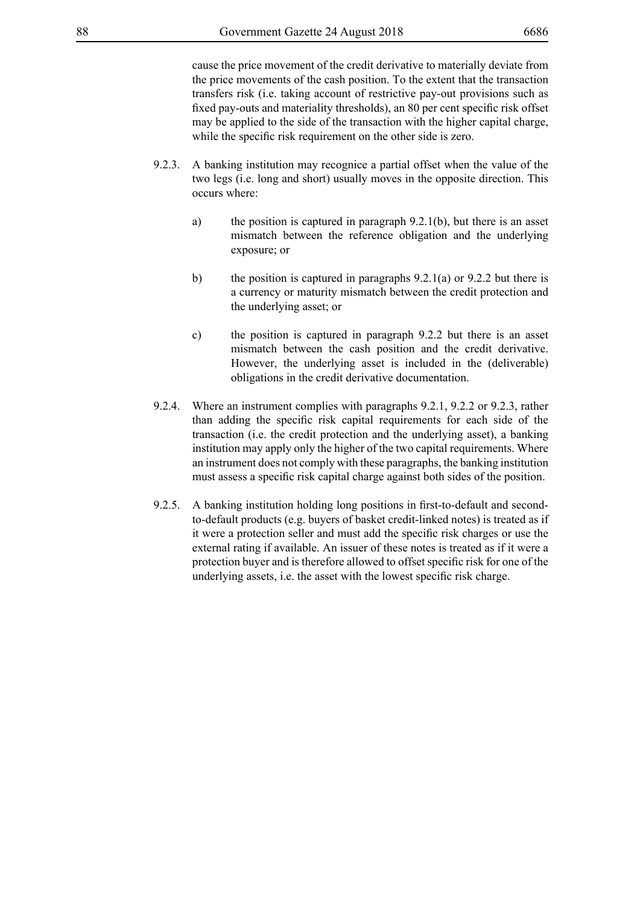cause the price movement of the credit derivative to materially deviate from the price movements of the cash position. To the extent that the transaction transfers risk (i.e. taking account of restrictive pay-out provisions such as fixed pay-outs and materiality thresholds), an 80 per cent specific risk offset may be applied to the side of the transaction with the higher capital charge, while the specific risk requirement on the other side is zero.

- 9.2.3. A banking institution may recognice a partial offset when the value of the two legs (i.e. long and short) usually moves in the opposite direction. This occurs where:
	- a) the position is captured in paragraph 9.2.1(b), but there is an asset mismatch between the reference obligation and the underlying exposure; or
	- b) the position is captured in paragraphs  $9.2.1(a)$  or  $9.2.2$  but there is a currency or maturity mismatch between the credit protection and the underlying asset; or
	- c) the position is captured in paragraph 9.2.2 but there is an asset mismatch between the cash position and the credit derivative. However, the underlying asset is included in the (deliverable) obligations in the credit derivative documentation.
- 9.2.4. Where an instrument complies with paragraphs 9.2.1, 9.2.2 or 9.2.3, rather than adding the specific risk capital requirements for each side of the transaction (i.e. the credit protection and the underlying asset), a banking institution may apply only the higher of the two capital requirements. Where an instrument does not comply with these paragraphs, the banking institution must assess a specific risk capital charge against both sides of the position.
- 9.2.5. A banking institution holding long positions in first-to-default and secondto-default products (e.g. buyers of basket credit-linked notes) is treated as if it were a protection seller and must add the specific risk charges or use the external rating if available. An issuer of these notes is treated as if it were a protection buyer and is therefore allowed to offset specific risk for one of the underlying assets, i.e. the asset with the lowest specific risk charge.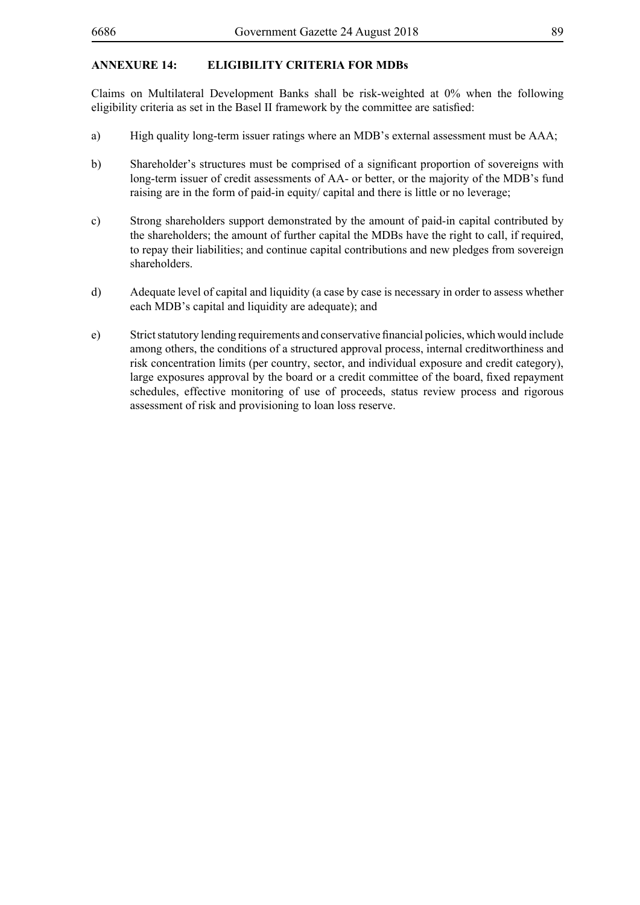# **ANNEXURE 14: Eligibility Criteria for MDBs**

Claims on Multilateral Development Banks shall be risk-weighted at 0% when the following eligibility criteria as set in the Basel II framework by the committee are satisfied:

- a) High quality long-term issuer ratings where an MDB's external assessment must be AAA;
- b) Shareholder's structures must be comprised of a significant proportion of sovereigns with long-term issuer of credit assessments of AA- or better, or the majority of the MDB's fund raising are in the form of paid-in equity/ capital and there is little or no leverage;
- c) Strong shareholders support demonstrated by the amount of paid-in capital contributed by the shareholders; the amount of further capital the MDBs have the right to call, if required, to repay their liabilities; and continue capital contributions and new pledges from sovereign shareholders.
- d) Adequate level of capital and liquidity (a case by case is necessary in order to assess whether each MDB's capital and liquidity are adequate); and
- e) Strict statutory lending requirements and conservative financial policies, which would include among others, the conditions of a structured approval process, internal creditworthiness and risk concentration limits (per country, sector, and individual exposure and credit category), large exposures approval by the board or a credit committee of the board, fixed repayment schedules, effective monitoring of use of proceeds, status review process and rigorous assessment of risk and provisioning to loan loss reserve.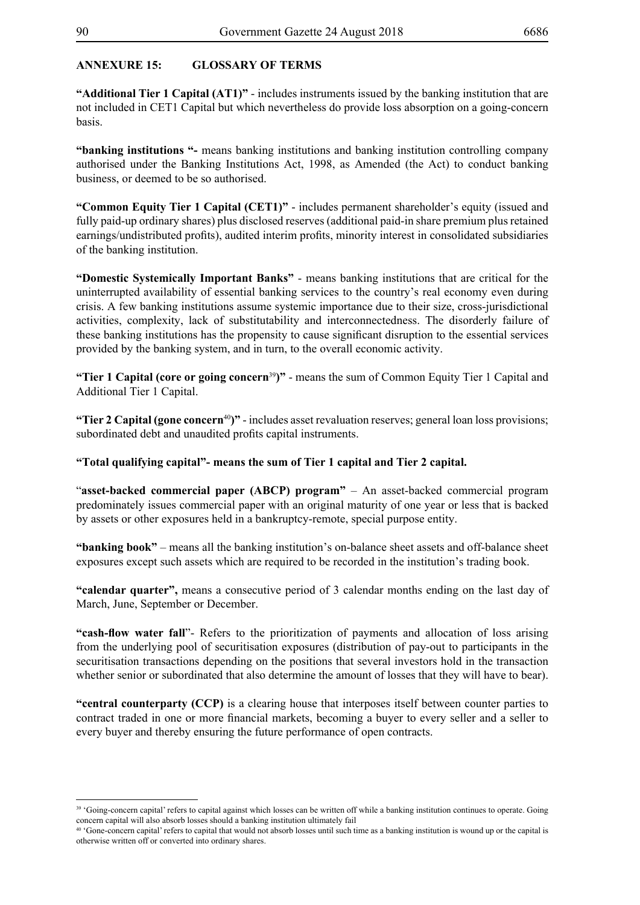## **ANNEXURE 15: GLOSSARY OF TERMS**

**"Additional Tier 1 Capital (AT1)"** - includes instruments issued by the banking institution that are not included in CET1 Capital but which nevertheless do provide loss absorption on a going-concern basis.

**"banking institutions "-** means banking institutions and banking institution controlling company authorised under the Banking Institutions Act, 1998, as Amended (the Act) to conduct banking business, or deemed to be so authorised.

**"Common Equity Tier 1 Capital (CET1)"** - includes permanent shareholder's equity (issued and fully paid-up ordinary shares) plus disclosed reserves (additional paid-in share premium plus retained earnings/undistributed profits), audited interim profits, minority interest in consolidated subsidiaries of the banking institution.

**"Domestic Systemically Important Banks"** - means banking institutions that are critical for the uninterrupted availability of essential banking services to the country's real economy even during crisis. A few banking institutions assume systemic importance due to their size, cross-jurisdictional activities, complexity, lack of substitutability and interconnectedness. The disorderly failure of these banking institutions has the propensity to cause significant disruption to the essential services provided by the banking system, and in turn, to the overall economic activity.

**"Tier 1 Capital (core or going concern**<sup>39</sup>**)"** - means the sum of Common Equity Tier 1 Capital and Additional Tier 1 Capital.

**"Tier 2 Capital (gone concern**<sup>40</sup>**)"** - includes asset revaluation reserves; general loan loss provisions; subordinated debt and unaudited profits capital instruments.

## **"Total qualifying capital"- means the sum of Tier 1 capital and Tier 2 capital.**

"**asset-backed commercial paper (ABCP) program"** – An asset-backed commercial program predominately issues commercial paper with an original maturity of one year or less that is backed by assets or other exposures held in a bankruptcy-remote, special purpose entity.

**"banking book"** – means all the banking institution's on-balance sheet assets and off-balance sheet exposures except such assets which are required to be recorded in the institution's trading book.

**"calendar quarter",** means a consecutive period of 3 calendar months ending on the last day of March, June, September or December.

**"cash-flow water fall**"- Refers to the prioritization of payments and allocation of loss arising from the underlying pool of securitisation exposures (distribution of pay-out to participants in the securitisation transactions depending on the positions that several investors hold in the transaction whether senior or subordinated that also determine the amount of losses that they will have to bear).

**"central counterparty (CCP)** is a clearing house that interposes itself between counter parties to contract traded in one or more financial markets, becoming a buyer to every seller and a seller to every buyer and thereby ensuring the future performance of open contracts.

<sup>39 &#</sup>x27;Going-concern capital' refers to capital against which losses can be written off while a banking institution continues to operate. Going concern capital will also absorb losses should a banking institution ultimately fail

<sup>40 &#</sup>x27;Gone-concern capital' refers to capital that would not absorb losses until such time as a banking institution is wound up or the capital is otherwise written off or converted into ordinary shares.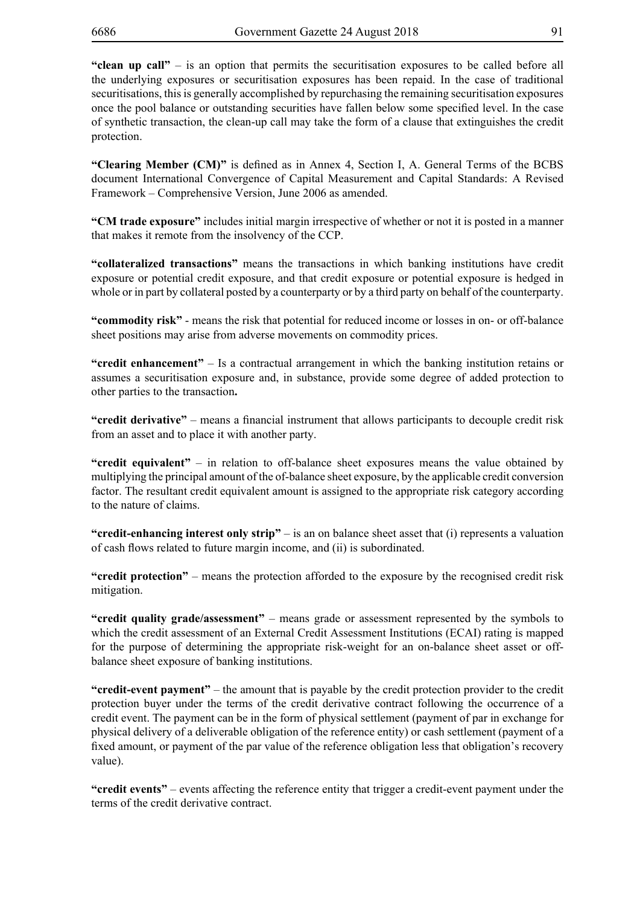**"clean up call"** – is an option that permits the securitisation exposures to be called before all the underlying exposures or securitisation exposures has been repaid. In the case of traditional securitisations, this is generally accomplished by repurchasing the remaining securitisation exposures once the pool balance or outstanding securities have fallen below some specified level. In the case of synthetic transaction, the clean-up call may take the form of a clause that extinguishes the credit protection.

**"Clearing Member (CM)"** is defined as in Annex 4, Section I, A. General Terms of the BCBS document International Convergence of Capital Measurement and Capital Standards: A Revised Framework – Comprehensive Version, June 2006 as amended.

**"CM trade exposure"** includes initial margin irrespective of whether or not it is posted in a manner that makes it remote from the insolvency of the CCP.

**"collateralized transactions"** means the transactions in which banking institutions have credit exposure or potential credit exposure, and that credit exposure or potential exposure is hedged in whole or in part by collateral posted by a counterparty or by a third party on behalf of the counterparty.

**"commodity risk"** - means the risk that potential for reduced income or losses in on- or off-balance sheet positions may arise from adverse movements on commodity prices.

**"credit enhancement"** – Is a contractual arrangement in which the banking institution retains or assumes a securitisation exposure and, in substance, provide some degree of added protection to other parties to the transaction**.**

**"credit derivative"** – means a financial instrument that allows participants to decouple credit risk from an asset and to place it with another party.

**"credit equivalent"** – in relation to off-balance sheet exposures means the value obtained by multiplying the principal amount of the of-balance sheet exposure, by the applicable credit conversion factor. The resultant credit equivalent amount is assigned to the appropriate risk category according to the nature of claims.

**"credit-enhancing interest only strip"** – is an on balance sheet asset that (i) represents a valuation of cash flows related to future margin income, and (ii) is subordinated.

**"credit protection"** – means the protection afforded to the exposure by the recognised credit risk mitigation.

**"credit quality grade/assessment"** – means grade or assessment represented by the symbols to which the credit assessment of an External Credit Assessment Institutions (ECAI) rating is mapped for the purpose of determining the appropriate risk-weight for an on-balance sheet asset or offbalance sheet exposure of banking institutions.

**"credit-event payment"** – the amount that is payable by the credit protection provider to the credit protection buyer under the terms of the credit derivative contract following the occurrence of a credit event. The payment can be in the form of physical settlement (payment of par in exchange for physical delivery of a deliverable obligation of the reference entity) or cash settlement (payment of a fixed amount, or payment of the par value of the reference obligation less that obligation's recovery value).

**"credit events"** – events affecting the reference entity that trigger a credit-event payment under the terms of the credit derivative contract.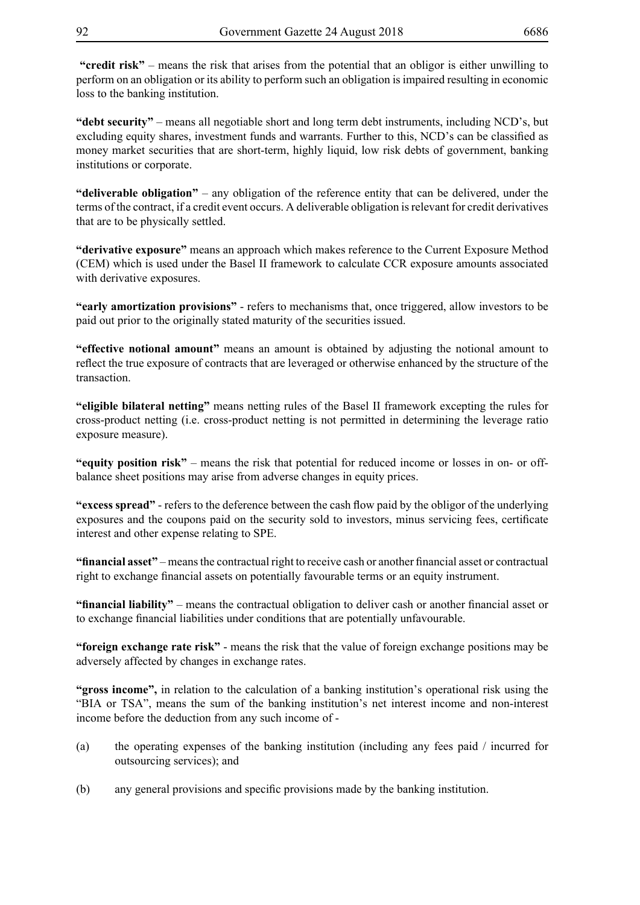**"credit risk"** – means the risk that arises from the potential that an obligor is either unwilling to perform on an obligation or its ability to perform such an obligation is impaired resulting in economic loss to the banking institution.

**"debt security"** – means all negotiable short and long term debt instruments, including NCD's, but excluding equity shares, investment funds and warrants. Further to this, NCD's can be classified as money market securities that are short-term, highly liquid, low risk debts of government, banking institutions or corporate.

**"deliverable obligation"** – any obligation of the reference entity that can be delivered, under the terms of the contract, if a credit event occurs. A deliverable obligation is relevant for credit derivatives that are to be physically settled.

**"derivative exposure"** means an approach which makes reference to the Current Exposure Method (CEM) which is used under the Basel II framework to calculate CCR exposure amounts associated with derivative exposures.

**"early amortization provisions"** - refers to mechanisms that, once triggered, allow investors to be paid out prior to the originally stated maturity of the securities issued.

**"effective notional amount"** means an amount is obtained by adjusting the notional amount to reflect the true exposure of contracts that are leveraged or otherwise enhanced by the structure of the transaction.

**"eligible bilateral netting"** means netting rules of the Basel II framework excepting the rules for cross-product netting (i.e. cross-product netting is not permitted in determining the leverage ratio exposure measure).

**"equity position risk"** – means the risk that potential for reduced income or losses in on- or offbalance sheet positions may arise from adverse changes in equity prices.

**"excess spread"** - refers to the deference between the cash flow paid by the obligor of the underlying exposures and the coupons paid on the security sold to investors, minus servicing fees, certificate interest and other expense relating to SPE.

"financial asset" – means the contractual right to receive cash or another financial asset or contractual right to exchange financial assets on potentially favourable terms or an equity instrument.

**"financial liability"** – means the contractual obligation to deliver cash or another financial asset or to exchange financial liabilities under conditions that are potentially unfavourable.

**"foreign exchange rate risk"** - means the risk that the value of foreign exchange positions may be adversely affected by changes in exchange rates.

**"gross income",** in relation to the calculation of a banking institution's operational risk using the "BIA or TSA", means the sum of the banking institution's net interest income and non-interest income before the deduction from any such income of -

- (a) the operating expenses of the banking institution (including any fees paid / incurred for outsourcing services); and
- (b) any general provisions and specific provisions made by the banking institution.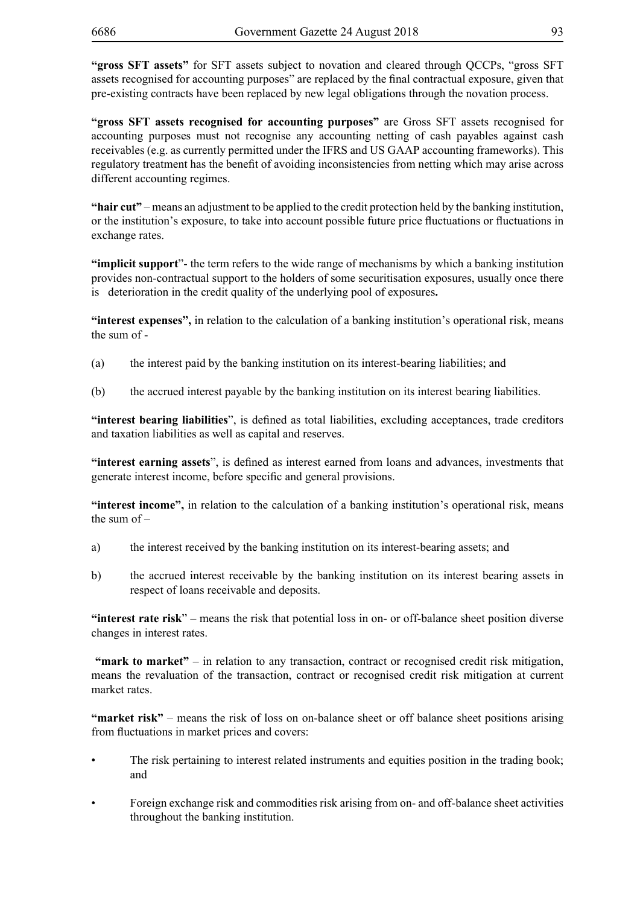**"gross SFT assets"** for SFT assets subject to novation and cleared through QCCPs, "gross SFT assets recognised for accounting purposes" are replaced by the final contractual exposure, given that pre-existing contracts have been replaced by new legal obligations through the novation process.

**"gross SFT assets recognised for accounting purposes"** are Gross SFT assets recognised for accounting purposes must not recognise any accounting netting of cash payables against cash receivables (e.g. as currently permitted under the IFRS and US GAAP accounting frameworks). This regulatory treatment has the benefit of avoiding inconsistencies from netting which may arise across different accounting regimes.

**"hair cut"** – means an adjustment to be applied to the credit protection held by the banking institution, or the institution's exposure, to take into account possible future price fluctuations or fluctuations in exchange rates.

**"implicit support**"- the term refers to the wide range of mechanisms by which a banking institution provides non-contractual support to the holders of some securitisation exposures, usually once there is deterioration in the credit quality of the underlying pool of exposures**.**

**"interest expenses",** in relation to the calculation of a banking institution's operational risk, means the sum of -

- (a) the interest paid by the banking institution on its interest-bearing liabilities; and
- (b) the accrued interest payable by the banking institution on its interest bearing liabilities.

**"interest bearing liabilities**", is defined as total liabilities, excluding acceptances, trade creditors and taxation liabilities as well as capital and reserves.

**"interest earning assets**", is defined as interest earned from loans and advances, investments that generate interest income, before specific and general provisions.

**"interest income",** in relation to the calculation of a banking institution's operational risk, means the sum of –

- a) the interest received by the banking institution on its interest-bearing assets; and
- b) the accrued interest receivable by the banking institution on its interest bearing assets in respect of loans receivable and deposits.

**"interest rate risk**" – means the risk that potential loss in on- or off-balance sheet position diverse changes in interest rates.

 **"mark to market"** – in relation to any transaction, contract or recognised credit risk mitigation, means the revaluation of the transaction, contract or recognised credit risk mitigation at current market rates.

**"market risk"** – means the risk of loss on on-balance sheet or off balance sheet positions arising from fluctuations in market prices and covers:

- The risk pertaining to interest related instruments and equities position in the trading book; and
- • Foreign exchange risk and commodities risk arising from on- and off-balance sheet activities throughout the banking institution.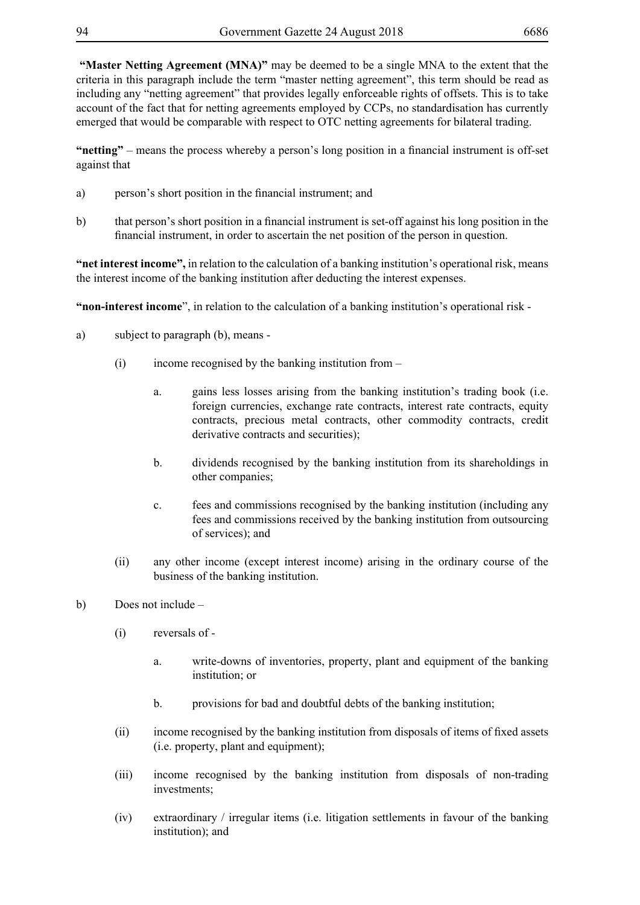**"Master Netting Agreement (MNA)"** may be deemed to be a single MNA to the extent that the criteria in this paragraph include the term "master netting agreement", this term should be read as including any "netting agreement" that provides legally enforceable rights of offsets. This is to take account of the fact that for netting agreements employed by CCPs, no standardisation has currently emerged that would be comparable with respect to OTC netting agreements for bilateral trading.

**"netting"** – means the process whereby a person's long position in a financial instrument is off-set against that

- a) person's short position in the financial instrument; and
- b) that person's short position in a financial instrument is set-off against his long position in the financial instrument, in order to ascertain the net position of the person in question.

**"net interest income",** in relation to the calculation of a banking institution's operational risk, means the interest income of the banking institution after deducting the interest expenses.

**"non-interest income**", in relation to the calculation of a banking institution's operational risk -

- a) subject to paragraph (b), means
	- (i) income recognised by the banking institution from
		- a. gains less losses arising from the banking institution's trading book (i.e. foreign currencies, exchange rate contracts, interest rate contracts, equity contracts, precious metal contracts, other commodity contracts, credit derivative contracts and securities);
		- b. dividends recognised by the banking institution from its shareholdings in other companies;
		- c. fees and commissions recognised by the banking institution (including any fees and commissions received by the banking institution from outsourcing of services); and
	- (ii) any other income (except interest income) arising in the ordinary course of the business of the banking institution.
- b) Does not include
	- (i) reversals of
		- a. write-downs of inventories, property, plant and equipment of the banking institution; or
		- b. provisions for bad and doubtful debts of the banking institution;
	- (ii) income recognised by the banking institution from disposals of items of fixed assets (i.e. property, plant and equipment);
	- (iii) income recognised by the banking institution from disposals of non-trading investments;
	- (iv) extraordinary / irregular items (i.e. litigation settlements in favour of the banking institution); and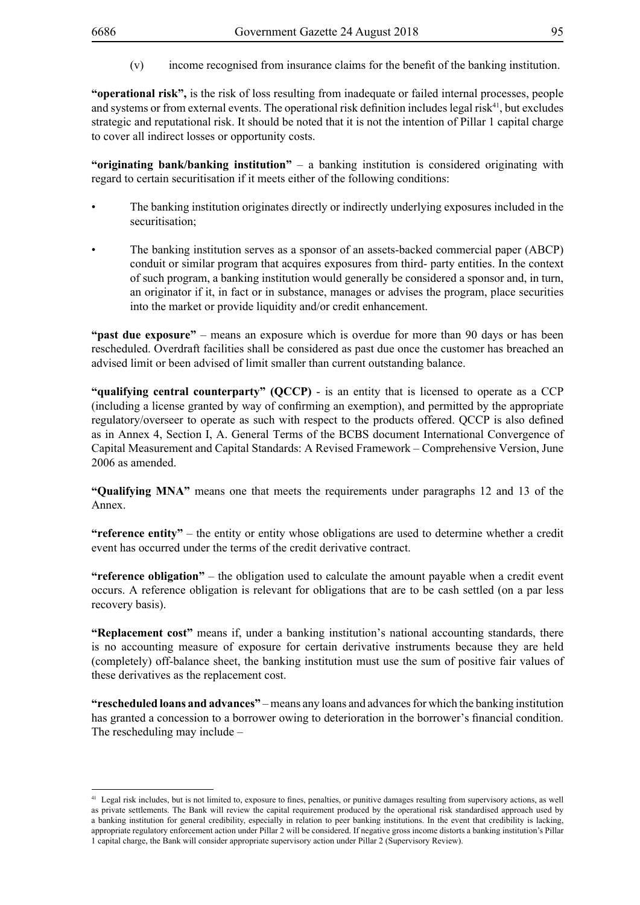(v) income recognised from insurance claims for the benefit of the banking institution.

**"operational risk",** is the risk of loss resulting from inadequate or failed internal processes, people and systems or from external events. The operational risk definition includes legal risk<sup>41</sup>, but excludes strategic and reputational risk. It should be noted that it is not the intention of Pillar 1 capital charge to cover all indirect losses or opportunity costs.

**"originating bank/banking institution"** – a banking institution is considered originating with regard to certain securitisation if it meets either of the following conditions:

- The banking institution originates directly or indirectly underlying exposures included in the securitisation:
- The banking institution serves as a sponsor of an assets-backed commercial paper (ABCP) conduit or similar program that acquires exposures from third- party entities. In the context of such program, a banking institution would generally be considered a sponsor and, in turn, an originator if it, in fact or in substance, manages or advises the program, place securities into the market or provide liquidity and/or credit enhancement.

**"past due exposure"** – means an exposure which is overdue for more than 90 days or has been rescheduled. Overdraft facilities shall be considered as past due once the customer has breached an advised limit or been advised of limit smaller than current outstanding balance.

**"qualifying central counterparty" (QCCP)** - is an entity that is licensed to operate as a CCP (including a license granted by way of confirming an exemption), and permitted by the appropriate regulatory/overseer to operate as such with respect to the products offered. QCCP is also defined as in Annex 4, Section I, A. General Terms of the BCBS document International Convergence of Capital Measurement and Capital Standards: A Revised Framework – Comprehensive Version, June 2006 as amended.

**"Qualifying MNA"** means one that meets the requirements under paragraphs 12 and 13 of the Annex.

**"reference entity"** – the entity or entity whose obligations are used to determine whether a credit event has occurred under the terms of the credit derivative contract.

**"reference obligation"** – the obligation used to calculate the amount payable when a credit event occurs. A reference obligation is relevant for obligations that are to be cash settled (on a par less recovery basis).

**"Replacement cost"** means if, under a banking institution's national accounting standards, there is no accounting measure of exposure for certain derivative instruments because they are held (completely) off-balance sheet, the banking institution must use the sum of positive fair values of these derivatives as the replacement cost.

**"rescheduled loans and advances"** – means any loans and advances for which the banking institution has granted a concession to a borrower owing to deterioration in the borrower's financial condition. The rescheduling may include –

<sup>41</sup> Legal risk includes, but is not limited to, exposure to fines, penalties, or punitive damages resulting from supervisory actions, as well as private settlements. The Bank will review the capital requirement produced by the operational risk standardised approach used by a banking institution for general credibility, especially in relation to peer banking institutions. In the event that credibility is lacking, appropriate regulatory enforcement action under Pillar 2 will be considered. If negative gross income distorts a banking institution's Pillar 1 capital charge, the Bank will consider appropriate supervisory action under Pillar 2 (Supervisory Review).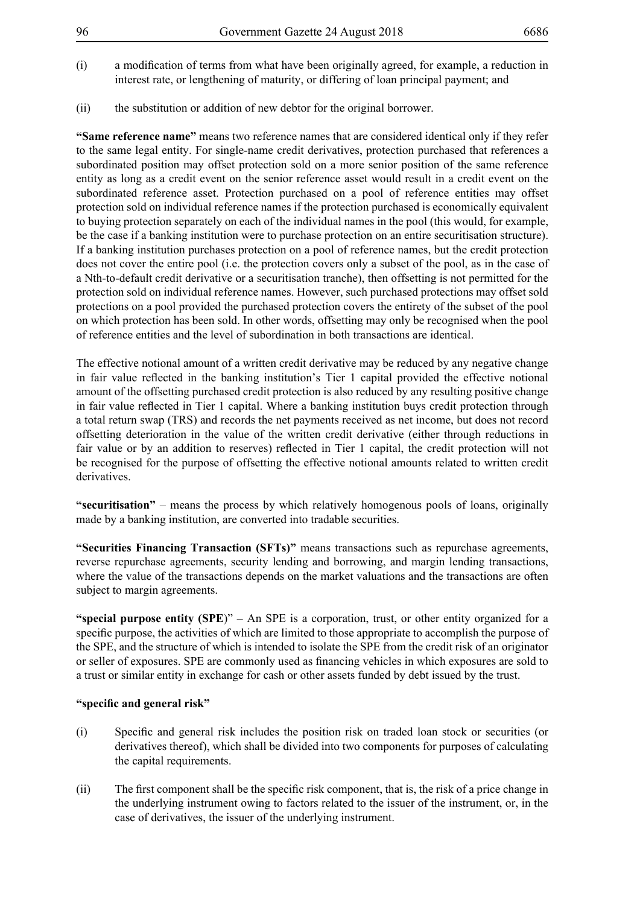- (i) a modification of terms from what have been originally agreed, for example, a reduction in interest rate, or lengthening of maturity, or differing of loan principal payment; and
- (ii) the substitution or addition of new debtor for the original borrower.

**"Same reference name"** means two reference names that are considered identical only if they refer to the same legal entity. For single-name credit derivatives, protection purchased that references a subordinated position may offset protection sold on a more senior position of the same reference entity as long as a credit event on the senior reference asset would result in a credit event on the subordinated reference asset. Protection purchased on a pool of reference entities may offset protection sold on individual reference names if the protection purchased is economically equivalent to buying protection separately on each of the individual names in the pool (this would, for example, be the case if a banking institution were to purchase protection on an entire securitisation structure). If a banking institution purchases protection on a pool of reference names, but the credit protection does not cover the entire pool (i.e. the protection covers only a subset of the pool, as in the case of a Nth-to-default credit derivative or a securitisation tranche), then offsetting is not permitted for the protection sold on individual reference names. However, such purchased protections may offset sold protections on a pool provided the purchased protection covers the entirety of the subset of the pool on which protection has been sold. In other words, offsetting may only be recognised when the pool of reference entities and the level of subordination in both transactions are identical.

The effective notional amount of a written credit derivative may be reduced by any negative change in fair value reflected in the banking institution's Tier 1 capital provided the effective notional amount of the offsetting purchased credit protection is also reduced by any resulting positive change in fair value reflected in Tier 1 capital. Where a banking institution buys credit protection through a total return swap (TRS) and records the net payments received as net income, but does not record offsetting deterioration in the value of the written credit derivative (either through reductions in fair value or by an addition to reserves) reflected in Tier 1 capital, the credit protection will not be recognised for the purpose of offsetting the effective notional amounts related to written credit derivatives.

**"securitisation"** – means the process by which relatively homogenous pools of loans, originally made by a banking institution, are converted into tradable securities.

**"Securities Financing Transaction (SFTs)"** means transactions such as repurchase agreements, reverse repurchase agreements, security lending and borrowing, and margin lending transactions, where the value of the transactions depends on the market valuations and the transactions are often subject to margin agreements.

**"special purpose entity (SPE**)" – An SPE is a corporation, trust, or other entity organized for a specific purpose, the activities of which are limited to those appropriate to accomplish the purpose of the SPE, and the structure of which is intended to isolate the SPE from the credit risk of an originator or seller of exposures. SPE are commonly used as financing vehicles in which exposures are sold to a trust or similar entity in exchange for cash or other assets funded by debt issued by the trust.

## **"specific and general risk"**

- (i) Specific and general risk includes the position risk on traded loan stock or securities (or derivatives thereof), which shall be divided into two components for purposes of calculating the capital requirements.
- (ii) The first component shall be the specific risk component, that is, the risk of a price change in the underlying instrument owing to factors related to the issuer of the instrument, or, in the case of derivatives, the issuer of the underlying instrument.